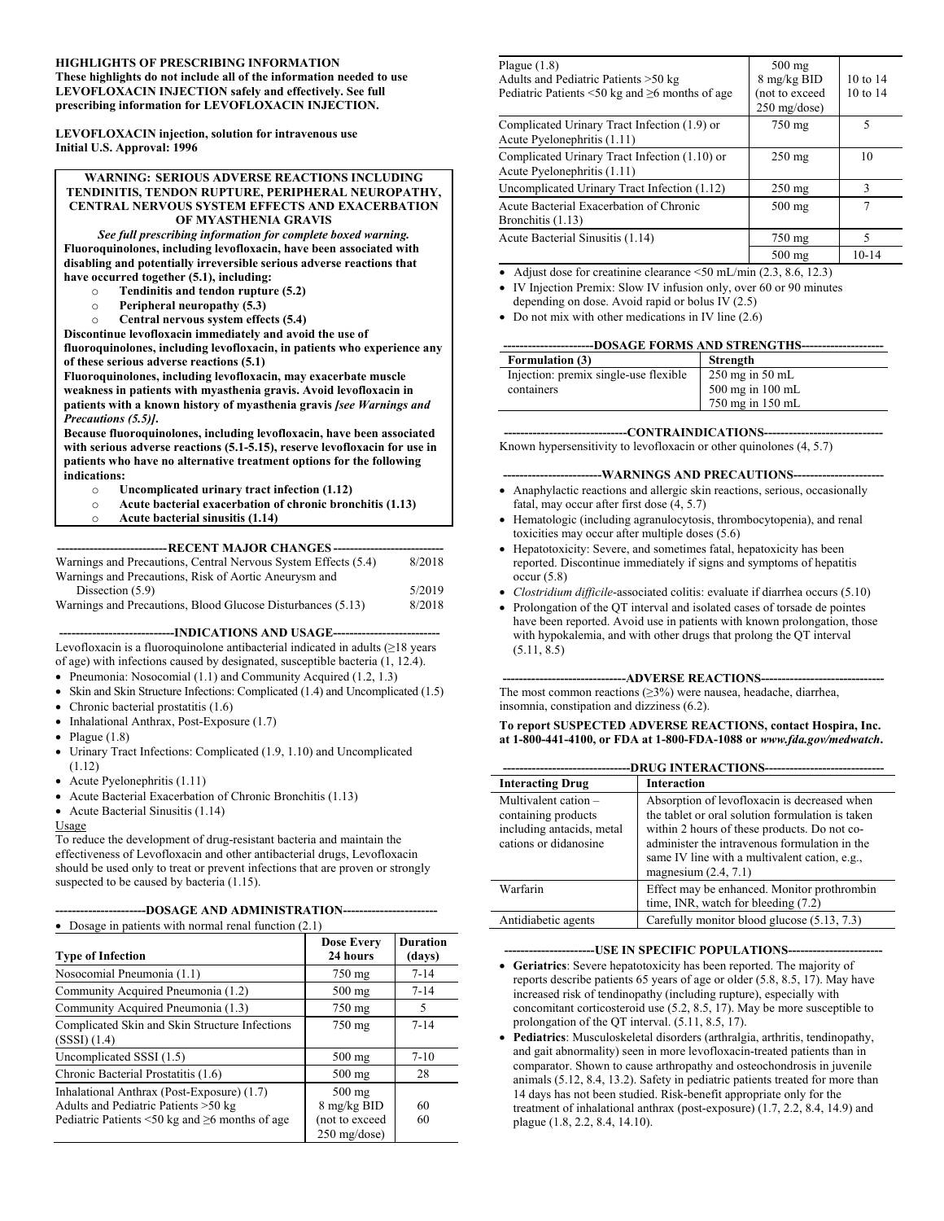#### **HIGHLIGHTS OF PRESCRIBING INFORMATION These highlights do not include all of the information needed to use LEVOFLOXACIN INJECTION safely and effectively. See full**

**prescribing information for LEVOFLOXACIN INJECTION.**

**LEVOFLOXACIN injection, solution for intravenous use Initial U.S. Approval: 1996**

#### **WARNING: SERIOUS ADVERSE REACTIONS INCLUDING TENDINITIS, TENDON RUPTURE, PERIPHERAL NEUROPATHY, CENTRAL NERVOUS SYSTEM EFFECTS AND EXACERBATION OF MYASTHENIA GRAVIS**

*See full prescribing information for complete boxed warning.* **Fluoroquinolones, including levofloxacin, have been associated with disabling and potentially irreversible serious adverse reactions that have occurred together (5.1), including:**

- o **Tendinitis and tendon rupture (5.2)**
- o **Peripheral neuropathy (5.3)**
- o **Central nervous system effects (5.4)**

**Discontinue levofloxacin immediately and avoid the use of fluoroquinolones, including levofloxacin, in patients who experience any of these serious adverse reactions (5.1)**

**Fluoroquinolones, including levofloxacin, may exacerbate muscle weakness in patients with myasthenia gravis. Avoid levofloxacin in patients with a known history of myasthenia gravis** *[see Warnings and Precautions (5.5)]***.**

**Because fluoroquinolones, including levofloxacin, have been associated with serious adverse reactions (5.1-5.15), reserve levofloxacin for use in patients who have no alternative treatment options for the following indications:**

- o **Uncomplicated urinary tract infection (1.12)**
- Acute bacterial exacerbation of chronic bronchitis (1.13)
- o **Acute bacterial sinusitis (1.14)**

**---------------------------RECENT MAJOR CHANGES ---------------------------**

| Warnings and Precautions, Central Nervous System Effects (5.4) | 8/2018 |
|----------------------------------------------------------------|--------|
| Warnings and Precautions, Risk of Aortic Aneurysm and          |        |
| Dissection $(5.9)$                                             | 5/2019 |
| Warnings and Precautions, Blood Glucose Disturbances (5.13)    | 8/2018 |

**----------------------------INDICATIONS AND USAGE--------------------------**

Levofloxacin is a fluoroquinolone antibacterial indicated in adults  $(≥18$  years of age) with infections caused by designated, susceptible bacteria (1, 12.4).

- Pneumonia: Nosocomial (1.1) and Community Acquired (1.2, 1.3)
- Skin and Skin Structure Infections: Complicated (1.4) and Uncomplicated (1.5)
- Chronic bacterial prostatitis (1.6)
- Inhalational Anthrax, Post-Exposure (1.7)
- Plague  $(1.8)$
- Urinary Tract Infections: Complicated (1.9, 1.10) and Uncomplicated (1.12)
- Acute Pyelonephritis (1.11)
- Acute Bacterial Exacerbation of Chronic Bronchitis (1.13)
- Acute Bacterial Sinusitis (1.14)

#### Usage

To reduce the development of drug-resistant bacteria and maintain the effectiveness of Levofloxacin and other antibacterial drugs, Levofloxacin should be used only to treat or prevent infections that are proven or strongly suspected to be caused by bacteria (1.15).

|  | ----------------------DOSAGE AND ADMINISTRATION------------------------ |
|--|-------------------------------------------------------------------------|
|--|-------------------------------------------------------------------------|

| Dosage in patients with normal renal function $(2.1)$                                                                                            |                                                                    |                           |  |
|--------------------------------------------------------------------------------------------------------------------------------------------------|--------------------------------------------------------------------|---------------------------|--|
| <b>Type of Infection</b>                                                                                                                         | <b>Dose Every</b><br>24 hours                                      | <b>Duration</b><br>(days) |  |
| Nosocomial Pneumonia (1.1)                                                                                                                       | 750 mg                                                             | $7 - 14$                  |  |
| Community Acquired Pneumonia (1.2)                                                                                                               | $500$ mg                                                           | $7 - 14$                  |  |
| Community Acquired Pneumonia (1.3)                                                                                                               | 750 mg                                                             | 5                         |  |
| Complicated Skin and Skin Structure Infections<br>(SSSI) (1.4)                                                                                   | $750 \text{ mg}$                                                   | $7 - 14$                  |  |
| Uncomplicated SSSI (1.5)                                                                                                                         | $500 \text{ mg}$                                                   | $7 - 10$                  |  |
| Chronic Bacterial Prostatitis (1.6)                                                                                                              | $500$ mg                                                           | 28                        |  |
| Inhalational Anthrax (Post-Exposure) (1.7)<br>Adults and Pediatric Patients >50 kg<br>Pediatric Patients $\leq 50$ kg and $\geq 6$ months of age | $500$ mg<br>8 mg/kg BID<br>(not to exceed<br>$250 \text{ mg/dose}$ | 60<br>60                  |  |

| Plague $(1.8)$<br>Adults and Pediatric Patients >50 kg<br>Pediatric Patients $\leq 50$ kg and $\geq 6$ months of age | $500$ mg<br>$8 \text{ mg/kg BID}$<br>not to exceed<br>$250$ mg/dose) | $10 \text{ to } 14$<br>$10 \text{ to } 14$ |
|----------------------------------------------------------------------------------------------------------------------|----------------------------------------------------------------------|--------------------------------------------|
| Complicated Urinary Tract Infection (1.9) or<br>Acute Pyelonephritis (1.11)                                          | 750 mg                                                               | 5                                          |
| Complicated Urinary Tract Infection (1.10) or<br>Acute Pyelonephritis (1.11)                                         | $250$ mg                                                             | 10                                         |
| Uncomplicated Urinary Tract Infection (1.12)                                                                         | $250 \text{ mg}$                                                     | 3                                          |
| Acute Bacterial Exacerbation of Chronic<br>Bronchitis (1.13)                                                         | $500$ mg                                                             |                                            |
| Acute Bacterial Sinusitis (1.14)                                                                                     | 750 mg                                                               | 5                                          |
|                                                                                                                      | $500$ mg                                                             | $10 - 14$                                  |

• Adjust dose for creatinine clearance <50 mL/min (2.3, 8.6, 12.3)

- IV Injection Premix: Slow IV infusion only, over 60 or 90 minutes depending on dose. Avoid rapid or bolus IV (2.5)
- Do not mix with other medications in IV line (2.6)

| ----------------------DOSAGE                                 FORMS AND STRENGTHS-------------------- |  |
|------------------------------------------------------------------------------------------------------|--|
|                                                                                                      |  |

| Formulation (3)                       | Strength                  |
|---------------------------------------|---------------------------|
| Injection: premix single-use flexible | $250 \text{ mg}$ in 50 mL |
| containers                            | 500 mg in 100 mL          |
|                                       | 750 mg in 150 mL          |

#### **------------------------------CONTRAINDICATIONS-----------------------------**

Known hypersensitivity to levofloxacin or other quinolones (4, 5.7)

#### **------------------------WARNINGS AND PRECAUTIONS----------------------**

- Anaphylactic reactions and allergic skin reactions, serious, occasionally fatal, may occur after first dose (4, 5.7)
- Hematologic (including agranulocytosis, thrombocytopenia), and renal toxicities may occur after multiple doses (5.6)
- Hepatotoxicity: Severe, and sometimes fatal, hepatoxicity has been reported. Discontinue immediately if signs and symptoms of hepatitis  $occur(5.8)$
- *Clostridium difficile*-associated colitis: evaluate if diarrhea occurs (5.10)
- Prolongation of the QT interval and isolated cases of torsade de pointes have been reported. Avoid use in patients with known prolongation, those with hypokalemia, and with other drugs that prolong the QT interval (5.11, 8.5)

#### **------------------------------ADVERSE REACTIONS------------------------------**

The most common reactions (≥3%) were nausea, headache, diarrhea, insomnia, constipation and dizziness (6.2).

#### **To report SUSPECTED ADVERSE REACTIONS, contact Hospira, Inc. at 1-800-441-4100, or FDA at 1-800-FDA-1088 or** *www.fda.gov/medwatch***.**

| <b>DRUG INTERACTIONS----------</b>                                                                  |                                                                                                                                                                                                                                                                              |  |  |
|-----------------------------------------------------------------------------------------------------|------------------------------------------------------------------------------------------------------------------------------------------------------------------------------------------------------------------------------------------------------------------------------|--|--|
| <b>Interacting Drug</b>                                                                             | <b>Interaction</b>                                                                                                                                                                                                                                                           |  |  |
| Multivalent cation $-$<br>containing products<br>including antacids, metal<br>cations or didanosine | Absorption of levofloxacin is decreased when<br>the tablet or oral solution formulation is taken<br>within 2 hours of these products. Do not co-<br>administer the intravenous formulation in the<br>same IV line with a multivalent cation, e.g.,<br>magnesium $(2.4, 7.1)$ |  |  |
| Warfarin                                                                                            | Effect may be enhanced. Monitor prothrombin<br>time, INR, watch for bleeding (7.2)                                                                                                                                                                                           |  |  |
| Antidiabetic agents                                                                                 | Carefully monitor blood glucose (5.13, 7.3)                                                                                                                                                                                                                                  |  |  |

#### --USE IN SPECIFIC POPULATIONS---

- **Geriatrics**: Severe hepatotoxicity has been reported. The majority of reports describe patients 65 years of age or older (5.8, 8.5, 17). May have increased risk of tendinopathy (including rupture), especially with concomitant corticosteroid use (5.2, 8.5, 17). May be more susceptible to prolongation of the QT interval. (5.11, 8.5, 17).
- **Pediatrics**: Musculoskeletal disorders (arthralgia, arthritis, tendinopathy, and gait abnormality) seen in more levofloxacin-treated patients than in comparator. Shown to cause arthropathy and osteochondrosis in juvenile animals (5.12, 8.4, 13.2). Safety in pediatric patients treated for more than 14 days has not been studied. Risk-benefit appropriate only for the treatment of inhalational anthrax (post-exposure) (1.7, 2.2, 8.4, 14.9) and plague (1.8, 2.2, 8.4, 14.10).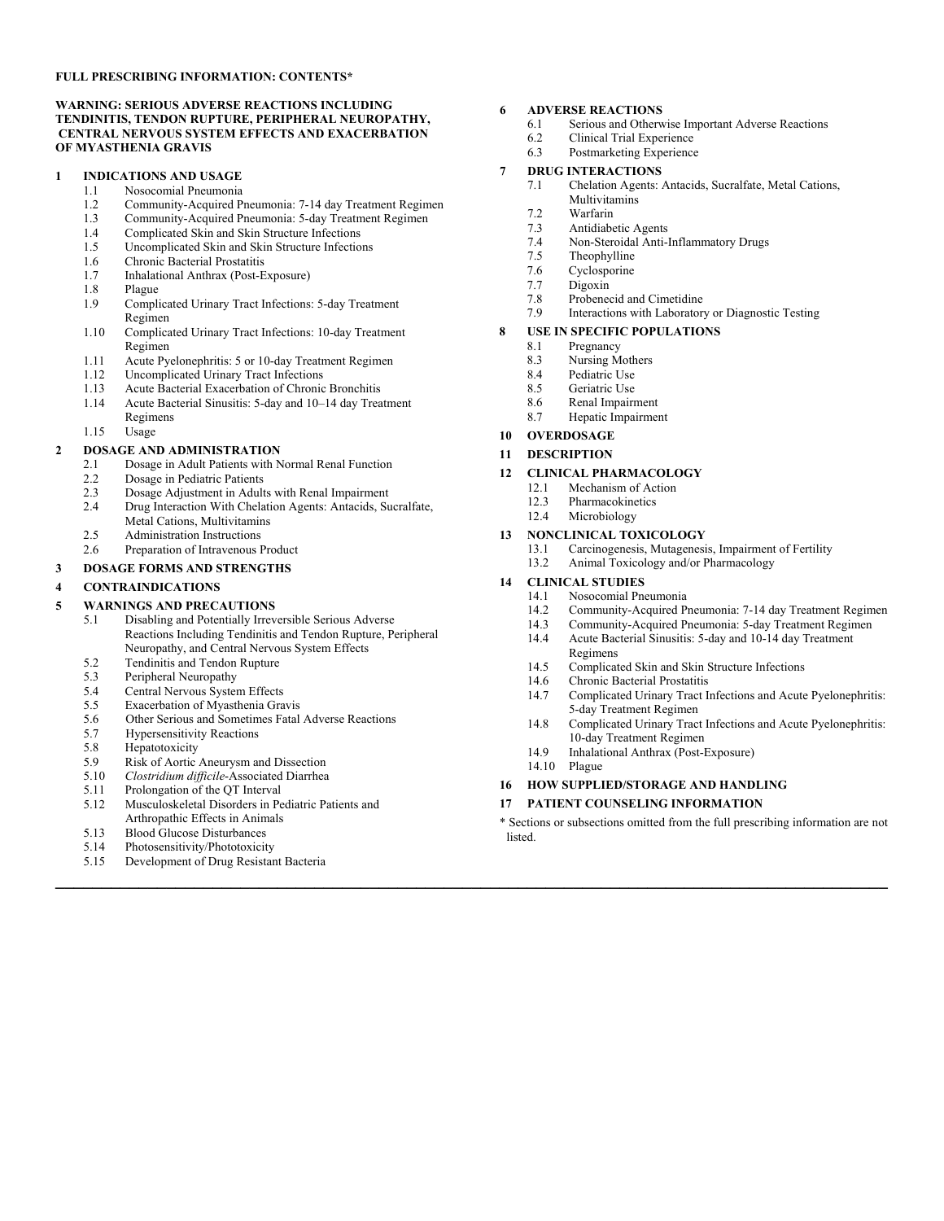#### **FULL PRESCRIBING INFORMATION: CONTENTS\***

#### **WARNING: SERIOUS ADVERSE REACTIONS INCLUDING TENDINITIS, TENDON RUPTURE, PERIPHERAL NEUROPATHY, CENTRAL NERVOUS SYSTEM EFFECTS AND EXACERBATION OF MYASTHENIA GRAVIS**

#### **1 INDICATIONS AND USAGE**

- 1.1 Nosocomial Pneumonia<br>1.2 Community-Acquired Pi
	- 1.2 Community-Acquired Pneumonia: 7-14 day Treatment Regimen
	- 1.3 Community-Acquired Pneumonia: 5-day Treatment Regimen<br>1.4 Complicated Skin and Skin Structure Infections
	- Complicated Skin and Skin Structure Infections
	- 1.5 Uncomplicated Skin and Skin Structure Infections 1.6 Chronic Bacterial Prostatitis
	-
	- 1.7 Inhalational Anthrax (Post-Exposure)<br>1.8 Plague
	- 1.8 Plague<br>1.9 Compli
	- Complicated Urinary Tract Infections: 5-day Treatment Regimen
	- 1.10 Complicated Urinary Tract Infections: 10-day Treatment Regimen
	- 1.11 Acute Pyelonephritis: 5 or 10-day Treatment Regimen
	- 1.12 Uncomplicated Urinary Tract Infections
	- 1.13 Acute Bacterial Exacerbation of Chronic Bronchitis
	- 1.14 Acute Bacterial Sinusitis: 5-day and 10–14 day Treatment Regimens
	- 1.15 Usage

# **2 DOSAGE AND ADMINISTRATION**<br>2 **1 Dosage in Adult Patients with N**

- 2.1 Dosage in Adult Patients with Normal Renal Function
- 2.2 Dosage in Pediatric Patients
- 2.3 Dosage Adjustment in Adults with Renal Impairment
- 2.4 Drug Interaction With Chelation Agents: Antacids, Sucralfate, Metal Cations, Multivitamins
- 2.5 Administration Instructions<br>2.6 Prenaration of Intravenous
- Preparation of Intravenous Product

#### **3 DOSAGE FORMS AND STRENGTHS**

#### **4 CONTRAINDICATIONS**

#### **5 WARNINGS AND PRECAUTIONS**

- 5.1 Disabling and Potentially Irreversible Serious Adverse Reactions Including Tendinitis and Tendon Rupture, Peripheral Neuropathy, and Central Nervous System Effects
- 5.2 Tendinitis and Tendon Rupture<br>5.3 Peripheral Neuropathy
- Peripheral Neuropathy
- 5.4 Central Nervous System Effects
- 5.5 Exacerbation of Myasthenia Gravis
- 5.6 Other Serious and Sometimes Fatal Adverse Reactions<br>5.7 Hypersensitivity Reactions
- **Hypersensitivity Reactions**
- 
- 5.8 Hepatotoxicity<br>5.9 Risk of Aortic 5.9 Risk of Aortic Aneurysm and Dissection
- 5.10 *Clostridium difficile*-Associated Diarrhea
- Prolongation of the QT Interval
- 5.12 Musculoskeletal Disorders in Pediatric Patients and
- Arthropathic Effects in Animals
- 
- 5.13 Blood Glucose Disturbances<br>5.14 Photosensitivity/Phototoxicit Photosensitivity/Phototoxicity
- 5.15 Development of Drug Resistant Bacteria

#### **6 ADVERSE REACTIONS**

- 6.1 Serious and Otherwise Important Adverse Reactions<br>6.2 Clinical Trial Experience
- 6.2 Clinical Trial Experience<br>6.3 Postmarketing Experience
- Postmarketing Experience

#### **7 DRUG INTERACTIONS**

- 7.1 Chelation Agents: Antacids, Sucralfate, Metal Cations, Multivitamins
- 7.2 Warfarin
- 7.3 Antidiabetic Agents
- 7.4 Non-Steroidal Anti-Inflammatory Drugs
- Theophylline
- 7.6 Cyclosporine
- 7.7 Digoxin<br>7.8 Probeneo
- 7.8 Probenecid and Cimetidine<br>7.9 Interactions with Laborator
- Interactions with Laboratory or Diagnostic Testing
- **8 USE IN SPECIFIC POPULATIONS**<br>8.1 **Pregnancy** 
	- Pregnancy
	- 8.3 Nursing Mothers
	- 8.4 Pediatric Use
	- 8.5 Geriatric Use
	- 8.6 Renal Impairment<br>8.7 Henatic Impairment
	- Hepatic Impairment

#### **10 OVERDOSAGE**

**11 DESCRIPTION**

#### **12 CLINICAL PHARMACOLOGY**

- 12.1 Mechanism of Action
- 12.3 Pharmacokinetics
- 12.4 Microbiology

# **13 NONCLINICAL TOXICOLOGY**

- Carcinogenesis, Mutagenesis, Impairment of Fertility
- 13.2 Animal Toxicology and/or Pharmacology

#### **14 CLINICAL STUDIES**

- 14.1 Nosocomial Pneumonia<br>14.2 Community-Acquired Pr
- Community-Acquired Pneumonia: 7-14 day Treatment Regimen
- 14.3 Community-Acquired Pneumonia: 5-day Treatment Regimen<br>14.4 Acute Bacterial Sinusitis: 5-day and 10-14 day Treatment 14.4 Acute Bacterial Sinusitis: 5-day and 10-14 day Treatment Regimens
- 14.5 Complicated Skin and Skin Structure Infections
- 
- 14.6 Chronic Bacterial Prostatitis<br>14.7 Complicated Urinary Tract Is Complicated Urinary Tract Infections and Acute Pyelonephritis: 5-day Treatment Regimen
- 14.8 Complicated Urinary Tract Infections and Acute Pyelonephritis: 10-day Treatment Regimen
- 14.9 Inhalational Anthrax (Post-Exposure)
- 14.10 Plague

**\_\_\_\_\_\_\_\_\_\_\_\_\_\_\_\_\_\_\_\_\_\_\_\_\_\_\_\_\_\_\_\_\_\_\_\_\_\_\_\_\_\_\_\_\_\_\_\_\_\_\_\_\_\_\_\_\_\_\_\_\_\_\_\_\_\_\_\_\_\_\_\_\_\_\_\_\_\_\_\_\_\_\_\_\_\_\_\_\_\_**

#### **16 HOW SUPPLIED/STORAGE AND HANDLING**

**17 PATIENT COUNSELING INFORMATION**

\* Sections or subsections omitted from the full prescribing information are not listed.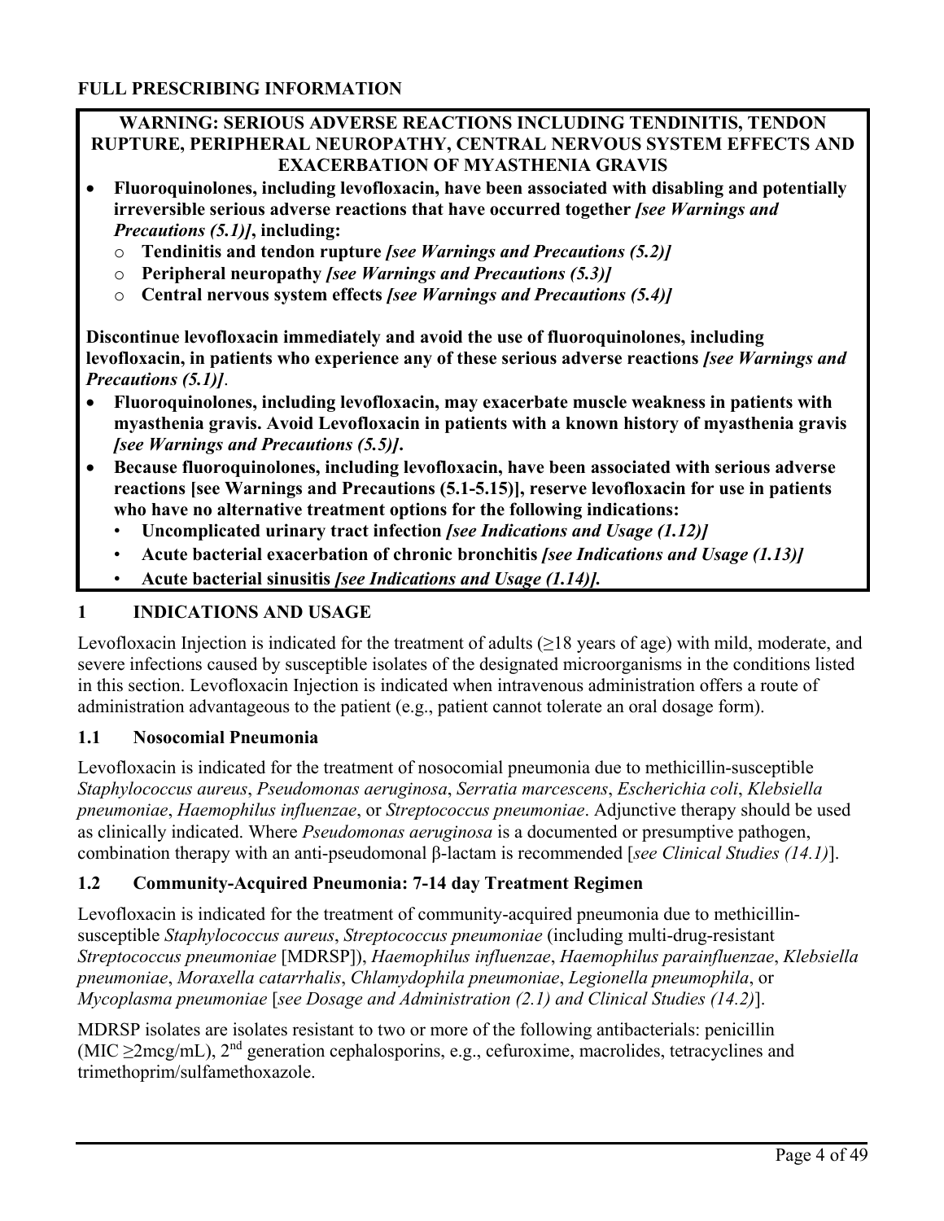## **WARNING: SERIOUS ADVERSE REACTIONS INCLUDING TENDINITIS, TENDON RUPTURE, PERIPHERAL NEUROPATHY, CENTRAL NERVOUS SYSTEM EFFECTS AND EXACERBATION OF MYASTHENIA GRAVIS**

- **Fluoroquinolones, including levofloxacin, have been associated with disabling and potentially irreversible serious adverse reactions that have occurred together** *[see Warnings and Precautions (5.1)]***, including:** 
	- o **Tendinitis and tendon rupture** *[see Warnings and Precautions (5.2)]*
	- o **Peripheral neuropathy** *[see Warnings and Precautions (5.3)]*
	- o **Central nervous system effects** *[see Warnings and Precautions (5.4)]*

**Discontinue levofloxacin immediately and avoid the use of fluoroquinolones, including levofloxacin, in patients who experience any of these serious adverse reactions** *[see Warnings and Precautions (5.1)]*.

- **Fluoroquinolones, including levofloxacin, may exacerbate muscle weakness in patients with myasthenia gravis. Avoid Levofloxacin in patients with a known history of myasthenia gravis**  *[see Warnings and Precautions (5.5)]***.**
- **Because fluoroquinolones, including levofloxacin, have been associated with serious adverse reactions [see Warnings and Precautions (5.1-5.15)], reserve levofloxacin for use in patients who have no alternative treatment options for the following indications:** 
	- **Uncomplicated urinary tract infection** *[see Indications and Usage (1.12)]*
	- **Acute bacterial exacerbation of chronic bronchitis** *[see Indications and Usage (1.13)]*
	- **Acute bacterial sinusitis** *[see Indications and Usage (1.14)].*

# **1 INDICATIONS AND USAGE**

Levofloxacin Injection is indicated for the treatment of adults  $(\geq 18$  years of age) with mild, moderate, and severe infections caused by susceptible isolates of the designated microorganisms in the conditions listed in this section. Levofloxacin Injection is indicated when intravenous administration offers a route of administration advantageous to the patient (e.g., patient cannot tolerate an oral dosage form).

## **1.1 Nosocomial Pneumonia**

Levofloxacin is indicated for the treatment of nosocomial pneumonia due to methicillin-susceptible *Staphylococcus aureus*, *Pseudomonas aeruginosa*, *Serratia marcescens*, *Escherichia coli*, *Klebsiella pneumoniae*, *Haemophilus influenzae*, or *Streptococcus pneumoniae*. Adjunctive therapy should be used as clinically indicated. Where *Pseudomonas aeruginosa* is a documented or presumptive pathogen, combination therapy with an anti-pseudomonal β-lactam is recommended [*see Clinical Studies (14.1)*].

# **1.2 Community-Acquired Pneumonia: 7-14 day Treatment Regimen**

Levofloxacin is indicated for the treatment of community-acquired pneumonia due to methicillinsusceptible *Staphylococcus aureus*, *Streptococcus pneumoniae* (including multi-drug-resistant *Streptococcus pneumoniae* [MDRSP]), *Haemophilus influenzae*, *Haemophilus parainfluenzae*, *Klebsiella pneumoniae*, *Moraxella catarrhalis*, *Chlamydophila pneumoniae*, *Legionella pneumophila*, or *Mycoplasma pneumoniae* [*see Dosage and Administration (2.1) and Clinical Studies (14.2)*].

MDRSP isolates are isolates resistant to two or more of the following antibacterials: penicillin (MIC  $\geq$ 2mcg/mL), 2<sup>nd</sup> generation cephalosporins, e.g., cefuroxime, macrolides, tetracyclines and trimethoprim/sulfamethoxazole.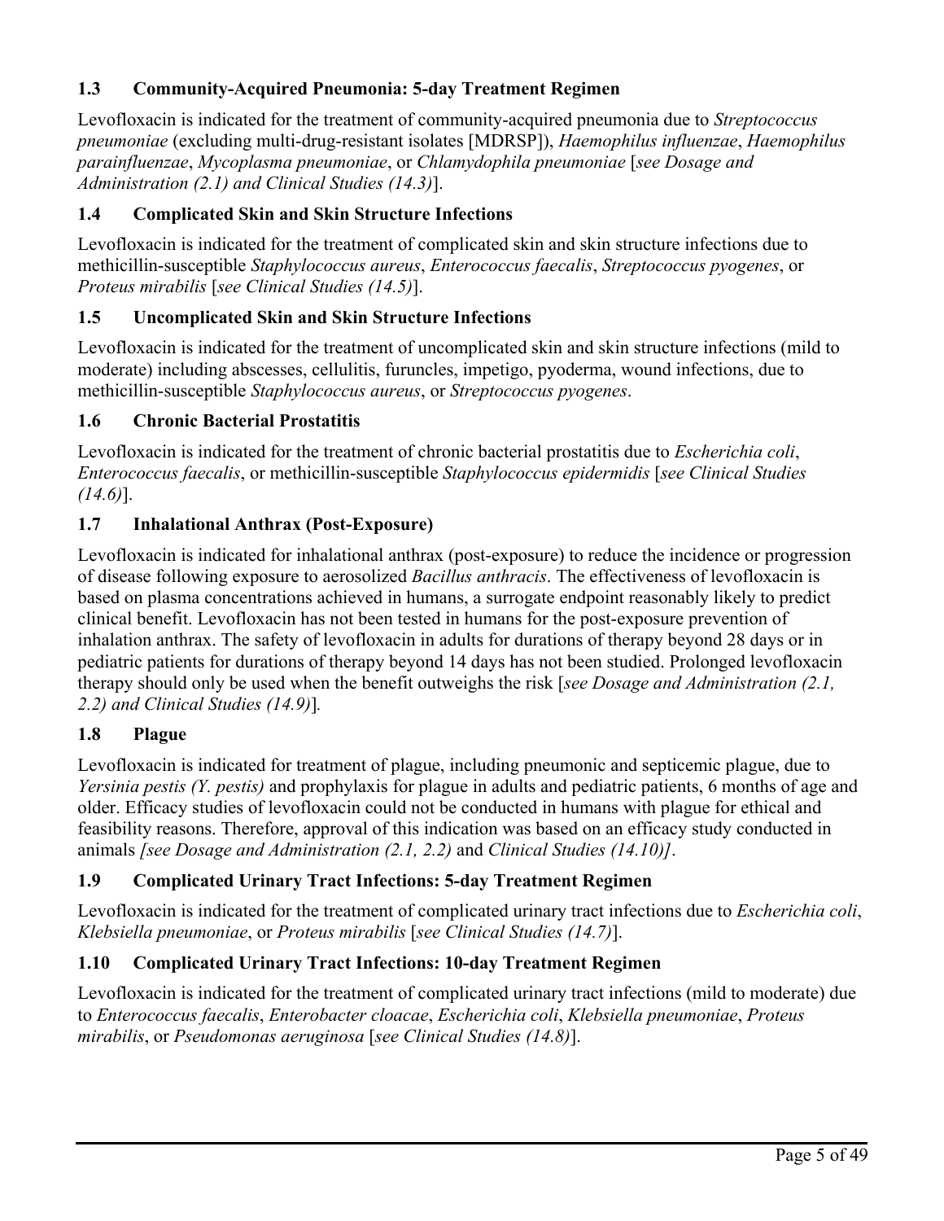# **1.3 Community-Acquired Pneumonia: 5-day Treatment Regimen**

Levofloxacin is indicated for the treatment of community-acquired pneumonia due to *Streptococcus pneumoniae* (excluding multi-drug-resistant isolates [MDRSP]), *Haemophilus influenzae*, *Haemophilus parainfluenzae*, *Mycoplasma pneumoniae*, or *Chlamydophila pneumoniae* [*see Dosage and Administration (2.1) and Clinical Studies (14.3)*].

# **1.4 Complicated Skin and Skin Structure Infections**

Levofloxacin is indicated for the treatment of complicated skin and skin structure infections due to methicillin-susceptible *Staphylococcus aureus*, *Enterococcus faecalis*, *Streptococcus pyogenes*, or *Proteus mirabilis* [*see Clinical Studies (14.5)*].

# **1.5 Uncomplicated Skin and Skin Structure Infections**

Levofloxacin is indicated for the treatment of uncomplicated skin and skin structure infections (mild to moderate) including abscesses, cellulitis, furuncles, impetigo, pyoderma, wound infections, due to methicillin-susceptible *Staphylococcus aureus*, or *Streptococcus pyogenes*.

## **1.6 Chronic Bacterial Prostatitis**

Levofloxacin is indicated for the treatment of chronic bacterial prostatitis due to *Escherichia coli*, *Enterococcus faecalis*, or methicillin-susceptible *Staphylococcus epidermidis* [*see Clinical Studies (14.6)*].

## **1.7 Inhalational Anthrax (Post-Exposure)**

Levofloxacin is indicated for inhalational anthrax (post-exposure) to reduce the incidence or progression of disease following exposure to aerosolized *Bacillus anthracis*. The effectiveness of levofloxacin is based on plasma concentrations achieved in humans, a surrogate endpoint reasonably likely to predict clinical benefit. Levofloxacin has not been tested in humans for the post-exposure prevention of inhalation anthrax. The safety of levofloxacin in adults for durations of therapy beyond 28 days or in pediatric patients for durations of therapy beyond 14 days has not been studied. Prolonged levofloxacin therapy should only be used when the benefit outweighs the risk [*see Dosage and Administration (2.1, 2.2) and Clinical Studies (14.9)*]*.*

## **1.8 Plague**

Levofloxacin is indicated for treatment of plague, including pneumonic and septicemic plague, due to *Yersinia pestis (Y. pestis)* and prophylaxis for plague in adults and pediatric patients, 6 months of age and older. Efficacy studies of levofloxacin could not be conducted in humans with plague for ethical and feasibility reasons. Therefore, approval of this indication was based on an efficacy study conducted in animals *[see Dosage and Administration (2.1, 2.2)* and *Clinical Studies (14.10)]*.

# **1.9 Complicated Urinary Tract Infections: 5-day Treatment Regimen**

Levofloxacin is indicated for the treatment of complicated urinary tract infections due to *Escherichia coli*, *Klebsiella pneumoniae*, or *Proteus mirabilis* [*see Clinical Studies (14.7)*].

# **1.10 Complicated Urinary Tract Infections: 10-day Treatment Regimen**

Levofloxacin is indicated for the treatment of complicated urinary tract infections (mild to moderate) due to *Enterococcus faecalis*, *Enterobacter cloacae*, *Escherichia coli*, *Klebsiella pneumoniae*, *Proteus mirabilis*, or *Pseudomonas aeruginosa* [*see Clinical Studies (14.8)*].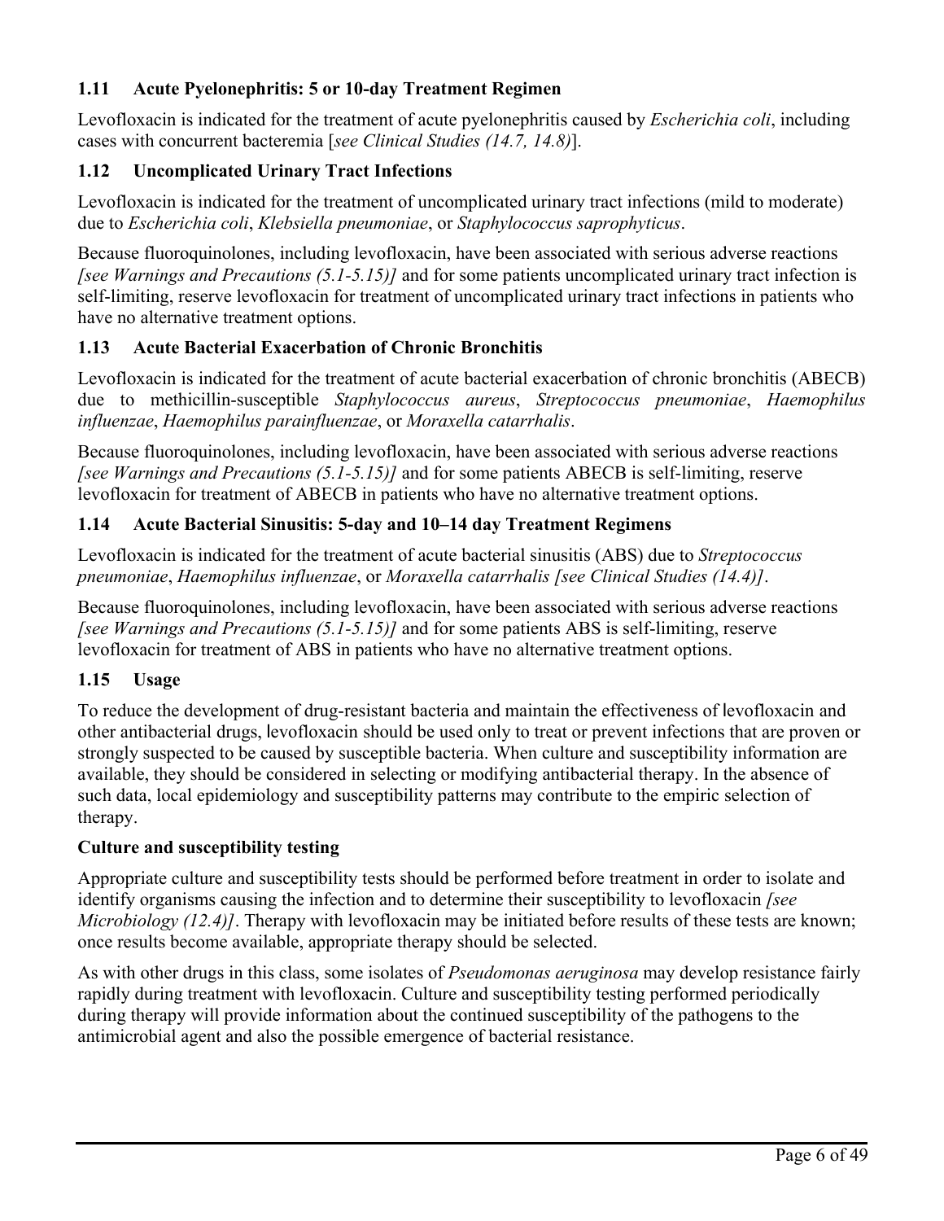# **1.11 Acute Pyelonephritis: 5 or 10-day Treatment Regimen**

Levofloxacin is indicated for the treatment of acute pyelonephritis caused by *Escherichia coli*, including cases with concurrent bacteremia [*see Clinical Studies (14.7, 14.8)*].

# **1.12 Uncomplicated Urinary Tract Infections**

Levofloxacin is indicated for the treatment of uncomplicated urinary tract infections (mild to moderate) due to *Escherichia coli*, *Klebsiella pneumoniae*, or *Staphylococcus saprophyticus*.

Because fluoroquinolones, including levofloxacin, have been associated with serious adverse reactions *[see Warnings and Precautions (5.1-5.15)]* and for some patients uncomplicated urinary tract infection is self-limiting, reserve levofloxacin for treatment of uncomplicated urinary tract infections in patients who have no alternative treatment options.

## **1.13 Acute Bacterial Exacerbation of Chronic Bronchitis**

Levofloxacin is indicated for the treatment of acute bacterial exacerbation of chronic bronchitis (ABECB) due to methicillin-susceptible *Staphylococcus aureus*, *Streptococcus pneumoniae*, *Haemophilus influenzae*, *Haemophilus parainfluenzae*, or *Moraxella catarrhalis*.

Because fluoroquinolones, including levofloxacin, have been associated with serious adverse reactions *[see Warnings and Precautions (5.1-5.15)]* and for some patients ABECB is self-limiting, reserve levofloxacin for treatment of ABECB in patients who have no alternative treatment options.

## **1.14 Acute Bacterial Sinusitis: 5-day and 10–14 day Treatment Regimens**

Levofloxacin is indicated for the treatment of acute bacterial sinusitis (ABS) due to *Streptococcus pneumoniae*, *Haemophilus influenzae*, or *Moraxella catarrhalis [see Clinical Studies (14.4)]*.

Because fluoroquinolones, including levofloxacin, have been associated with serious adverse reactions *[see Warnings and Precautions (5.1-5.15)]* and for some patients ABS is self-limiting, reserve levofloxacin for treatment of ABS in patients who have no alternative treatment options.

## **1.15 Usage**

To reduce the development of drug-resistant bacteria and maintain the effectiveness of levofloxacin and other antibacterial drugs, levofloxacin should be used only to treat or prevent infections that are proven or strongly suspected to be caused by susceptible bacteria. When culture and susceptibility information are available, they should be considered in selecting or modifying antibacterial therapy. In the absence of such data, local epidemiology and susceptibility patterns may contribute to the empiric selection of therapy.

## **Culture and susceptibility testing**

Appropriate culture and susceptibility tests should be performed before treatment in order to isolate and identify organisms causing the infection and to determine their susceptibility to levofloxacin *[see Microbiology (12.4)]*. Therapy with levofloxacin may be initiated before results of these tests are known; once results become available, appropriate therapy should be selected.

As with other drugs in this class, some isolates of *Pseudomonas aeruginosa* may develop resistance fairly rapidly during treatment with levofloxacin. Culture and susceptibility testing performed periodically during therapy will provide information about the continued susceptibility of the pathogens to the antimicrobial agent and also the possible emergence of bacterial resistance.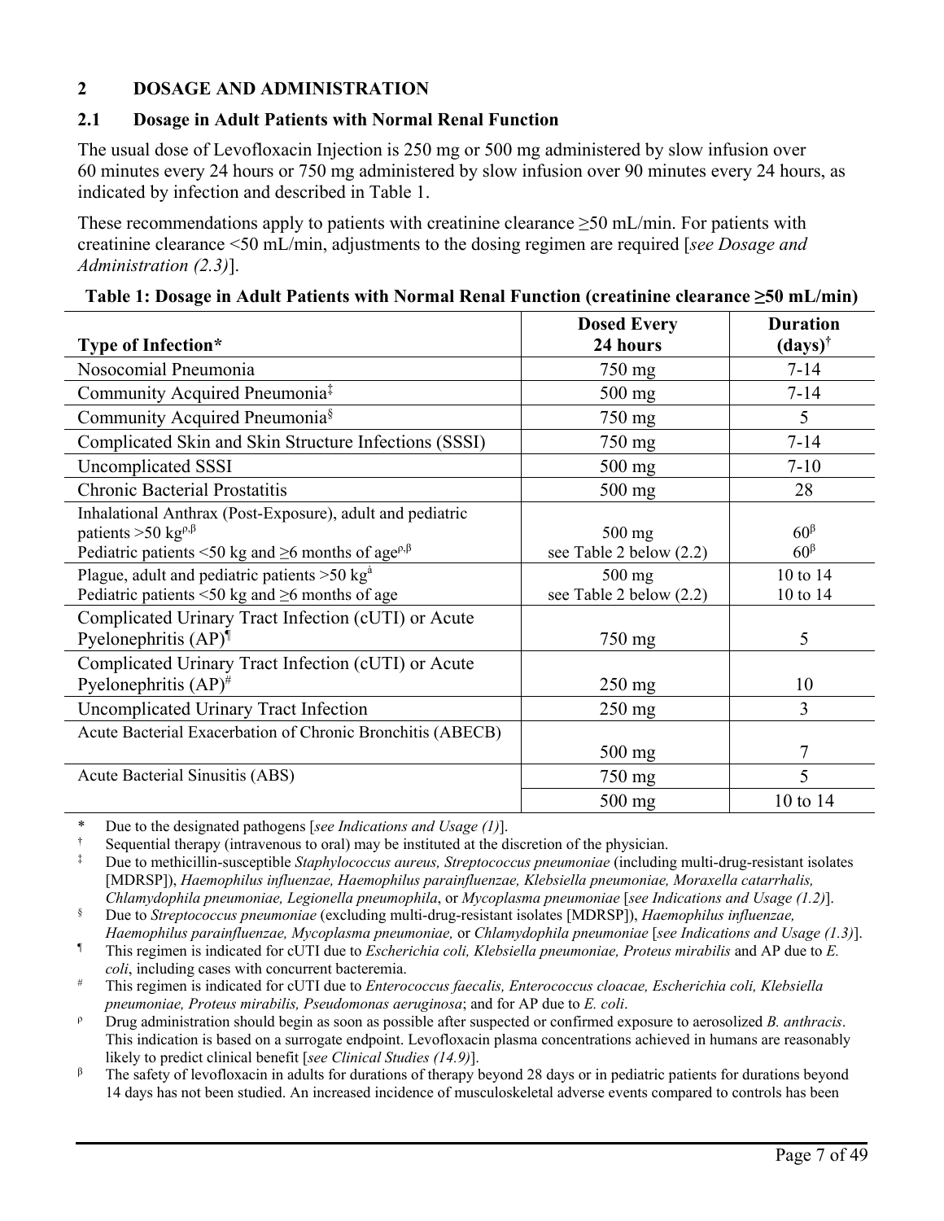## **2 DOSAGE AND ADMINISTRATION**

## **2.1 Dosage in Adult Patients with Normal Renal Function**

The usual dose of Levofloxacin Injection is 250 mg or 500 mg administered by slow infusion over 60 minutes every 24 hours or 750 mg administered by slow infusion over 90 minutes every 24 hours, as indicated by infection and described in Table 1.

These recommendations apply to patients with creatinine clearance  $\geq$ 50 mL/min. For patients with creatinine clearance <50 mL/min, adjustments to the dosing regimen are required [*see Dosage and Administration (2.3)*].

|                                                                                       | <b>Dosed Every</b>      | <b>Duration</b>       |
|---------------------------------------------------------------------------------------|-------------------------|-----------------------|
| Type of Infection*                                                                    | 24 hours                | $(days)$ <sup>†</sup> |
| Nosocomial Pneumonia                                                                  | 750 mg                  | $7 - 14$              |
| Community Acquired Pneumonia <sup>‡</sup>                                             | $500$ mg                | $7 - 14$              |
| Community Acquired Pneumonia <sup>§</sup>                                             | 750 mg                  | 5                     |
| Complicated Skin and Skin Structure Infections (SSSI)                                 | 750 mg                  | $7 - 14$              |
| Uncomplicated SSSI                                                                    | $500$ mg                | $7 - 10$              |
| <b>Chronic Bacterial Prostatitis</b>                                                  | 500 mg                  | 28                    |
| Inhalational Anthrax (Post-Exposure), adult and pediatric                             |                         |                       |
| patients >50 kg <sup><math>\rho,\beta</math></sup>                                    | $500$ mg                | $60^{\beta}$          |
| Pediatric patients <50 kg and $\geq$ 6 months of age <sup>p, <math>\beta</math></sup> | see Table 2 below (2.2) | $60^{\beta}$          |
| Plague, adult and pediatric patients $>50$ kg <sup><math>\text{\AA}</math></sup>      | $500$ mg                | 10 to 14              |
| Pediatric patients <50 kg and $\geq$ 6 months of age                                  | see Table 2 below (2.2) | 10 to 14              |
| Complicated Urinary Tract Infection (cUTI) or Acute                                   |                         |                       |
| Pyelonephritis $(AP)^{\P}$                                                            | 750 mg                  | 5                     |
| Complicated Urinary Tract Infection (cUTI) or Acute                                   |                         |                       |
| Pyelonephritis $(AP)^{\#}$                                                            | $250$ mg                | 10                    |
| Uncomplicated Urinary Tract Infection                                                 | $250$ mg                | 3                     |
| Acute Bacterial Exacerbation of Chronic Bronchitis (ABECB)                            |                         |                       |
|                                                                                       | $500$ mg                | 7                     |
| Acute Bacterial Sinusitis (ABS)                                                       | 750 mg                  | 5                     |
|                                                                                       | $500$ mg                | 10 to 14              |

|  |  | Table 1: Dosage in Adult Patients with Normal Renal Function (creatinine clearance $\geq 50$ mL/min) |  |
|--|--|------------------------------------------------------------------------------------------------------|--|
|  |  |                                                                                                      |  |

\* Due to the designated pathogens [*see Indications and Usage (1)*].

† Sequential therapy (intravenous to oral) may be instituted at the discretion of the physician.

‡ Due to methicillin-susceptible *Staphylococcus aureus, Streptococcus pneumoniae* (including multi-drug-resistant isolates [MDRSP]), *Haemophilus influenzae, Haemophilus parainfluenzae, Klebsiella pneumoniae, Moraxella catarrhalis, Chlamydophila pneumoniae, Legionella pneumophila*, or *Mycoplasma pneumoniae* [*see Indications and Usage (1.2)*].

§ Due to *Streptococcus pneumoniae* (excluding multi-drug-resistant isolates [MDRSP]), *Haemophilus influenzae, Haemophilus parainfluenzae, Mycoplasma pneumoniae,* or *Chlamydophila pneumoniae* [*see Indications and Usage (1.3)*].

¶ This regimen is indicated for cUTI due to *Escherichia coli, Klebsiella pneumoniae, Proteus mirabilis* and AP due to *E. coli*, including cases with concurrent bacteremia.

# This regimen is indicated for cUTI due to *Enterococcus faecalis, Enterococcus cloacae, Escherichia coli, Klebsiella pneumoniae, Proteus mirabilis, Pseudomonas aeruginosa*; and for AP due to *E. coli*.

<sup>ρ</sup> Drug administration should begin as soon as possible after suspected or confirmed exposure to aerosolized *B. anthracis*. This indication is based on a surrogate endpoint. Levofloxacin plasma concentrations achieved in humans are reasonably likely to predict clinical benefit [*see Clinical Studies (14.9)*].

 $β$  The safety of levofloxacin in adults for durations of therapy beyond 28 days or in pediatric patients for durations beyond 14 days has not been studied. An increased incidence of musculoskeletal adverse events compared to controls has been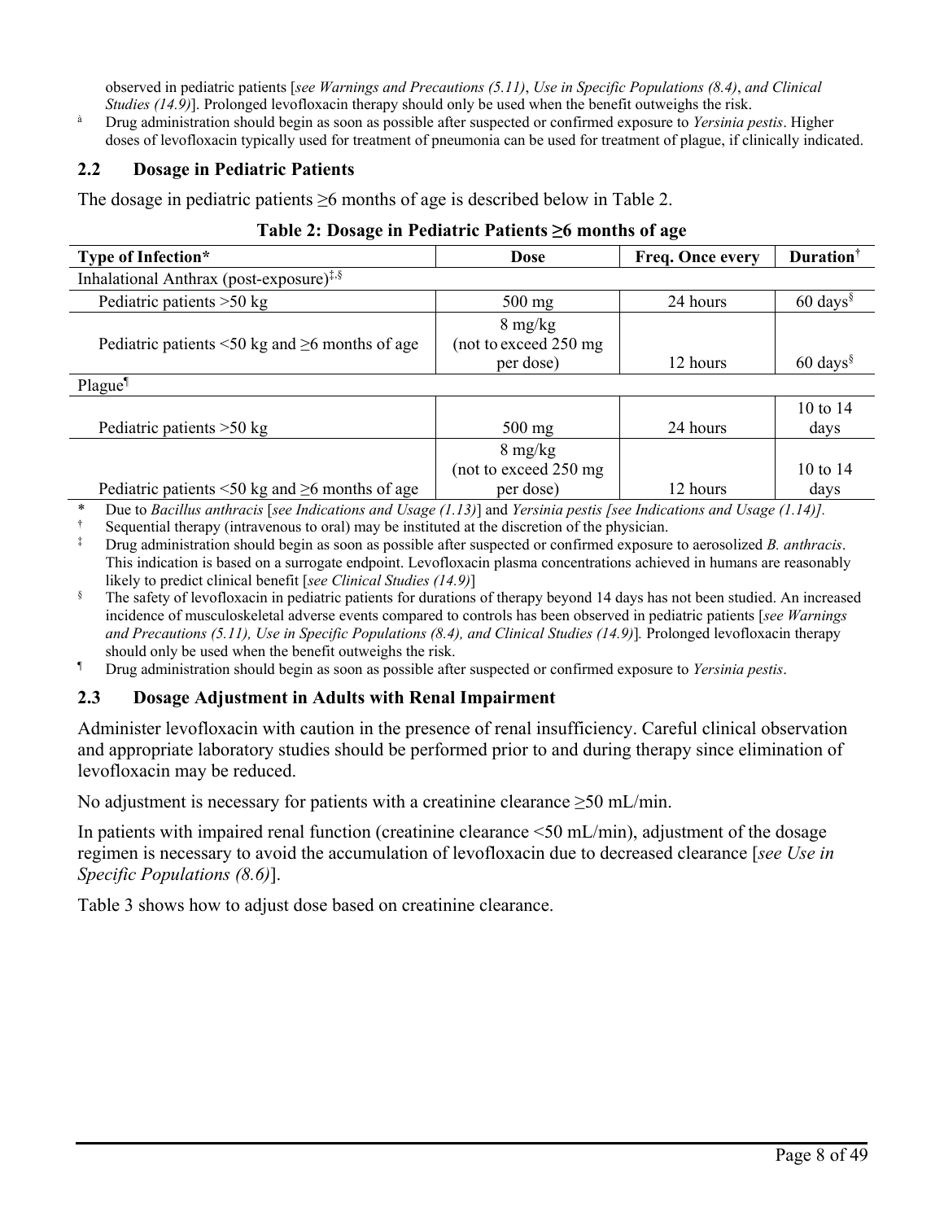observed in pediatric patients [*see Warnings and Precautions (5.11)*, *Use in Specific Populations (8.4)*, *and Clinical Studies (14.9)*]. Prolonged levofloxacin therapy should only be used when the benefit outweighs the risk.

<sup>à</sup> Drug administration should begin as soon as possible after suspected or confirmed exposure to *Yersinia pestis*. Higher doses of levofloxacin typically used for treatment of pneumonia can be used for treatment of plague, if clinically indicated.

## **2.2 Dosage in Pediatric Patients**

The dosage in pediatric patients  $\geq 6$  months of age is described below in Table 2.

## **Table 2: Dosage in Pediatric Patients ≥6 months of age**

| Type of Infection*                                                                              | Dose                                                     | Freq. Once every | <b>Duration</b> <sup>†</sup>   |
|-------------------------------------------------------------------------------------------------|----------------------------------------------------------|------------------|--------------------------------|
| Inhalational Anthrax (post-exposure) <sup><math>\ddagger</math>, <math>\frac{8}{3}</math></sup> |                                                          |                  |                                |
| Pediatric patients $>50$ kg                                                                     | $500$ mg                                                 | 24 hours         | $60 \text{ days}$ <sup>§</sup> |
| Pediatric patients $\leq 50$ kg and $\geq 6$ months of age                                      | $8 \text{ mg/kg}$<br>(not to exceed 250 mg)<br>per dose) | 12 hours         | $60 \text{ days}$              |
| Plague <sup>1</sup>                                                                             |                                                          |                  |                                |

| Pediatric patients $>50$ kg                                | $500 \text{ mg}$       | 24 hours | 10 to $14$<br>davs |
|------------------------------------------------------------|------------------------|----------|--------------------|
|                                                            | $8 \text{ mg/kg}$      |          |                    |
|                                                            | (not to exceed 250 mg) |          | 10 to 14           |
| Pediatric patients $\leq 50$ kg and $\geq 6$ months of age | per dose)              | 12 hours | days               |

\* Due to *Bacillus anthracis* [*see Indications and Usage (1.13)*] and *Yersinia pestis [see Indications and Usage (1.14)].*

<sup>†</sup> Sequential therapy (intravenous to oral) may be instituted at the discretion of the physician.<br><sup>‡</sup> Drug administration should begin as soon as possible after suspected or confirmed exposure

‡ Drug administration should begin as soon as possible after suspected or confirmed exposure to aerosolized *B. anthracis*. This indication is based on a surrogate endpoint. Levofloxacin plasma concentrations achieved in humans are reasonably likely to predict clinical benefit [*see Clinical Studies (14.9)*]

The safety of levofloxacin in pediatric patients for durations of therapy beyond 14 days has not been studied. An increased incidence of musculoskeletal adverse events compared to controls has been observed in pediatric patients [*see Warnings and Precautions (5.11), Use in Specific Populations (8.4), and Clinical Studies (14.9)*]*.* Prolonged levofloxacin therapy should only be used when the benefit outweighs the risk.

¶ Drug administration should begin as soon as possible after suspected or confirmed exposure to *Yersinia pestis*.

## **2.3 Dosage Adjustment in Adults with Renal Impairment**

Administer levofloxacin with caution in the presence of renal insufficiency. Careful clinical observation and appropriate laboratory studies should be performed prior to and during therapy since elimination of levofloxacin may be reduced.

No adjustment is necessary for patients with a creatinine clearance >50 mL/min.

In patients with impaired renal function (creatinine clearance <50 mL/min), adjustment of the dosage regimen is necessary to avoid the accumulation of levofloxacin due to decreased clearance [*see Use in Specific Populations (8.6)*].

Table 3 shows how to adjust dose based on creatinine clearance.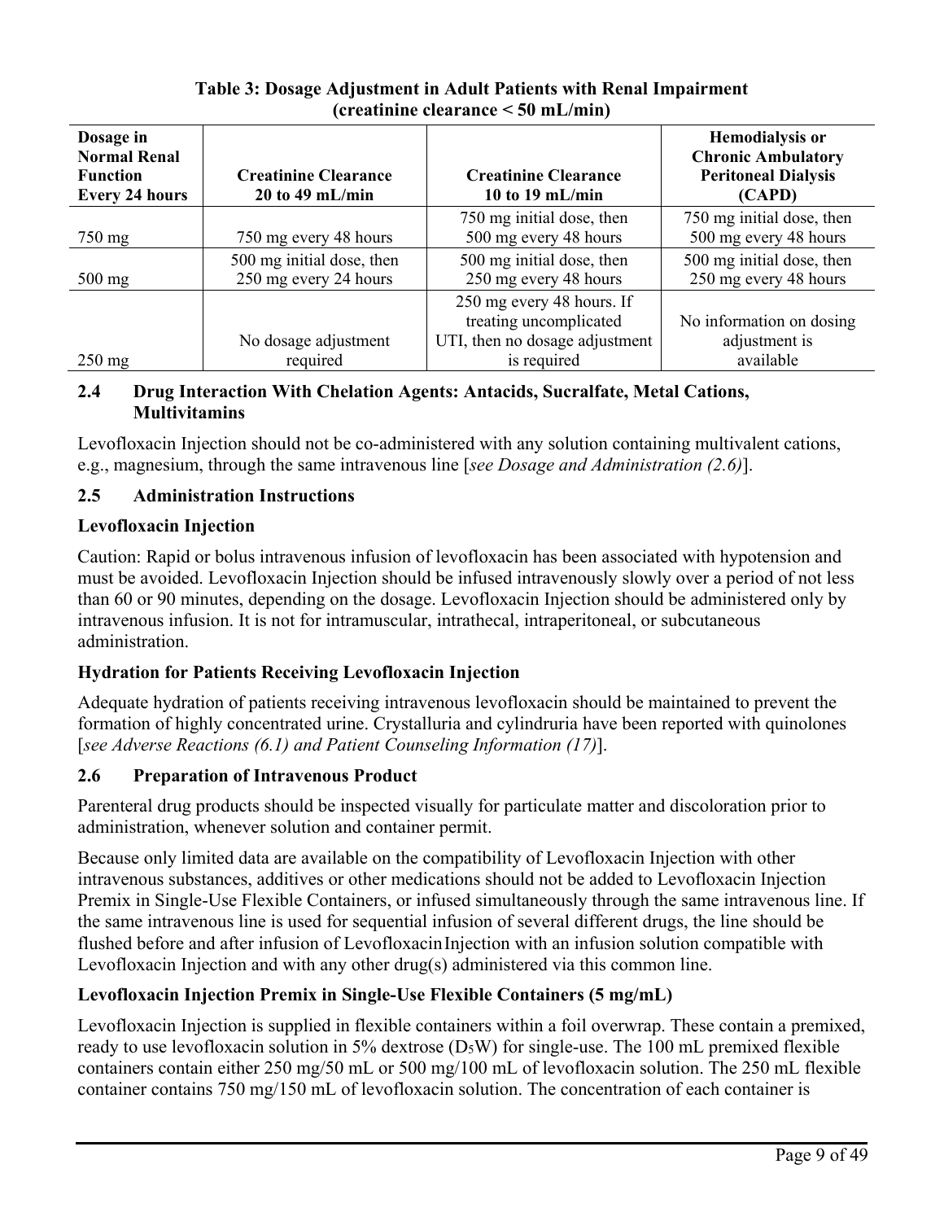| Dosage in<br><b>Normal Renal</b><br><b>Function</b><br><b>Every 24 hours</b> | <b>Creatinine Clearance</b><br>$20$ to 49 mL/min   | <b>Creatinine Clearance</b><br>10 to 19 mL/min                                                       | <b>Hemodialysis or</b><br><b>Chronic Ambulatory</b><br><b>Peritoneal Dialysis</b><br>(CAPD) |  |
|------------------------------------------------------------------------------|----------------------------------------------------|------------------------------------------------------------------------------------------------------|---------------------------------------------------------------------------------------------|--|
| $750 \text{ mg}$                                                             | 750 mg every 48 hours                              | 750 mg initial dose, then<br>500 mg every 48 hours                                                   | 750 mg initial dose, then<br>500 mg every 48 hours                                          |  |
| $500$ mg                                                                     | 500 mg initial dose, then<br>250 mg every 24 hours | 500 mg initial dose, then<br>250 mg every 48 hours                                                   | 500 mg initial dose, then<br>250 mg every 48 hours                                          |  |
| $250 \text{ mg}$                                                             | No dosage adjustment<br>required                   | 250 mg every 48 hours. If<br>treating uncomplicated<br>UTI, then no dosage adjustment<br>is required | No information on dosing<br>adjustment is<br>available                                      |  |

# **Table 3: Dosage Adjustment in Adult Patients with Renal Impairment (creatinine clearance < 50 mL/min)**

## **2.4 Drug Interaction With Chelation Agents: Antacids, Sucralfate, Metal Cations, Multivitamins**

Levofloxacin Injection should not be co-administered with any solution containing multivalent cations, e.g., magnesium, through the same intravenous line [*see Dosage and Administration (2.6)*].

# **2.5 Administration Instructions**

# **Levofloxacin Injection**

Caution: Rapid or bolus intravenous infusion of levofloxacin has been associated with hypotension and must be avoided. Levofloxacin Injection should be infused intravenously slowly over a period of not less than 60 or 90 minutes, depending on the dosage. Levofloxacin Injection should be administered only by intravenous infusion. It is not for intramuscular, intrathecal, intraperitoneal, or subcutaneous administration.

# **Hydration for Patients Receiving Levofloxacin Injection**

Adequate hydration of patients receiving intravenous levofloxacin should be maintained to prevent the formation of highly concentrated urine. Crystalluria and cylindruria have been reported with quinolones [*see Adverse Reactions (6.1) and Patient Counseling Information (17)*].

# **2.6 Preparation of Intravenous Product**

Parenteral drug products should be inspected visually for particulate matter and discoloration prior to administration, whenever solution and container permit.

Because only limited data are available on the compatibility of Levofloxacin Injection with other intravenous substances, additives or other medications should not be added to Levofloxacin Injection Premix in Single-Use Flexible Containers, or infused simultaneously through the same intravenous line. If the same intravenous line is used for sequential infusion of several different drugs, the line should be flushed before and after infusion of Levofloxacin Injection with an infusion solution compatible with Levofloxacin Injection and with any other drug(s) administered via this common line.

# **Levofloxacin Injection Premix in Single-Use Flexible Containers (5 mg/mL)**

Levofloxacin Injection is supplied in flexible containers within a foil overwrap. These contain a premixed, ready to use levofloxacin solution in 5% dextrose (D<sub>5</sub>W) for single-use. The 100 mL premixed flexible containers contain either 250 mg/50 mL or 500 mg/100 mL of levofloxacin solution. The 250 mL flexible container contains 750 mg/150 mL of levofloxacin solution. The concentration of each container is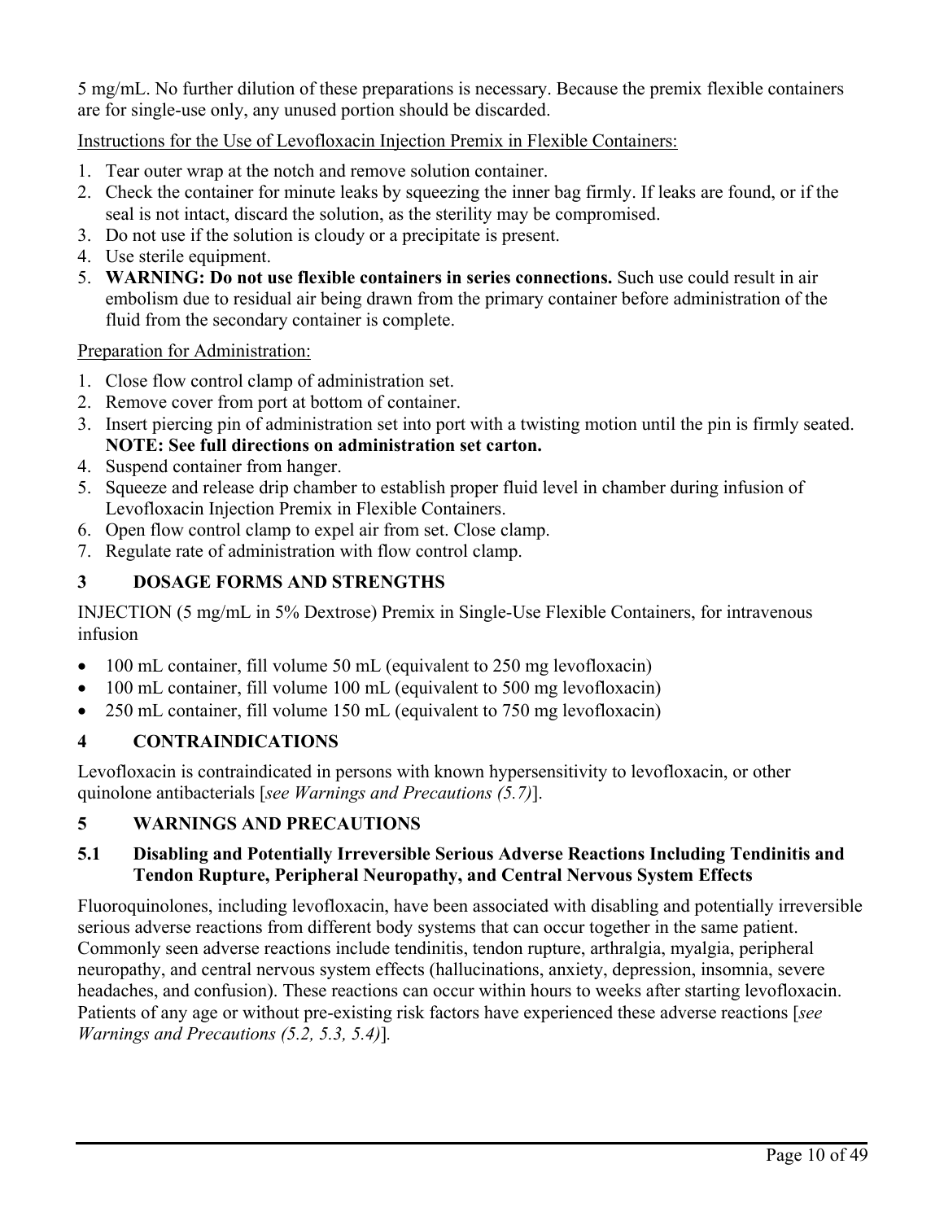5 mg/mL. No further dilution of these preparations is necessary. Because the premix flexible containers are for single-use only, any unused portion should be discarded.

Instructions for the Use of Levofloxacin Injection Premix in Flexible Containers:

- 1. Tear outer wrap at the notch and remove solution container.
- 2. Check the container for minute leaks by squeezing the inner bag firmly. If leaks are found, or if the seal is not intact, discard the solution, as the sterility may be compromised.
- 3. Do not use if the solution is cloudy or a precipitate is present.
- 4. Use sterile equipment.
- 5. **WARNING: Do not use flexible containers in series connections.** Such use could result in air embolism due to residual air being drawn from the primary container before administration of the fluid from the secondary container is complete.

Preparation for Administration:

- 1. Close flow control clamp of administration set.
- 2. Remove cover from port at bottom of container.
- 3. Insert piercing pin of administration set into port with a twisting motion until the pin is firmly seated. **NOTE: See full directions on administration set carton.**
- 4. Suspend container from hanger.
- 5. Squeeze and release drip chamber to establish proper fluid level in chamber during infusion of Levofloxacin Injection Premix in Flexible Containers.
- 6. Open flow control clamp to expel air from set. Close clamp.
- 7. Regulate rate of administration with flow control clamp.

# **3 DOSAGE FORMS AND STRENGTHS**

INJECTION (5 mg/mL in 5% Dextrose) Premix in Single-Use Flexible Containers, for intravenous infusion

- 100 mL container, fill volume 50 mL (equivalent to 250 mg levofloxacin)
- 100 mL container, fill volume 100 mL (equivalent to 500 mg levofloxacin)
- 250 mL container, fill volume 150 mL (equivalent to 750 mg levofloxacin)

# **4 CONTRAINDICATIONS**

Levofloxacin is contraindicated in persons with known hypersensitivity to levofloxacin, or other quinolone antibacterials [*see Warnings and Precautions (5.7)*].

# **5 WARNINGS AND PRECAUTIONS**

## **5.1 Disabling and Potentially Irreversible Serious Adverse Reactions Including Tendinitis and Tendon Rupture, Peripheral Neuropathy, and Central Nervous System Effects**

Fluoroquinolones, including levofloxacin, have been associated with disabling and potentially irreversible serious adverse reactions from different body systems that can occur together in the same patient. Commonly seen adverse reactions include tendinitis, tendon rupture, arthralgia, myalgia, peripheral neuropathy, and central nervous system effects (hallucinations, anxiety, depression, insomnia, severe headaches, and confusion). These reactions can occur within hours to weeks after starting levofloxacin. Patients of any age or without pre-existing risk factors have experienced these adverse reactions [*see Warnings and Precautions (5.2, 5.3, 5.4)*]*.*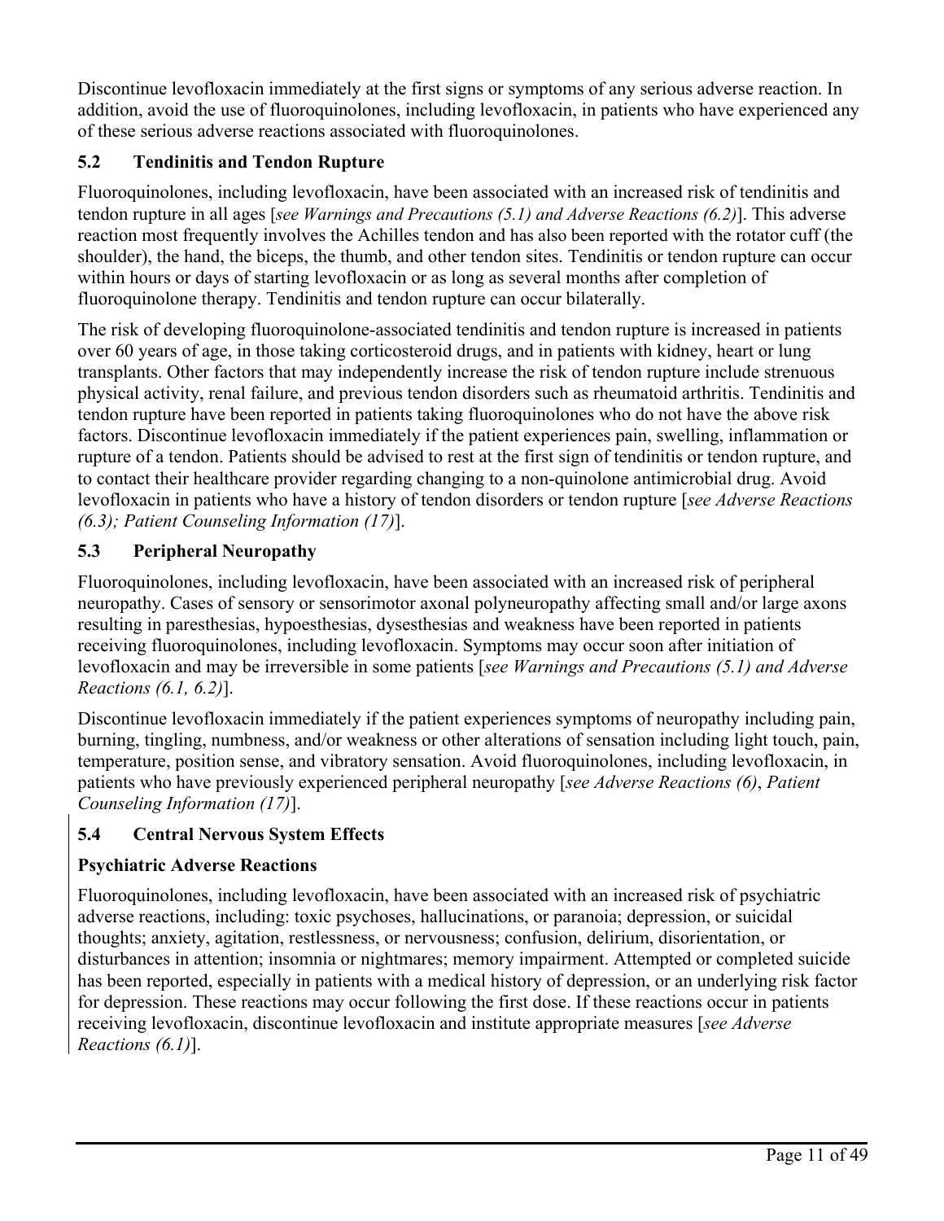Discontinue levofloxacin immediately at the first signs or symptoms of any serious adverse reaction. In addition, avoid the use of fluoroquinolones, including levofloxacin, in patients who have experienced any of these serious adverse reactions associated with fluoroquinolones.

# **5.2 Tendinitis and Tendon Rupture**

Fluoroquinolones, including levofloxacin, have been associated with an increased risk of tendinitis and tendon rupture in all ages [*see Warnings and Precautions (5.1) and Adverse Reactions (6.2)*]. This adverse reaction most frequently involves the Achilles tendon and has also been reported with the rotator cuff (the shoulder), the hand, the biceps, the thumb, and other tendon sites. Tendinitis or tendon rupture can occur within hours or days of starting levofloxacin or as long as several months after completion of fluoroquinolone therapy. Tendinitis and tendon rupture can occur bilaterally.

The risk of developing fluoroquinolone-associated tendinitis and tendon rupture is increased in patients over 60 years of age, in those taking corticosteroid drugs, and in patients with kidney, heart or lung transplants. Other factors that may independently increase the risk of tendon rupture include strenuous physical activity, renal failure, and previous tendon disorders such as rheumatoid arthritis. Tendinitis and tendon rupture have been reported in patients taking fluoroquinolones who do not have the above risk factors. Discontinue levofloxacin immediately if the patient experiences pain, swelling, inflammation or rupture of a tendon. Patients should be advised to rest at the first sign of tendinitis or tendon rupture, and to contact their healthcare provider regarding changing to a non-quinolone antimicrobial drug. Avoid levofloxacin in patients who have a history of tendon disorders or tendon rupture [*see Adverse Reactions (6.3); Patient Counseling Information (17)*].

# **5.3 Peripheral Neuropathy**

Fluoroquinolones, including levofloxacin, have been associated with an increased risk of peripheral neuropathy. Cases of sensory or sensorimotor axonal polyneuropathy affecting small and/or large axons resulting in paresthesias, hypoesthesias, dysesthesias and weakness have been reported in patients receiving fluoroquinolones, including levofloxacin. Symptoms may occur soon after initiation of levofloxacin and may be irreversible in some patients [*see Warnings and Precautions (5.1) and Adverse Reactions (6.1, 6.2)*].

Discontinue levofloxacin immediately if the patient experiences symptoms of neuropathy including pain, burning, tingling, numbness, and/or weakness or other alterations of sensation including light touch, pain, temperature, position sense, and vibratory sensation. Avoid fluoroquinolones, including levofloxacin, in patients who have previously experienced peripheral neuropathy [*see Adverse Reactions (6)*, *Patient Counseling Information (17)*].

# **5.4 Central Nervous System Effects**

# **Psychiatric Adverse Reactions**

Fluoroquinolones, including levofloxacin, have been associated with an increased risk of psychiatric adverse reactions, including: toxic psychoses, hallucinations, or paranoia; depression, or suicidal thoughts; anxiety, agitation, restlessness, or nervousness; confusion, delirium, disorientation, or disturbances in attention; insomnia or nightmares; memory impairment. Attempted or completed suicide has been reported, especially in patients with a medical history of depression, or an underlying risk factor for depression. These reactions may occur following the first dose. If these reactions occur in patients receiving levofloxacin, discontinue levofloxacin and institute appropriate measures [*see Adverse Reactions (6.1)*].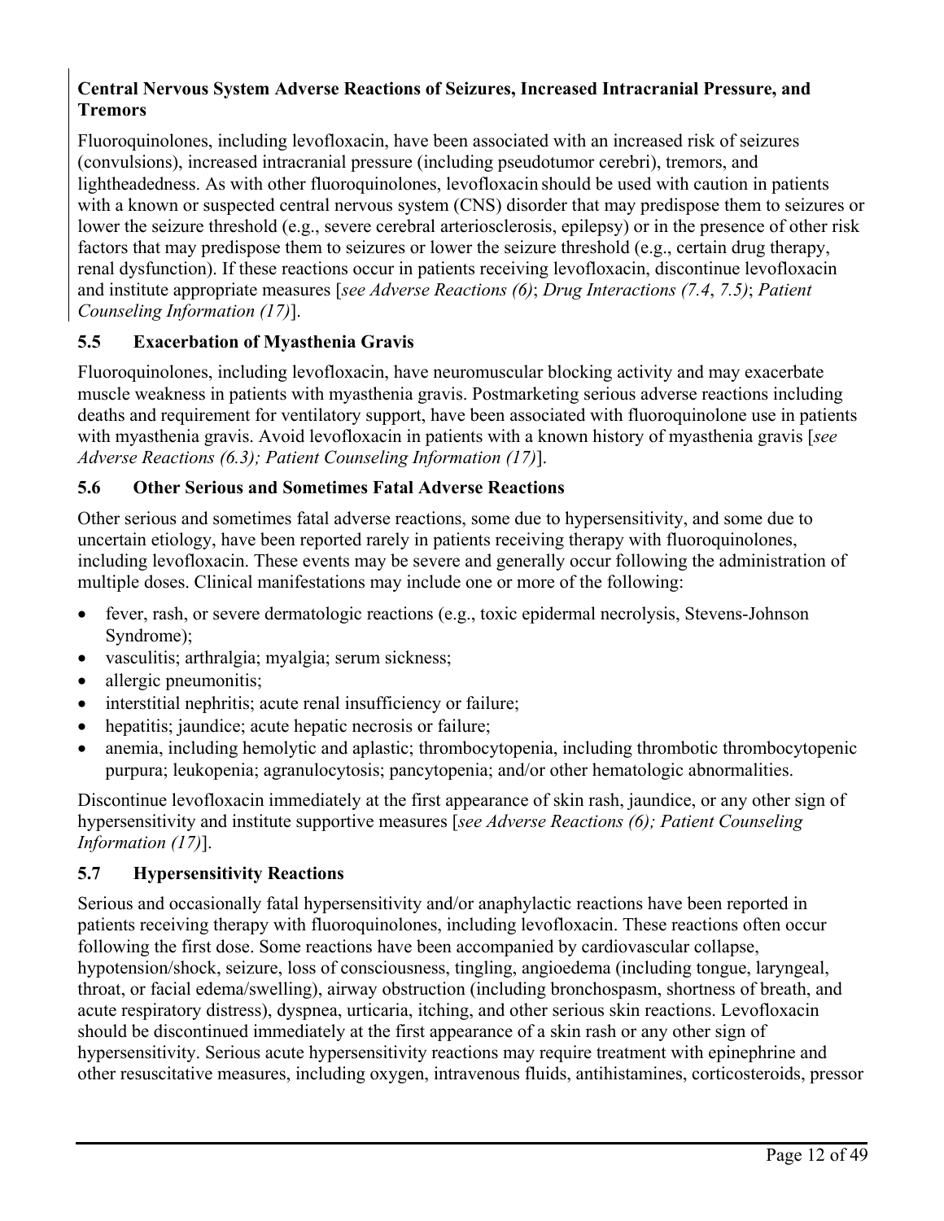# **Central Nervous System Adverse Reactions of Seizures, Increased Intracranial Pressure, and Tremors**

Fluoroquinolones, including levofloxacin, have been associated with an increased risk of seizures (convulsions), increased intracranial pressure (including pseudotumor cerebri), tremors, and lightheadedness. As with other fluoroquinolones, levofloxacin should be used with caution in patients with a known or suspected central nervous system (CNS) disorder that may predispose them to seizures or lower the seizure threshold (e.g., severe cerebral arteriosclerosis, epilepsy) or in the presence of other risk factors that may predispose them to seizures or lower the seizure threshold (e.g., certain drug therapy, renal dysfunction). If these reactions occur in patients receiving levofloxacin, discontinue levofloxacin and institute appropriate measures [*see Adverse Reactions (6)*; *Drug Interactions (7.4*, *7.5)*; *Patient Counseling Information (17)*].

# **5.5 Exacerbation of Myasthenia Gravis**

Fluoroquinolones, including levofloxacin, have neuromuscular blocking activity and may exacerbate muscle weakness in patients with myasthenia gravis. Postmarketing serious adverse reactions including deaths and requirement for ventilatory support, have been associated with fluoroquinolone use in patients with myasthenia gravis. Avoid levofloxacin in patients with a known history of myasthenia gravis [*see Adverse Reactions (6.3); Patient Counseling Information (17)*].

## **5.6 Other Serious and Sometimes Fatal Adverse Reactions**

Other serious and sometimes fatal adverse reactions, some due to hypersensitivity, and some due to uncertain etiology, have been reported rarely in patients receiving therapy with fluoroquinolones, including levofloxacin. These events may be severe and generally occur following the administration of multiple doses. Clinical manifestations may include one or more of the following:

- fever, rash, or severe dermatologic reactions (e.g., toxic epidermal necrolysis, Stevens-Johnson Syndrome);
- vasculitis; arthralgia; myalgia; serum sickness;
- allergic pneumonitis;
- interstitial nephritis; acute renal insufficiency or failure;
- hepatitis; jaundice; acute hepatic necrosis or failure;
- anemia, including hemolytic and aplastic; thrombocytopenia, including thrombotic thrombocytopenic purpura; leukopenia; agranulocytosis; pancytopenia; and/or other hematologic abnormalities.

Discontinue levofloxacin immediately at the first appearance of skin rash, jaundice, or any other sign of hypersensitivity and institute supportive measures [*see Adverse Reactions (6); Patient Counseling Information (17)*].

## **5.7 Hypersensitivity Reactions**

Serious and occasionally fatal hypersensitivity and/or anaphylactic reactions have been reported in patients receiving therapy with fluoroquinolones, including levofloxacin. These reactions often occur following the first dose. Some reactions have been accompanied by cardiovascular collapse, hypotension/shock, seizure, loss of consciousness, tingling, angioedema (including tongue, laryngeal, throat, or facial edema/swelling), airway obstruction (including bronchospasm, shortness of breath, and acute respiratory distress), dyspnea, urticaria, itching, and other serious skin reactions. Levofloxacin should be discontinued immediately at the first appearance of a skin rash or any other sign of hypersensitivity. Serious acute hypersensitivity reactions may require treatment with epinephrine and other resuscitative measures, including oxygen, intravenous fluids, antihistamines, corticosteroids, pressor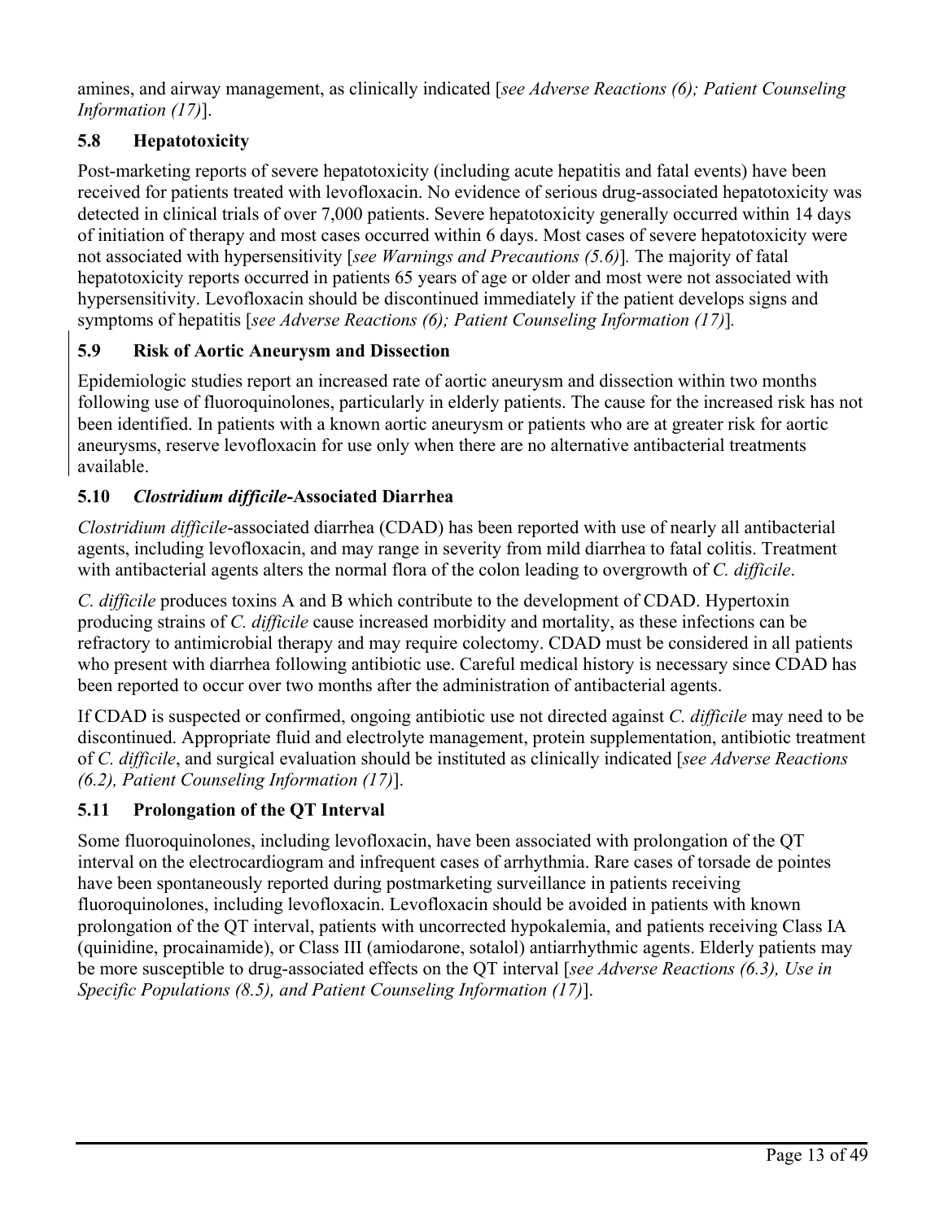amines, and airway management, as clinically indicated [*see Adverse Reactions (6); Patient Counseling Information (17)*].

# **5.8 Hepatotoxicity**

Post-marketing reports of severe hepatotoxicity (including acute hepatitis and fatal events) have been received for patients treated with levofloxacin. No evidence of serious drug-associated hepatotoxicity was detected in clinical trials of over 7,000 patients. Severe hepatotoxicity generally occurred within 14 days of initiation of therapy and most cases occurred within 6 days. Most cases of severe hepatotoxicity were not associated with hypersensitivity [*see Warnings and Precautions (5.6)*]*.* The majority of fatal hepatotoxicity reports occurred in patients 65 years of age or older and most were not associated with hypersensitivity. Levofloxacin should be discontinued immediately if the patient develops signs and symptoms of hepatitis [*see Adverse Reactions (6); Patient Counseling Information (17)*]*.*

# **5.9 Risk of Aortic Aneurysm and Dissection**

Epidemiologic studies report an increased rate of aortic aneurysm and dissection within two months following use of fluoroquinolones, particularly in elderly patients. The cause for the increased risk has not been identified. In patients with a known aortic aneurysm or patients who are at greater risk for aortic aneurysms, reserve levofloxacin for use only when there are no alternative antibacterial treatments available.

# **5.10** *Clostridium difficile***-Associated Diarrhea**

*Clostridium difficile*-associated diarrhea (CDAD) has been reported with use of nearly all antibacterial agents, including levofloxacin, and may range in severity from mild diarrhea to fatal colitis. Treatment with antibacterial agents alters the normal flora of the colon leading to overgrowth of *C. difficile*.

*C. difficile* produces toxins A and B which contribute to the development of CDAD. Hypertoxin producing strains of *C. difficile* cause increased morbidity and mortality, as these infections can be refractory to antimicrobial therapy and may require colectomy. CDAD must be considered in all patients who present with diarrhea following antibiotic use. Careful medical history is necessary since CDAD has been reported to occur over two months after the administration of antibacterial agents.

If CDAD is suspected or confirmed, ongoing antibiotic use not directed against *C. difficile* may need to be discontinued. Appropriate fluid and electrolyte management, protein supplementation, antibiotic treatment of *C. difficile*, and surgical evaluation should be instituted as clinically indicated [*see Adverse Reactions (6.2), Patient Counseling Information (17)*].

# **5.11 Prolongation of the QT Interval**

Some fluoroquinolones, including levofloxacin, have been associated with prolongation of the QT interval on the electrocardiogram and infrequent cases of arrhythmia. Rare cases of torsade de pointes have been spontaneously reported during postmarketing surveillance in patients receiving fluoroquinolones, including levofloxacin. Levofloxacin should be avoided in patients with known prolongation of the QT interval, patients with uncorrected hypokalemia, and patients receiving Class IA (quinidine, procainamide), or Class III (amiodarone, sotalol) antiarrhythmic agents. Elderly patients may be more susceptible to drug-associated effects on the QT interval [*see Adverse Reactions (6.3), Use in Specific Populations (8.5), and Patient Counseling Information (17)*].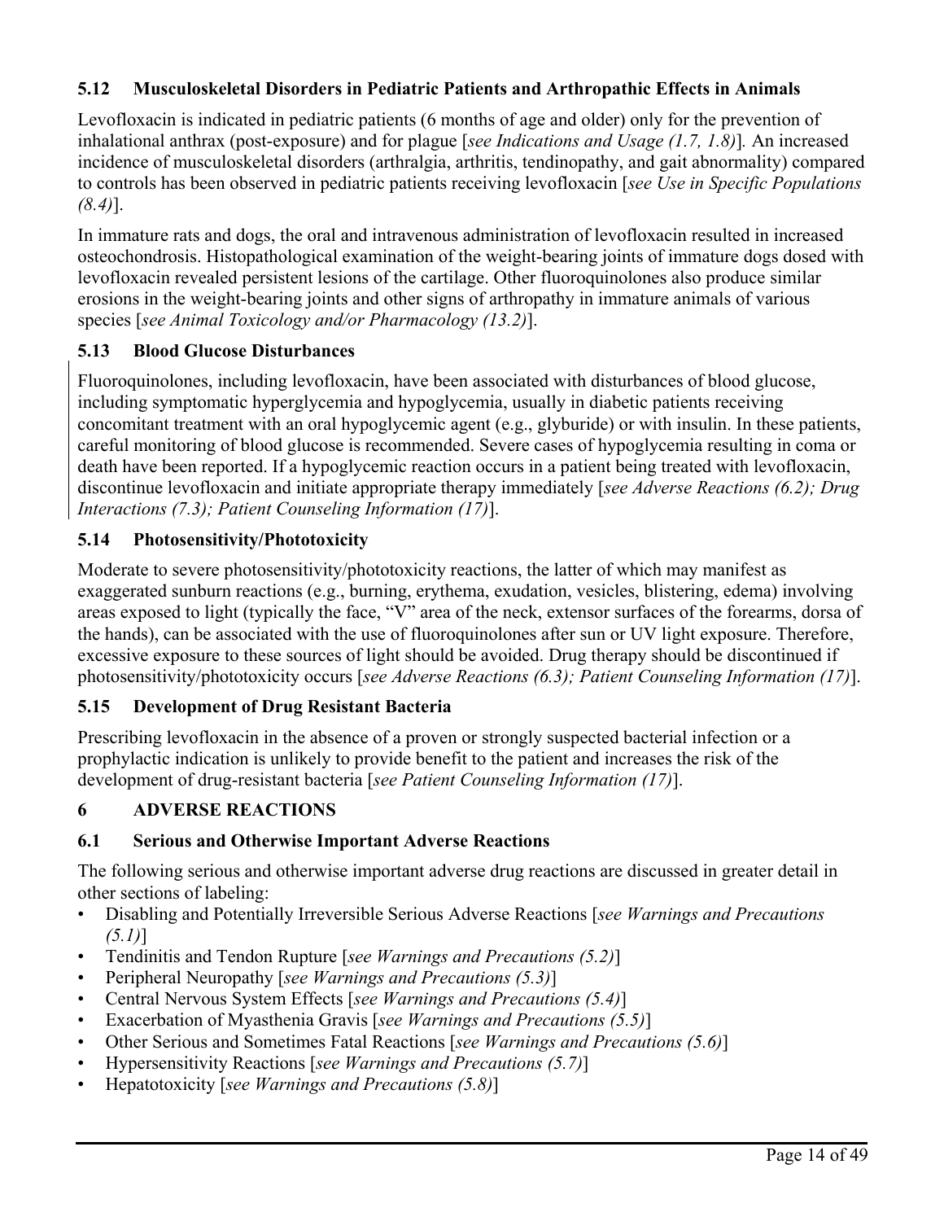# **5.12 Musculoskeletal Disorders in Pediatric Patients and Arthropathic Effects in Animals**

Levofloxacin is indicated in pediatric patients (6 months of age and older) only for the prevention of inhalational anthrax (post-exposure) and for plague [*see Indications and Usage (1.7, 1.8)*]*.* An increased incidence of musculoskeletal disorders (arthralgia, arthritis, tendinopathy, and gait abnormality) compared to controls has been observed in pediatric patients receiving levofloxacin [*see Use in Specific Populations (8.4)*].

In immature rats and dogs, the oral and intravenous administration of levofloxacin resulted in increased osteochondrosis. Histopathological examination of the weight-bearing joints of immature dogs dosed with levofloxacin revealed persistent lesions of the cartilage. Other fluoroquinolones also produce similar erosions in the weight-bearing joints and other signs of arthropathy in immature animals of various species [*see Animal Toxicology and/or Pharmacology (13.2)*].

## **5.13 Blood Glucose Disturbances**

Fluoroquinolones, including levofloxacin, have been associated with disturbances of blood glucose, including symptomatic hyperglycemia and hypoglycemia, usually in diabetic patients receiving concomitant treatment with an oral hypoglycemic agent (e.g., glyburide) or with insulin. In these patients, careful monitoring of blood glucose is recommended. Severe cases of hypoglycemia resulting in coma or death have been reported. If a hypoglycemic reaction occurs in a patient being treated with levofloxacin, discontinue levofloxacin and initiate appropriate therapy immediately [*see Adverse Reactions (6.2); Drug Interactions (7.3); Patient Counseling Information (17)*].

## **5.14 Photosensitivity/Phototoxicity**

Moderate to severe photosensitivity/phototoxicity reactions, the latter of which may manifest as exaggerated sunburn reactions (e.g., burning, erythema, exudation, vesicles, blistering, edema) involving areas exposed to light (typically the face, "V" area of the neck, extensor surfaces of the forearms, dorsa of the hands), can be associated with the use of fluoroquinolones after sun or UV light exposure. Therefore, excessive exposure to these sources of light should be avoided. Drug therapy should be discontinued if photosensitivity/phototoxicity occurs [*see Adverse Reactions (6.3); Patient Counseling Information (17)*].

## **5.15 Development of Drug Resistant Bacteria**

Prescribing levofloxacin in the absence of a proven or strongly suspected bacterial infection or a prophylactic indication is unlikely to provide benefit to the patient and increases the risk of the development of drug-resistant bacteria [*see Patient Counseling Information (17)*].

# **6 ADVERSE REACTIONS**

## **6.1 Serious and Otherwise Important Adverse Reactions**

The following serious and otherwise important adverse drug reactions are discussed in greater detail in other sections of labeling:

- Disabling and Potentially Irreversible Serious Adverse Reactions [*see Warnings and Precautions (5.1)*]
- Tendinitis and Tendon Rupture [*see Warnings and Precautions (5.2)*]
- Peripheral Neuropathy [*see Warnings and Precautions (5.3)*]
- Central Nervous System Effects [*see Warnings and Precautions (5.4)*]
- Exacerbation of Myasthenia Gravis [*see Warnings and Precautions (5.5)*]
- Other Serious and Sometimes Fatal Reactions [*see Warnings and Precautions (5.6)*]
- Hypersensitivity Reactions [*see Warnings and Precautions (5.7)*]
- Hepatotoxicity [*see Warnings and Precautions (5.8)*]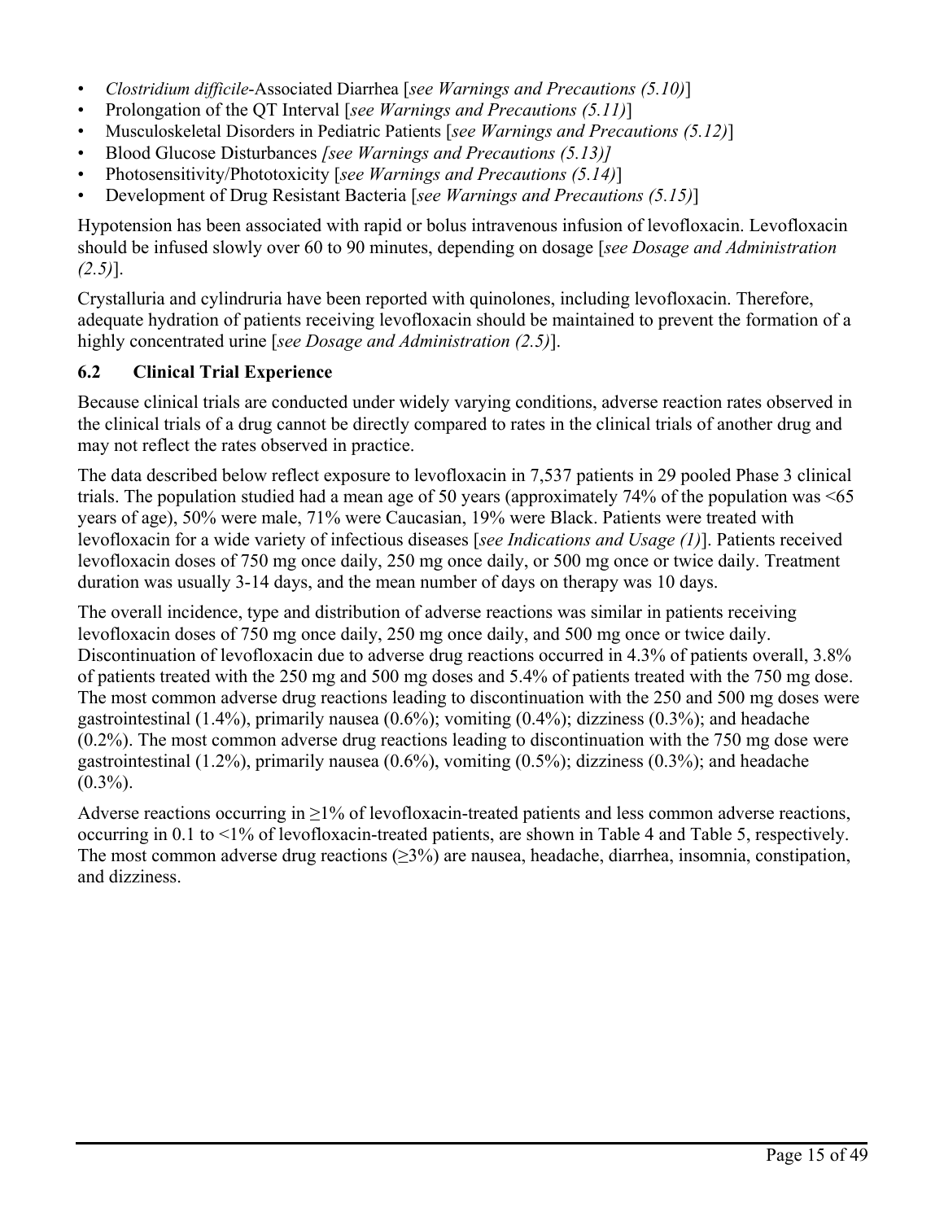- *Clostridium difficile*-Associated Diarrhea [*see Warnings and Precautions (5.10)*]
- Prolongation of the QT Interval [*see Warnings and Precautions (5.11)*]
- Musculoskeletal Disorders in Pediatric Patients [*see Warnings and Precautions (5.12)*]
- Blood Glucose Disturbances *[see Warnings and Precautions (5.13)]*
- Photosensitivity/Phototoxicity [*see Warnings and Precautions (5.14)*]
- Development of Drug Resistant Bacteria [*see Warnings and Precautions (5.15)*]

Hypotension has been associated with rapid or bolus intravenous infusion of levofloxacin. Levofloxacin should be infused slowly over 60 to 90 minutes, depending on dosage [*see Dosage and Administration (2.5)*].

Crystalluria and cylindruria have been reported with quinolones, including levofloxacin. Therefore, adequate hydration of patients receiving levofloxacin should be maintained to prevent the formation of a highly concentrated urine [*see Dosage and Administration (2.5)*].

## **6.2 Clinical Trial Experience**

Because clinical trials are conducted under widely varying conditions, adverse reaction rates observed in the clinical trials of a drug cannot be directly compared to rates in the clinical trials of another drug and may not reflect the rates observed in practice.

The data described below reflect exposure to levofloxacin in 7,537 patients in 29 pooled Phase 3 clinical trials. The population studied had a mean age of 50 years (approximately 74% of the population was <65 years of age), 50% were male, 71% were Caucasian, 19% were Black. Patients were treated with levofloxacin for a wide variety of infectious diseases [*see Indications and Usage (1)*]. Patients received levofloxacin doses of 750 mg once daily, 250 mg once daily, or 500 mg once or twice daily. Treatment duration was usually 3-14 days, and the mean number of days on therapy was 10 days.

The overall incidence, type and distribution of adverse reactions was similar in patients receiving levofloxacin doses of 750 mg once daily, 250 mg once daily, and 500 mg once or twice daily. Discontinuation of levofloxacin due to adverse drug reactions occurred in 4.3% of patients overall, 3.8% of patients treated with the 250 mg and 500 mg doses and 5.4% of patients treated with the 750 mg dose. The most common adverse drug reactions leading to discontinuation with the 250 and 500 mg doses were gastrointestinal  $(1.4\%)$ , primarily nausea  $(0.6\%)$ ; vomiting  $(0.4\%)$ ; dizziness  $(0.3\%)$ ; and headache (0.2%). The most common adverse drug reactions leading to discontinuation with the 750 mg dose were gastrointestinal  $(1.2\%)$ , primarily nausea  $(0.6\%)$ , vomiting  $(0.5\%)$ ; dizziness  $(0.3\%)$ ; and headache  $(0.3\%)$ .

Adverse reactions occurring in  $\geq$ 1% of levofloxacin-treated patients and less common adverse reactions, occurring in 0.1 to <1% of levofloxacin-treated patients, are shown in Table 4 and Table 5, respectively. The most common adverse drug reactions  $(≥3%)$  are nausea, headache, diarrhea, insomnia, constipation, and dizziness.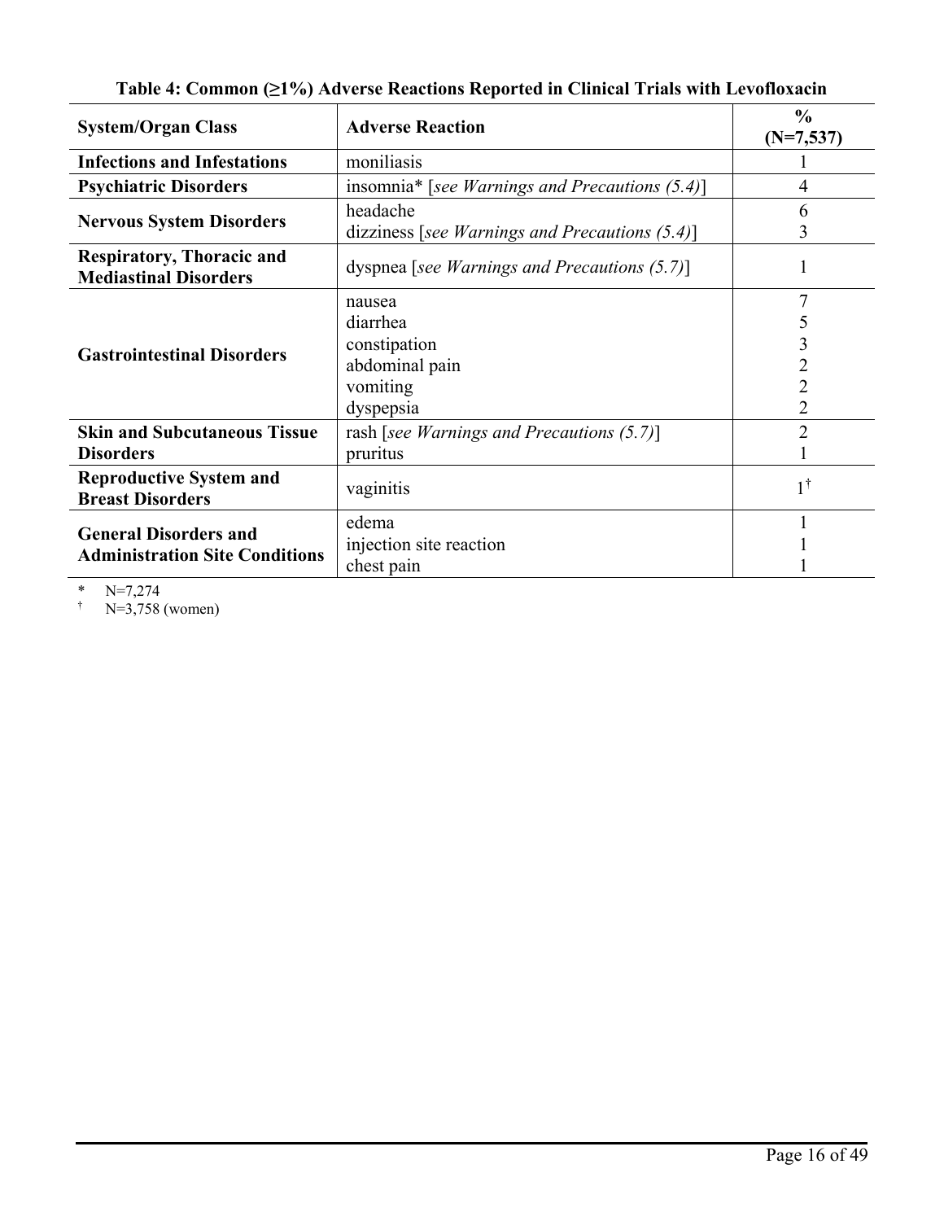| <b>System/Organ Class</b>                                             | <b>Adverse Reaction</b>                                                       | $\frac{0}{0}$<br>$(N=7,537)$ |
|-----------------------------------------------------------------------|-------------------------------------------------------------------------------|------------------------------|
| <b>Infections and Infestations</b>                                    | moniliasis                                                                    |                              |
| <b>Psychiatric Disorders</b>                                          | insomnia* [see Warnings and Precautions (5.4)]                                | 4                            |
| <b>Nervous System Disorders</b>                                       | headache<br>dizziness [see Warnings and Precautions $(5.4)$ ]                 | 6<br>3                       |
| <b>Respiratory, Thoracic and</b><br><b>Mediastinal Disorders</b>      | dyspnea [see Warnings and Precautions $(5.7)$ ]                               |                              |
| <b>Gastrointestinal Disorders</b>                                     | nausea<br>diarrhea<br>constipation<br>abdominal pain<br>vomiting<br>dyspepsia | 3<br>2<br>2                  |
| <b>Skin and Subcutaneous Tissue</b><br><b>Disorders</b>               | rash [see Warnings and Precautions $(5.7)$ ]<br>pruritus                      | າ                            |
| <b>Reproductive System and</b><br><b>Breast Disorders</b>             | vaginitis                                                                     | $1^{\dagger}$                |
| <b>General Disorders and</b><br><b>Administration Site Conditions</b> | edema<br>injection site reaction<br>chest pain                                |                              |

**Table 4: Common (≥1%) Adverse Reactions Reported in Clinical Trials with Levofloxacin**

\*  $N=7,274$ <br>  $N=3,758$ 

 $N=3,758$  (women)

Page 16 of 49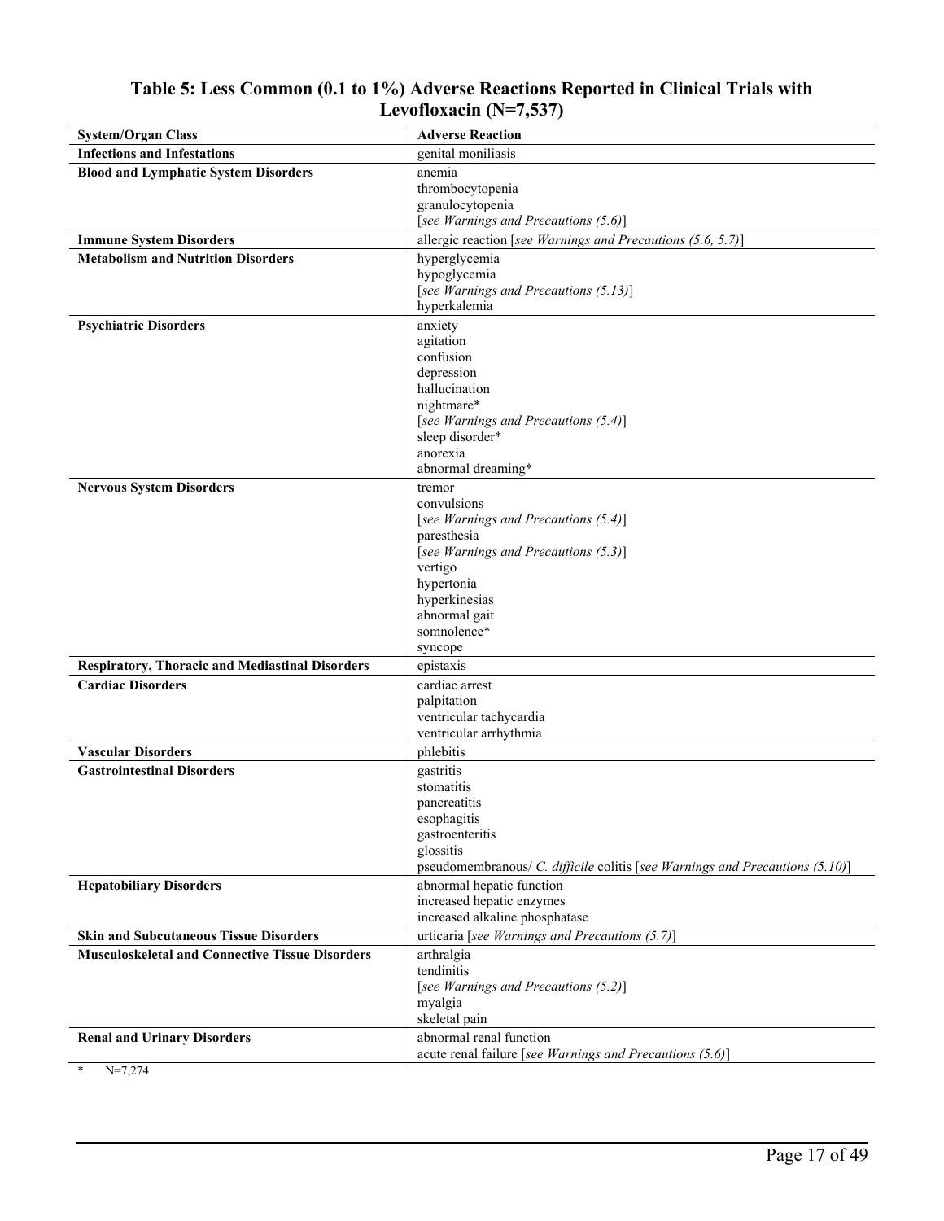| <b>System/Organ Class</b>                              | <b>Adverse Reaction</b>                                                      |
|--------------------------------------------------------|------------------------------------------------------------------------------|
| <b>Infections and Infestations</b>                     | genital moniliasis                                                           |
| <b>Blood and Lymphatic System Disorders</b>            | anemia                                                                       |
|                                                        | thrombocytopenia                                                             |
|                                                        | granulocytopenia                                                             |
|                                                        | [see Warnings and Precautions (5.6)]                                         |
| <b>Immune System Disorders</b>                         | allergic reaction [see Warnings and Precautions (5.6, 5.7)]                  |
| <b>Metabolism and Nutrition Disorders</b>              | hyperglycemia                                                                |
|                                                        | hypoglycemia                                                                 |
|                                                        | [see Warnings and Precautions (5.13)]                                        |
|                                                        | hyperkalemia                                                                 |
| <b>Psychiatric Disorders</b>                           | anxiety                                                                      |
|                                                        | agitation                                                                    |
|                                                        | confusion                                                                    |
|                                                        | depression                                                                   |
|                                                        | hallucination<br>nightmare*                                                  |
|                                                        | [see Warnings and Precautions (5.4)]                                         |
|                                                        | sleep disorder*                                                              |
|                                                        | anorexia                                                                     |
|                                                        | abnormal dreaming*                                                           |
| <b>Nervous System Disorders</b>                        | tremor                                                                       |
|                                                        | convulsions                                                                  |
|                                                        | [see Warnings and Precautions (5.4)]                                         |
|                                                        | paresthesia                                                                  |
|                                                        | [see Warnings and Precautions (5.3)]                                         |
|                                                        | vertigo                                                                      |
|                                                        | hypertonia                                                                   |
|                                                        | hyperkinesias<br>abnormal gait                                               |
|                                                        | somnolence*                                                                  |
|                                                        | syncope                                                                      |
| <b>Respiratory, Thoracic and Mediastinal Disorders</b> | epistaxis                                                                    |
| <b>Cardiac Disorders</b>                               | cardiac arrest                                                               |
|                                                        | palpitation                                                                  |
|                                                        | ventricular tachycardia                                                      |
|                                                        | ventricular arrhythmia                                                       |
| <b>Vascular Disorders</b>                              | phlebitis                                                                    |
| <b>Gastrointestinal Disorders</b>                      | gastritis                                                                    |
|                                                        | stomatitis                                                                   |
|                                                        | pancreatitis                                                                 |
|                                                        | esophagitis                                                                  |
|                                                        | gastroenteritis                                                              |
|                                                        | glossitis                                                                    |
|                                                        | pseudomembranous/ C. difficile colitis [see Warnings and Precautions (5.10)] |
| <b>Hepatobiliary Disorders</b>                         | abnormal hepatic function                                                    |
|                                                        | increased hepatic enzymes<br>increased alkaline phosphatase                  |
| <b>Skin and Subcutaneous Tissue Disorders</b>          | urticaria [see Warnings and Precautions (5.7)]                               |
| <b>Musculoskeletal and Connective Tissue Disorders</b> |                                                                              |
|                                                        | arthralgia<br>tendinitis                                                     |
|                                                        | [see Warnings and Precautions (5.2)]                                         |
|                                                        | myalgia                                                                      |
|                                                        | skeletal pain                                                                |
| <b>Renal and Urinary Disorders</b>                     | abnormal renal function                                                      |
|                                                        | acute renal failure [see Warnings and Precautions (5.6)]                     |

## **Table 5: Less Common (0.1 to 1%) Adverse Reactions Reported in Clinical Trials with Levofloxacin (N=7,537)**

 $N=7,274$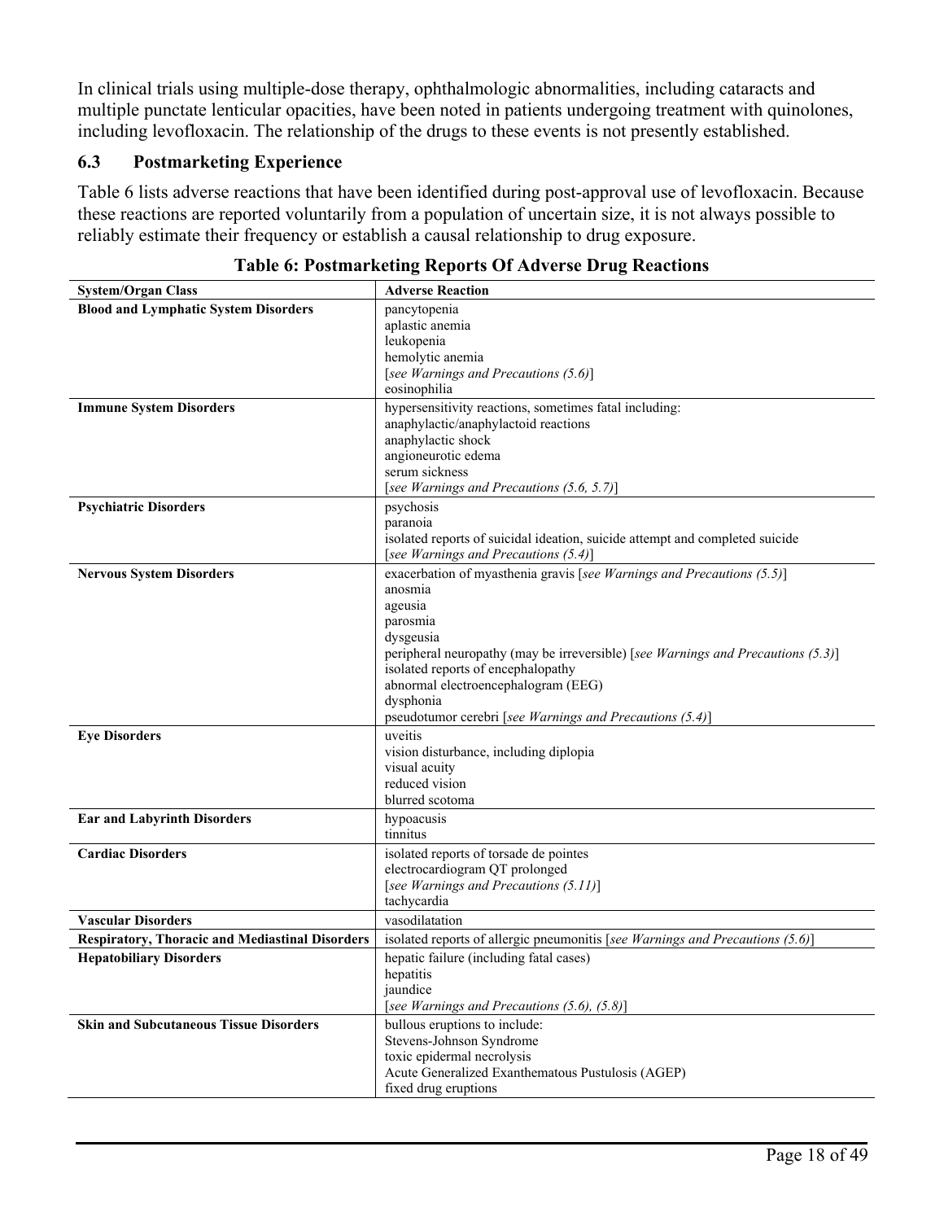In clinical trials using multiple-dose therapy, ophthalmologic abnormalities, including cataracts and multiple punctate lenticular opacities, have been noted in patients undergoing treatment with quinolones, including levofloxacin. The relationship of the drugs to these events is not presently established.

## **6.3 Postmarketing Experience**

Table 6 lists adverse reactions that have been identified during post-approval use of levofloxacin. Because these reactions are reported voluntarily from a population of uncertain size, it is not always possible to reliably estimate their frequency or establish a causal relationship to drug exposure.

| <b>System/Organ Class</b>                              | <b>Adverse Reaction</b>                                                                                                |
|--------------------------------------------------------|------------------------------------------------------------------------------------------------------------------------|
| <b>Blood and Lymphatic System Disorders</b>            | pancytopenia                                                                                                           |
|                                                        | aplastic anemia                                                                                                        |
|                                                        | leukopenia                                                                                                             |
|                                                        | hemolytic anemia                                                                                                       |
|                                                        | [see Warnings and Precautions (5.6)]                                                                                   |
|                                                        | eosinophilia                                                                                                           |
| <b>Immune System Disorders</b>                         | hypersensitivity reactions, sometimes fatal including:                                                                 |
|                                                        | anaphylactic/anaphylactoid reactions                                                                                   |
|                                                        | anaphylactic shock                                                                                                     |
|                                                        | angioneurotic edema                                                                                                    |
|                                                        | serum sickness                                                                                                         |
|                                                        | [see Warnings and Precautions (5.6, 5.7)]                                                                              |
| <b>Psychiatric Disorders</b>                           | psychosis                                                                                                              |
|                                                        | paranoia                                                                                                               |
|                                                        | isolated reports of suicidal ideation, suicide attempt and completed suicide                                           |
|                                                        | [see Warnings and Precautions (5.4)]                                                                                   |
| <b>Nervous System Disorders</b>                        | exacerbation of myasthenia gravis [see Warnings and Precautions (5.5)]                                                 |
|                                                        | anosmia                                                                                                                |
|                                                        | ageusia                                                                                                                |
|                                                        | parosmia                                                                                                               |
|                                                        | dysgeusia                                                                                                              |
|                                                        | peripheral neuropathy (may be irreversible) [see Warnings and Precautions (5.3)]<br>isolated reports of encephalopathy |
|                                                        | abnormal electroencephalogram (EEG)                                                                                    |
|                                                        | dysphonia                                                                                                              |
|                                                        | pseudotumor cerebri [see Warnings and Precautions (5.4)]                                                               |
| <b>Eye Disorders</b>                                   | uveitis                                                                                                                |
|                                                        | vision disturbance, including diplopia                                                                                 |
|                                                        | visual acuity                                                                                                          |
|                                                        | reduced vision                                                                                                         |
|                                                        | blurred scotoma                                                                                                        |
| <b>Ear and Labyrinth Disorders</b>                     | hypoacusis                                                                                                             |
|                                                        | tinnitus                                                                                                               |
| <b>Cardiac Disorders</b>                               | isolated reports of torsade de pointes                                                                                 |
|                                                        | electrocardiogram QT prolonged                                                                                         |
|                                                        | [see Warnings and Precautions (5.11)]                                                                                  |
|                                                        | tachycardia                                                                                                            |
| <b>Vascular Disorders</b>                              | vasodilatation                                                                                                         |
| <b>Respiratory, Thoracic and Mediastinal Disorders</b> | isolated reports of allergic pneumonitis [see Warnings and Precautions (5.6)]                                          |
| <b>Hepatobiliary Disorders</b>                         | hepatic failure (including fatal cases)                                                                                |
|                                                        | hepatitis                                                                                                              |
|                                                        | jaundice                                                                                                               |
|                                                        | [see Warnings and Precautions (5.6), (5.8)]                                                                            |
| <b>Skin and Subcutaneous Tissue Disorders</b>          | bullous eruptions to include:                                                                                          |
|                                                        | Stevens-Johnson Syndrome                                                                                               |
|                                                        | toxic epidermal necrolysis                                                                                             |
|                                                        | Acute Generalized Exanthematous Pustulosis (AGEP)                                                                      |
|                                                        | fixed drug eruptions                                                                                                   |

**Table 6: Postmarketing Reports Of Adverse Drug Reactions**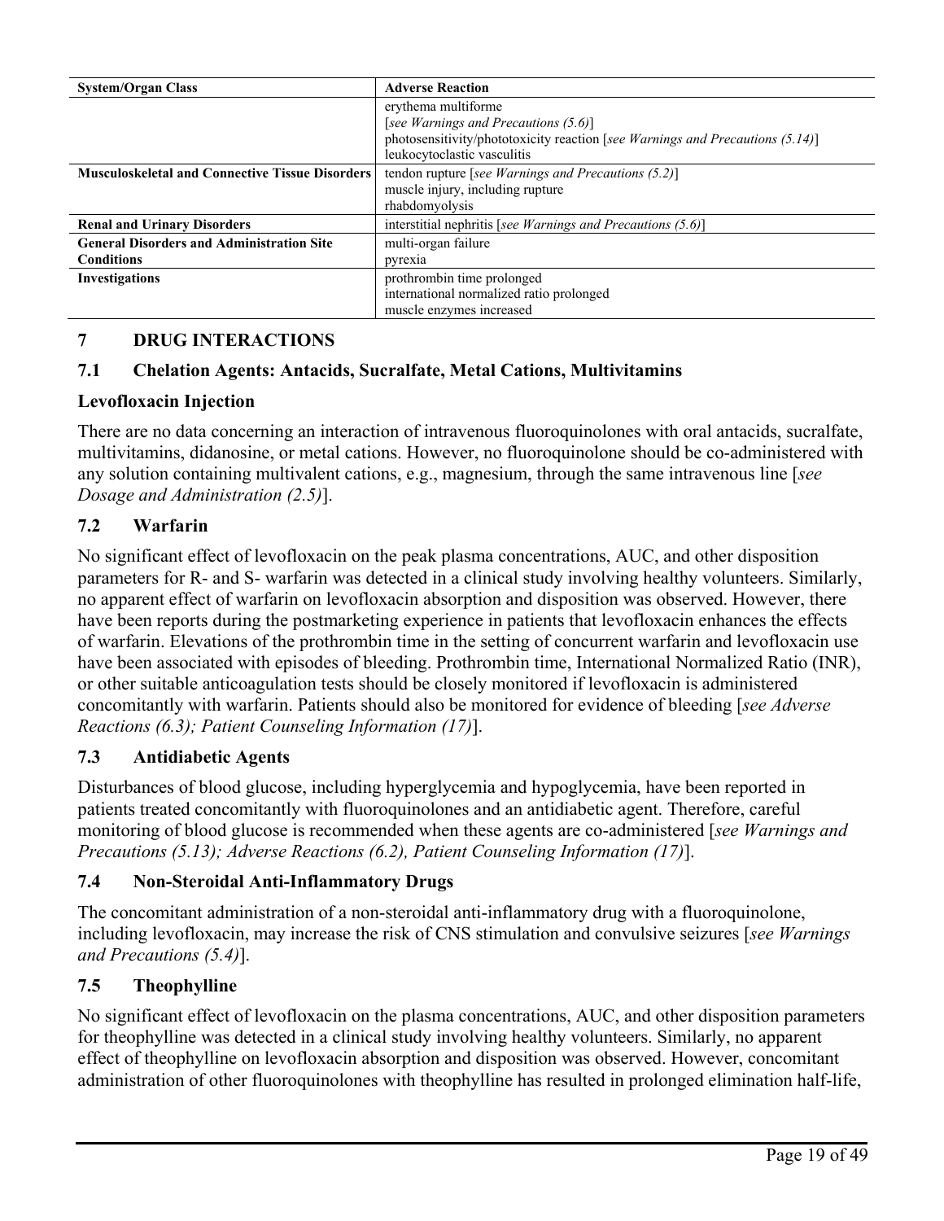| <b>System/Organ Class</b>                                             | <b>Adverse Reaction</b>                                                                                                                                                     |
|-----------------------------------------------------------------------|-----------------------------------------------------------------------------------------------------------------------------------------------------------------------------|
|                                                                       | erythema multiforme<br>[see Warnings and Precautions (5.6)]<br>photosensitivity/phototoxicity reaction [see Warnings and Precautions (5.14)]<br>leukocytoclastic vasculitis |
| <b>Musculoskeletal and Connective Tissue Disorders</b>                | tendon rupture [see Warnings and Precautions $(5.2)$ ]<br>muscle injury, including rupture<br>rhabdomyolysis                                                                |
| <b>Renal and Urinary Disorders</b>                                    | interstitial nephritis [see Warnings and Precautions $(5.6)$ ]                                                                                                              |
| <b>General Disorders and Administration Site</b><br><b>Conditions</b> | multi-organ failure<br>pyrexia                                                                                                                                              |
| Investigations                                                        | prothrombin time prolonged<br>international normalized ratio prolonged<br>muscle enzymes increased                                                                          |

# **7 DRUG INTERACTIONS**

## **7.1 Chelation Agents: Antacids, Sucralfate, Metal Cations, Multivitamins**

### **Levofloxacin Injection**

There are no data concerning an interaction of intravenous fluoroquinolones with oral antacids, sucralfate, multivitamins, didanosine, or metal cations. However, no fluoroquinolone should be co-administered with any solution containing multivalent cations, e.g., magnesium, through the same intravenous line [*see Dosage and Administration (2.5)*].

## **7.2 Warfarin**

No significant effect of levofloxacin on the peak plasma concentrations, AUC, and other disposition parameters for R- and S- warfarin was detected in a clinical study involving healthy volunteers. Similarly, no apparent effect of warfarin on levofloxacin absorption and disposition was observed. However, there have been reports during the postmarketing experience in patients that levofloxacin enhances the effects of warfarin. Elevations of the prothrombin time in the setting of concurrent warfarin and levofloxacin use have been associated with episodes of bleeding. Prothrombin time, International Normalized Ratio (INR), or other suitable anticoagulation tests should be closely monitored if levofloxacin is administered concomitantly with warfarin. Patients should also be monitored for evidence of bleeding [*see Adverse Reactions (6.3); Patient Counseling Information (17)*].

### **7.3 Antidiabetic Agents**

Disturbances of blood glucose, including hyperglycemia and hypoglycemia, have been reported in patients treated concomitantly with fluoroquinolones and an antidiabetic agent. Therefore, careful monitoring of blood glucose is recommended when these agents are co-administered [*see Warnings and Precautions (5.13); Adverse Reactions (6.2), Patient Counseling Information (17)*].

## **7.4 Non-Steroidal Anti-Inflammatory Drugs**

The concomitant administration of a non-steroidal anti-inflammatory drug with a fluoroquinolone, including levofloxacin, may increase the risk of CNS stimulation and convulsive seizures [*see Warnings and Precautions (5.4)*].

### **7.5 Theophylline**

No significant effect of levofloxacin on the plasma concentrations, AUC, and other disposition parameters for theophylline was detected in a clinical study involving healthy volunteers. Similarly, no apparent effect of theophylline on levofloxacin absorption and disposition was observed. However, concomitant administration of other fluoroquinolones with theophylline has resulted in prolonged elimination half-life,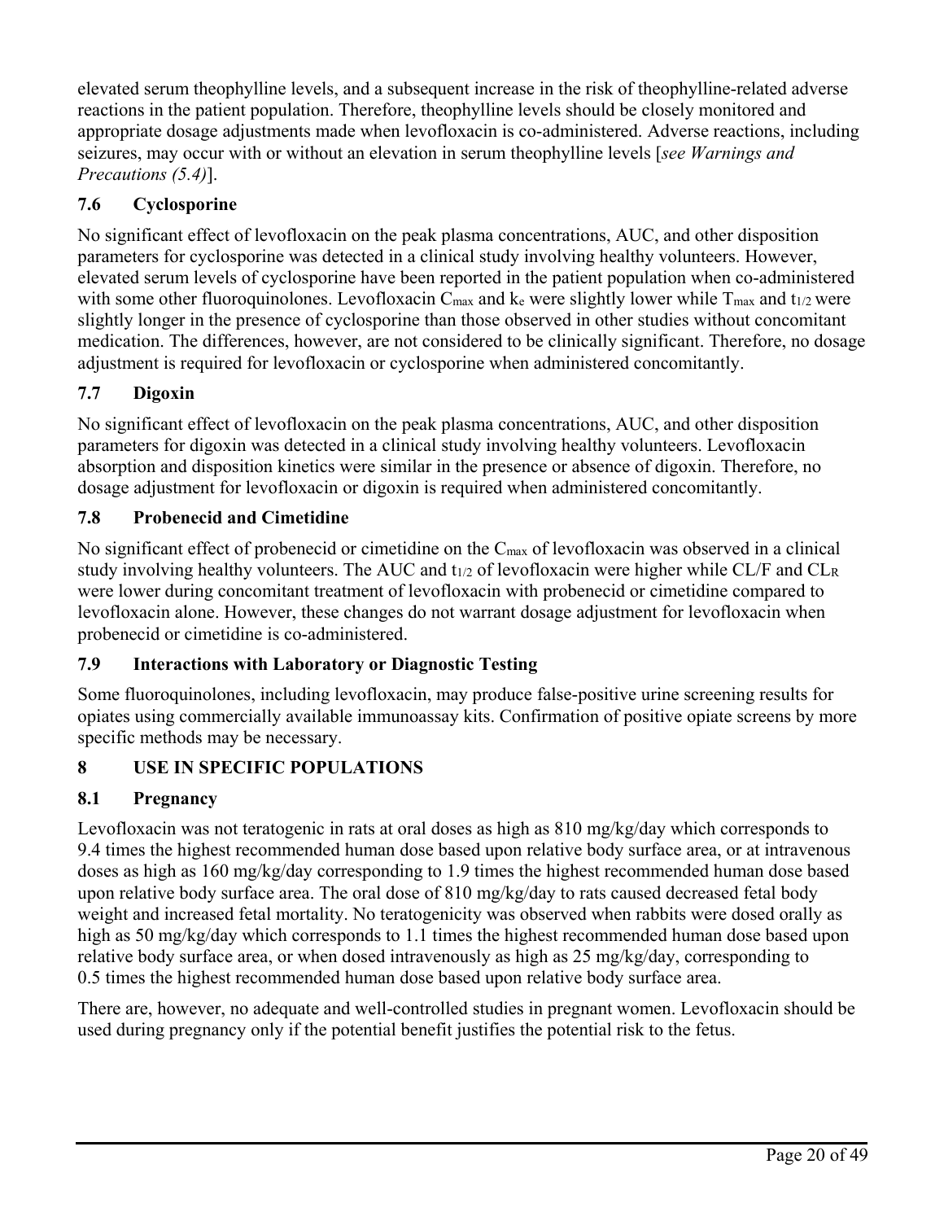elevated serum theophylline levels, and a subsequent increase in the risk of theophylline-related adverse reactions in the patient population. Therefore, theophylline levels should be closely monitored and appropriate dosage adjustments made when levofloxacin is co-administered. Adverse reactions, including seizures, may occur with or without an elevation in serum theophylline levels [*see Warnings and Precautions (5.4)*].

# **7.6 Cyclosporine**

No significant effect of levofloxacin on the peak plasma concentrations, AUC, and other disposition parameters for cyclosporine was detected in a clinical study involving healthy volunteers. However, elevated serum levels of cyclosporine have been reported in the patient population when co-administered with some other fluoroquinolones. Levofloxacin  $C_{\text{max}}$  and ke were slightly lower while  $T_{\text{max}}$  and t<sub>1/2</sub> were slightly longer in the presence of cyclosporine than those observed in other studies without concomitant medication. The differences, however, are not considered to be clinically significant. Therefore, no dosage adjustment is required for levofloxacin or cyclosporine when administered concomitantly.

# **7.7 Digoxin**

No significant effect of levofloxacin on the peak plasma concentrations, AUC, and other disposition parameters for digoxin was detected in a clinical study involving healthy volunteers. Levofloxacin absorption and disposition kinetics were similar in the presence or absence of digoxin. Therefore, no dosage adjustment for levofloxacin or digoxin is required when administered concomitantly.

# **7.8 Probenecid and Cimetidine**

No significant effect of probenecid or cimetidine on the  $C_{\text{max}}$  of levofloxacin was observed in a clinical study involving healthy volunteers. The AUC and  $t_{1/2}$  of levofloxacin were higher while CL/F and CL<sub>R</sub> were lower during concomitant treatment of levofloxacin with probenecid or cimetidine compared to levofloxacin alone. However, these changes do not warrant dosage adjustment for levofloxacin when probenecid or cimetidine is co-administered.

# **7.9 Interactions with Laboratory or Diagnostic Testing**

Some fluoroquinolones, including levofloxacin, may produce false-positive urine screening results for opiates using commercially available immunoassay kits. Confirmation of positive opiate screens by more specific methods may be necessary.

# **8 USE IN SPECIFIC POPULATIONS**

# **8.1 Pregnancy**

Levofloxacin was not teratogenic in rats at oral doses as high as 810 mg/kg/day which corresponds to 9.4 times the highest recommended human dose based upon relative body surface area, or at intravenous doses as high as 160 mg/kg/day corresponding to 1.9 times the highest recommended human dose based upon relative body surface area. The oral dose of 810 mg/kg/day to rats caused decreased fetal body weight and increased fetal mortality. No teratogenicity was observed when rabbits were dosed orally as high as 50 mg/kg/day which corresponds to 1.1 times the highest recommended human dose based upon relative body surface area, or when dosed intravenously as high as 25 mg/kg/day, corresponding to 0.5 times the highest recommended human dose based upon relative body surface area.

There are, however, no adequate and well-controlled studies in pregnant women. Levofloxacin should be used during pregnancy only if the potential benefit justifies the potential risk to the fetus.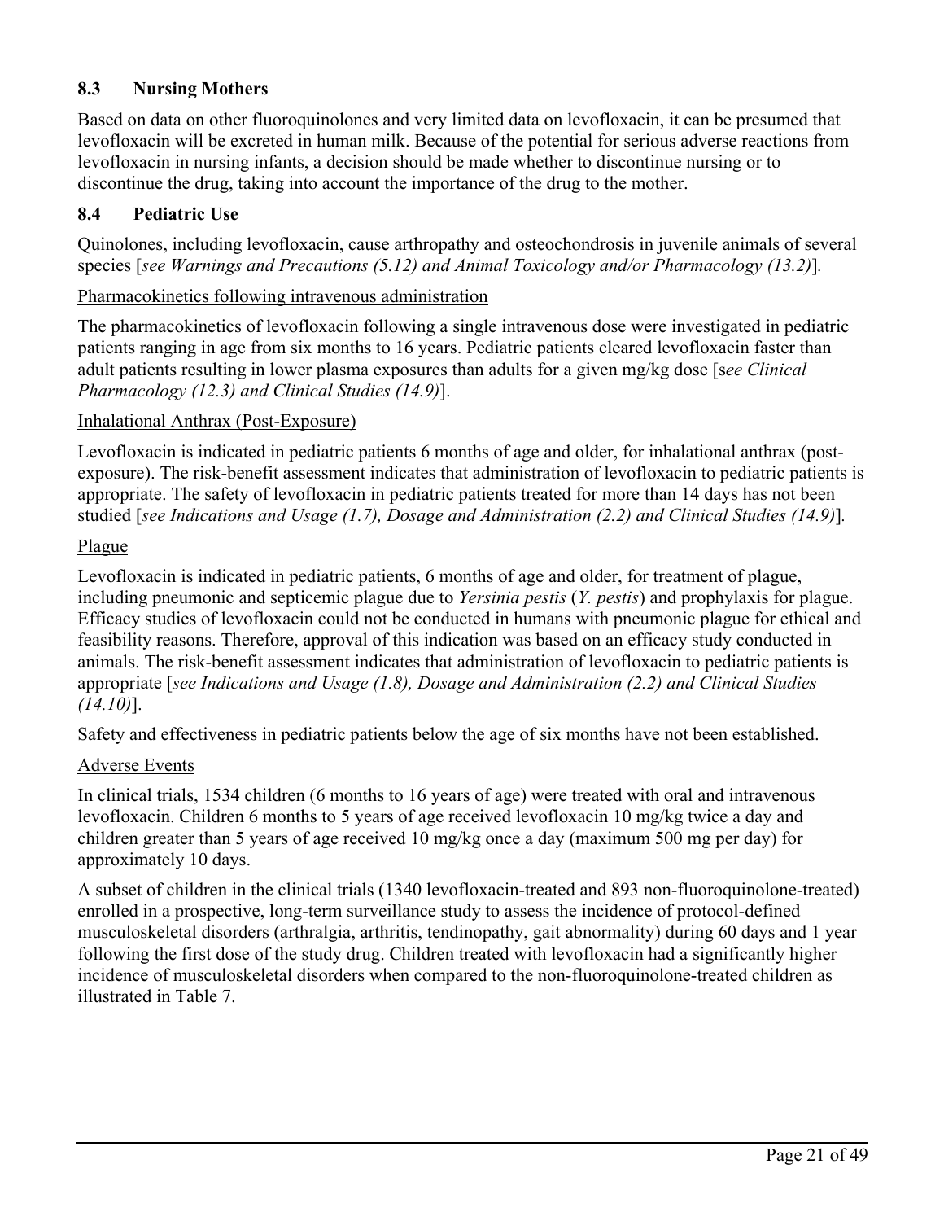# **8.3 Nursing Mothers**

Based on data on other fluoroquinolones and very limited data on levofloxacin, it can be presumed that levofloxacin will be excreted in human milk. Because of the potential for serious adverse reactions from levofloxacin in nursing infants, a decision should be made whether to discontinue nursing or to discontinue the drug, taking into account the importance of the drug to the mother.

## **8.4 Pediatric Use**

Quinolones, including levofloxacin, cause arthropathy and osteochondrosis in juvenile animals of several species [*see Warnings and Precautions (5.12) and Animal Toxicology and/or Pharmacology (13.2)*]*.*

## Pharmacokinetics following intravenous administration

The pharmacokinetics of levofloxacin following a single intravenous dose were investigated in pediatric patients ranging in age from six months to 16 years. Pediatric patients cleared levofloxacin faster than adult patients resulting in lower plasma exposures than adults for a given mg/kg dose [s*ee Clinical Pharmacology (12.3) and Clinical Studies (14.9)*].

## Inhalational Anthrax (Post-Exposure)

Levofloxacin is indicated in pediatric patients 6 months of age and older, for inhalational anthrax (postexposure). The risk-benefit assessment indicates that administration of levofloxacin to pediatric patients is appropriate. The safety of levofloxacin in pediatric patients treated for more than 14 days has not been studied [*see Indications and Usage (1.7), Dosage and Administration (2.2) and Clinical Studies (14.9)*]*.*

## Plague

Levofloxacin is indicated in pediatric patients, 6 months of age and older, for treatment of plague, including pneumonic and septicemic plague due to *Yersinia pestis* (*Y. pestis*) and prophylaxis for plague. Efficacy studies of levofloxacin could not be conducted in humans with pneumonic plague for ethical and feasibility reasons. Therefore, approval of this indication was based on an efficacy study conducted in animals. The risk-benefit assessment indicates that administration of levofloxacin to pediatric patients is appropriate [*see Indications and Usage (1.8), Dosage and Administration (2.2) and Clinical Studies (14.10)*].

Safety and effectiveness in pediatric patients below the age of six months have not been established.

### Adverse Events

In clinical trials, 1534 children (6 months to 16 years of age) were treated with oral and intravenous levofloxacin. Children 6 months to 5 years of age received levofloxacin 10 mg/kg twice a day and children greater than 5 years of age received 10 mg/kg once a day (maximum 500 mg per day) for approximately 10 days.

A subset of children in the clinical trials (1340 levofloxacin-treated and 893 non-fluoroquinolone-treated) enrolled in a prospective, long-term surveillance study to assess the incidence of protocol-defined musculoskeletal disorders (arthralgia, arthritis, tendinopathy, gait abnormality) during 60 days and 1 year following the first dose of the study drug. Children treated with levofloxacin had a significantly higher incidence of musculoskeletal disorders when compared to the non-fluoroquinolone-treated children as illustrated in Table 7.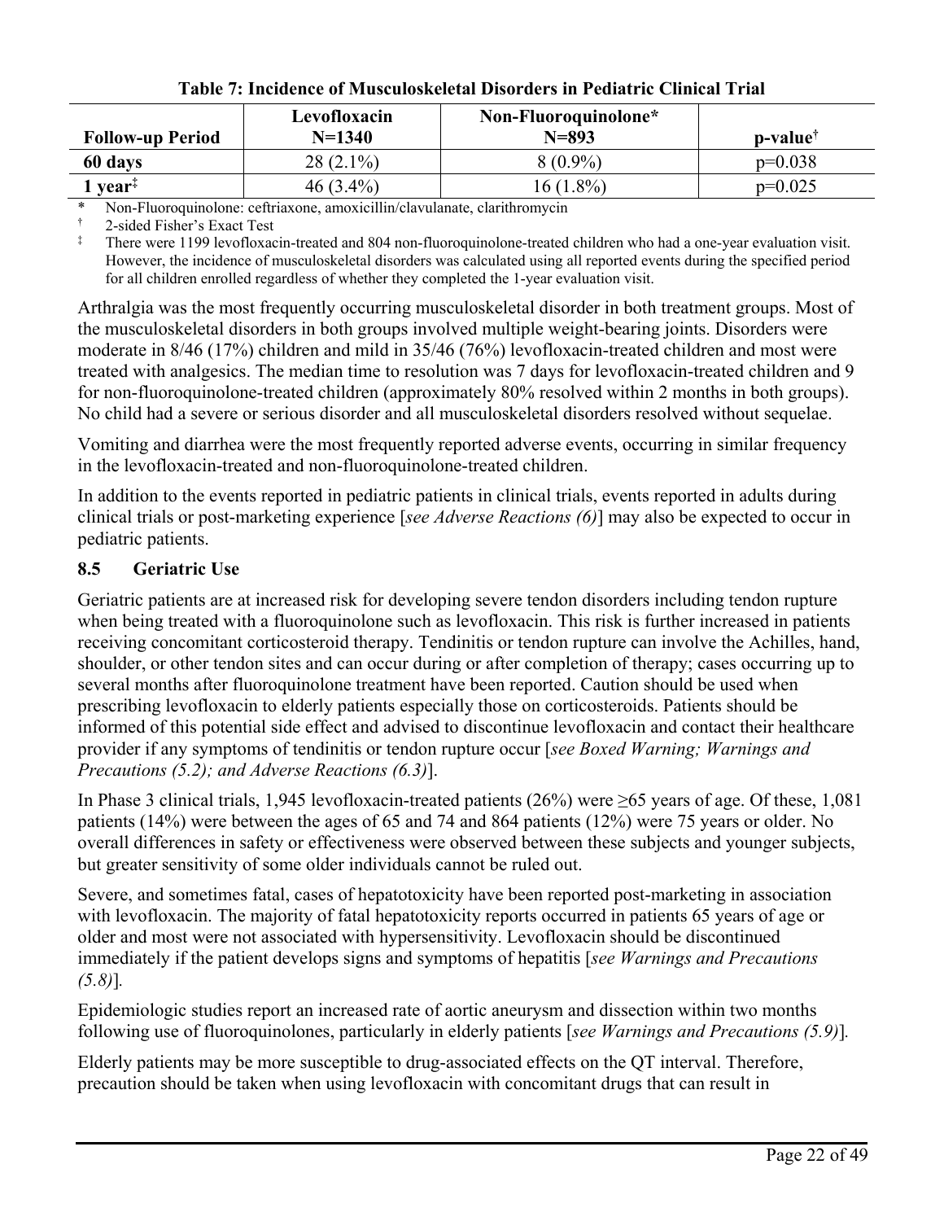| <b>Follow-up Period</b>                           | Levofloxacin<br>$N=1340$ | Non-Fluoroquinolone*<br>$N = 893$ | <b>p-value</b> <sup>†</sup> |
|---------------------------------------------------|--------------------------|-----------------------------------|-----------------------------|
| 60 days                                           | $28(2.1\%)$              | $8(0.9\%)$                        | $p=0.038$                   |
| $\triangle$ year <sup><math>\ddagger</math></sup> | $46(3.4\%)$              | 16 (1.8%)                         | $p=0.025$                   |

**Table 7: Incidence of Musculoskeletal Disorders in Pediatric Clinical Trial**

\* Non-Fluoroquinolone: ceftriaxone, amoxicillin/clavulanate, clarithromycin

† 2-sided Fisher's Exact Test

There were 1199 levofloxacin-treated and 804 non-fluoroquinolone-treated children who had a one-year evaluation visit. However, the incidence of musculoskeletal disorders was calculated using all reported events during the specified period for all children enrolled regardless of whether they completed the 1-year evaluation visit.

Arthralgia was the most frequently occurring musculoskeletal disorder in both treatment groups. Most of the musculoskeletal disorders in both groups involved multiple weight-bearing joints. Disorders were moderate in 8/46 (17%) children and mild in 35/46 (76%) levofloxacin-treated children and most were treated with analgesics. The median time to resolution was 7 days for levofloxacin-treated children and 9 for non-fluoroquinolone-treated children (approximately 80% resolved within 2 months in both groups). No child had a severe or serious disorder and all musculoskeletal disorders resolved without sequelae.

Vomiting and diarrhea were the most frequently reported adverse events, occurring in similar frequency in the levofloxacin-treated and non-fluoroquinolone-treated children.

In addition to the events reported in pediatric patients in clinical trials, events reported in adults during clinical trials or post-marketing experience [*see Adverse Reactions (6)*] may also be expected to occur in pediatric patients.

# **8.5 Geriatric Use**

Geriatric patients are at increased risk for developing severe tendon disorders including tendon rupture when being treated with a fluoroquinolone such as levofloxacin. This risk is further increased in patients receiving concomitant corticosteroid therapy. Tendinitis or tendon rupture can involve the Achilles, hand, shoulder, or other tendon sites and can occur during or after completion of therapy; cases occurring up to several months after fluoroquinolone treatment have been reported. Caution should be used when prescribing levofloxacin to elderly patients especially those on corticosteroids. Patients should be informed of this potential side effect and advised to discontinue levofloxacin and contact their healthcare provider if any symptoms of tendinitis or tendon rupture occur [*see Boxed Warning; Warnings and Precautions (5.2); and Adverse Reactions (6.3)*].

In Phase 3 clinical trials, 1,945 levofloxacin-treated patients (26%) were ≥65 years of age. Of these, 1,081 patients (14%) were between the ages of 65 and 74 and 864 patients (12%) were 75 years or older. No overall differences in safety or effectiveness were observed between these subjects and younger subjects, but greater sensitivity of some older individuals cannot be ruled out.

Severe, and sometimes fatal, cases of hepatotoxicity have been reported post-marketing in association with levofloxacin. The majority of fatal hepatotoxicity reports occurred in patients 65 years of age or older and most were not associated with hypersensitivity. Levofloxacin should be discontinued immediately if the patient develops signs and symptoms of hepatitis [*see Warnings and Precautions (5.8)*]*.*

Epidemiologic studies report an increased rate of aortic aneurysm and dissection within two months following use of fluoroquinolones, particularly in elderly patients [*see Warnings and Precautions (5.9)*]*.*

Elderly patients may be more susceptible to drug-associated effects on the QT interval. Therefore, precaution should be taken when using levofloxacin with concomitant drugs that can result in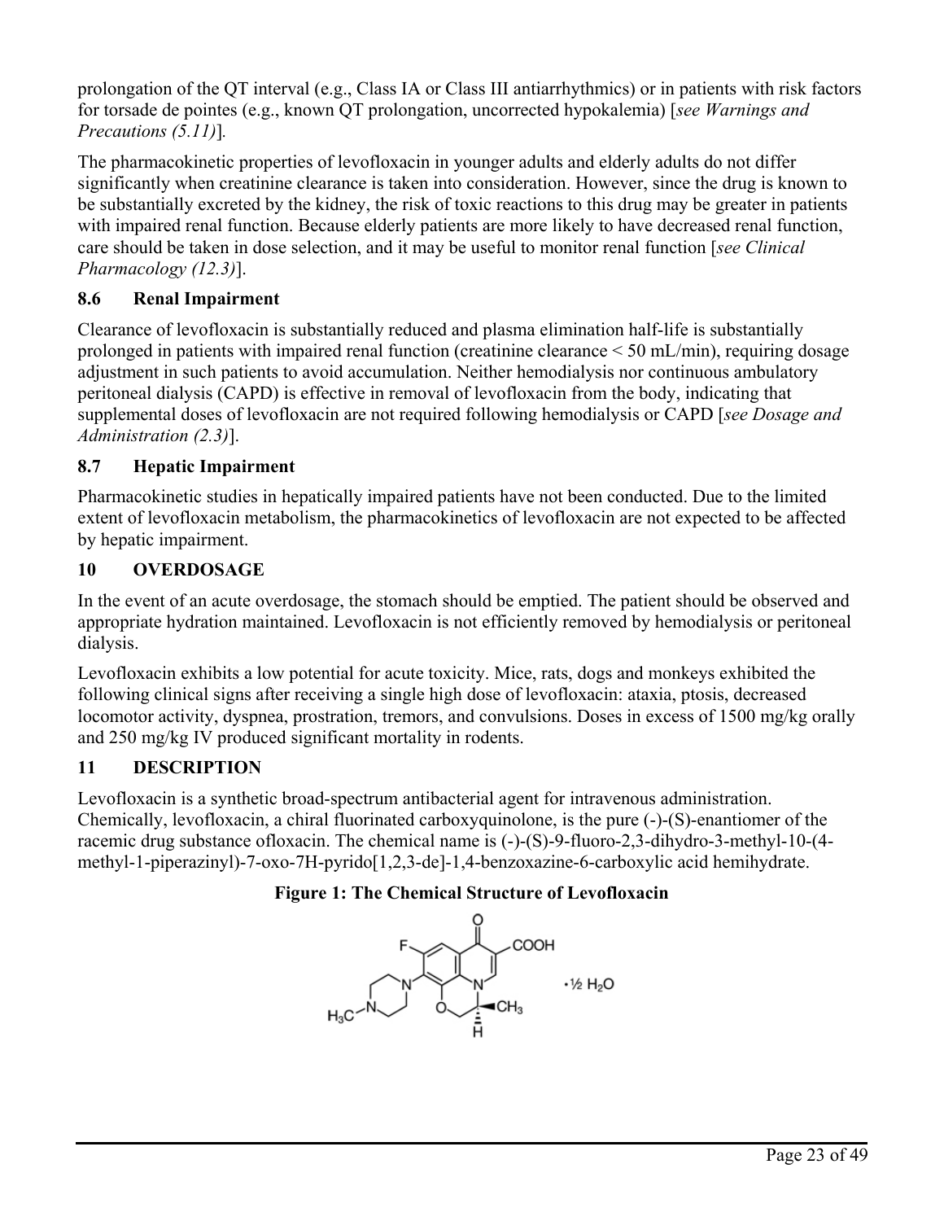prolongation of the QT interval (e.g., Class IA or Class III antiarrhythmics) or in patients with risk factors for torsade de pointes (e.g., known QT prolongation, uncorrected hypokalemia) [*see Warnings and Precautions (5.11)*]*.*

The pharmacokinetic properties of levofloxacin in younger adults and elderly adults do not differ significantly when creatinine clearance is taken into consideration. However, since the drug is known to be substantially excreted by the kidney, the risk of toxic reactions to this drug may be greater in patients with impaired renal function. Because elderly patients are more likely to have decreased renal function, care should be taken in dose selection, and it may be useful to monitor renal function [*see Clinical Pharmacology (12.3)*].

# **8.6 Renal Impairment**

Clearance of levofloxacin is substantially reduced and plasma elimination half-life is substantially prolonged in patients with impaired renal function (creatinine clearance < 50 mL/min), requiring dosage adjustment in such patients to avoid accumulation. Neither hemodialysis nor continuous ambulatory peritoneal dialysis (CAPD) is effective in removal of levofloxacin from the body, indicating that supplemental doses of levofloxacin are not required following hemodialysis or CAPD [*see Dosage and Administration (2.3)*].

# **8.7 Hepatic Impairment**

Pharmacokinetic studies in hepatically impaired patients have not been conducted. Due to the limited extent of levofloxacin metabolism, the pharmacokinetics of levofloxacin are not expected to be affected by hepatic impairment.

# **10 OVERDOSAGE**

In the event of an acute overdosage, the stomach should be emptied. The patient should be observed and appropriate hydration maintained. Levofloxacin is not efficiently removed by hemodialysis or peritoneal dialysis.

Levofloxacin exhibits a low potential for acute toxicity. Mice, rats, dogs and monkeys exhibited the following clinical signs after receiving a single high dose of levofloxacin: ataxia, ptosis, decreased locomotor activity, dyspnea, prostration, tremors, and convulsions. Doses in excess of 1500 mg/kg orally and 250 mg/kg IV produced significant mortality in rodents.

# **11 DESCRIPTION**

Levofloxacin is a synthetic broad-spectrum antibacterial agent for intravenous administration. Chemically, levofloxacin, a chiral fluorinated carboxyquinolone, is the pure (-)-(S)-enantiomer of the racemic drug substance ofloxacin. The chemical name is (-)-(S)-9-fluoro-2,3-dihydro-3-methyl-10-(4 methyl-1-piperazinyl)-7-oxo-7H-pyrido[1,2,3-de]-1,4-benzoxazine-6-carboxylic acid hemihydrate.

# **Figure 1: The Chemical Structure of Levofloxacin**

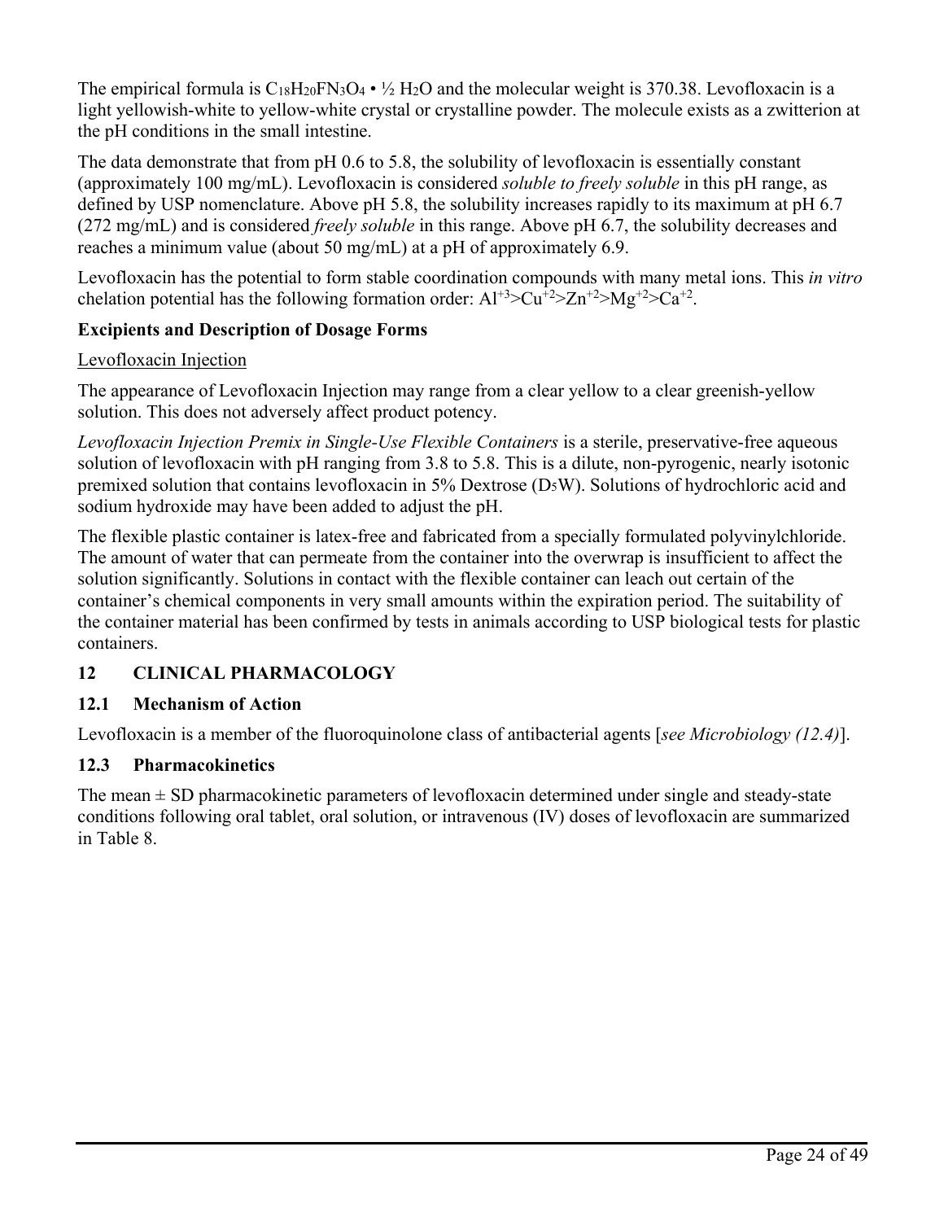The empirical formula is  $C_{18}H_{20}FN_3O_4 \cdot \frac{1}{2}H_2O$  and the molecular weight is 370.38. Levofloxacin is a light yellowish-white to yellow-white crystal or crystalline powder. The molecule exists as a zwitterion at the pH conditions in the small intestine.

The data demonstrate that from pH 0.6 to 5.8, the solubility of levofloxacin is essentially constant (approximately 100 mg/mL). Levofloxacin is considered *soluble to freely soluble* in this pH range, as defined by USP nomenclature. Above pH 5.8, the solubility increases rapidly to its maximum at pH 6.7 (272 mg/mL) and is considered *freely soluble* in this range. Above pH 6.7, the solubility decreases and reaches a minimum value (about 50 mg/mL) at a pH of approximately 6.9.

Levofloxacin has the potential to form stable coordination compounds with many metal ions. This *in vitro* chelation potential has the following formation order:  $Al^{+3} > Cu^{+2} > Zn^{+2} > Mg^{+2} > Ca^{+2}$ .

# **Excipients and Description of Dosage Forms**

# Levofloxacin Injection

The appearance of Levofloxacin Injection may range from a clear yellow to a clear greenish-yellow solution. This does not adversely affect product potency.

*Levofloxacin Injection Premix in Single-Use Flexible Containers* is a sterile, preservative-free aqueous solution of levofloxacin with pH ranging from 3.8 to 5.8. This is a dilute, non-pyrogenic, nearly isotonic premixed solution that contains levofloxacin in 5% Dextrose (D5W). Solutions of hydrochloric acid and sodium hydroxide may have been added to adjust the pH.

The flexible plastic container is latex-free and fabricated from a specially formulated polyvinylchloride. The amount of water that can permeate from the container into the overwrap is insufficient to affect the solution significantly. Solutions in contact with the flexible container can leach out certain of the container's chemical components in very small amounts within the expiration period. The suitability of the container material has been confirmed by tests in animals according to USP biological tests for plastic containers.

# **12 CLINICAL PHARMACOLOGY**

# **12.1 Mechanism of Action**

Levofloxacin is a member of the fluoroquinolone class of antibacterial agents [*see Microbiology (12.4)*].

# **12.3 Pharmacokinetics**

The mean  $\pm$  SD pharmacokinetic parameters of levofloxacin determined under single and steady-state conditions following oral tablet, oral solution, or intravenous (IV) doses of levofloxacin are summarized in Table 8.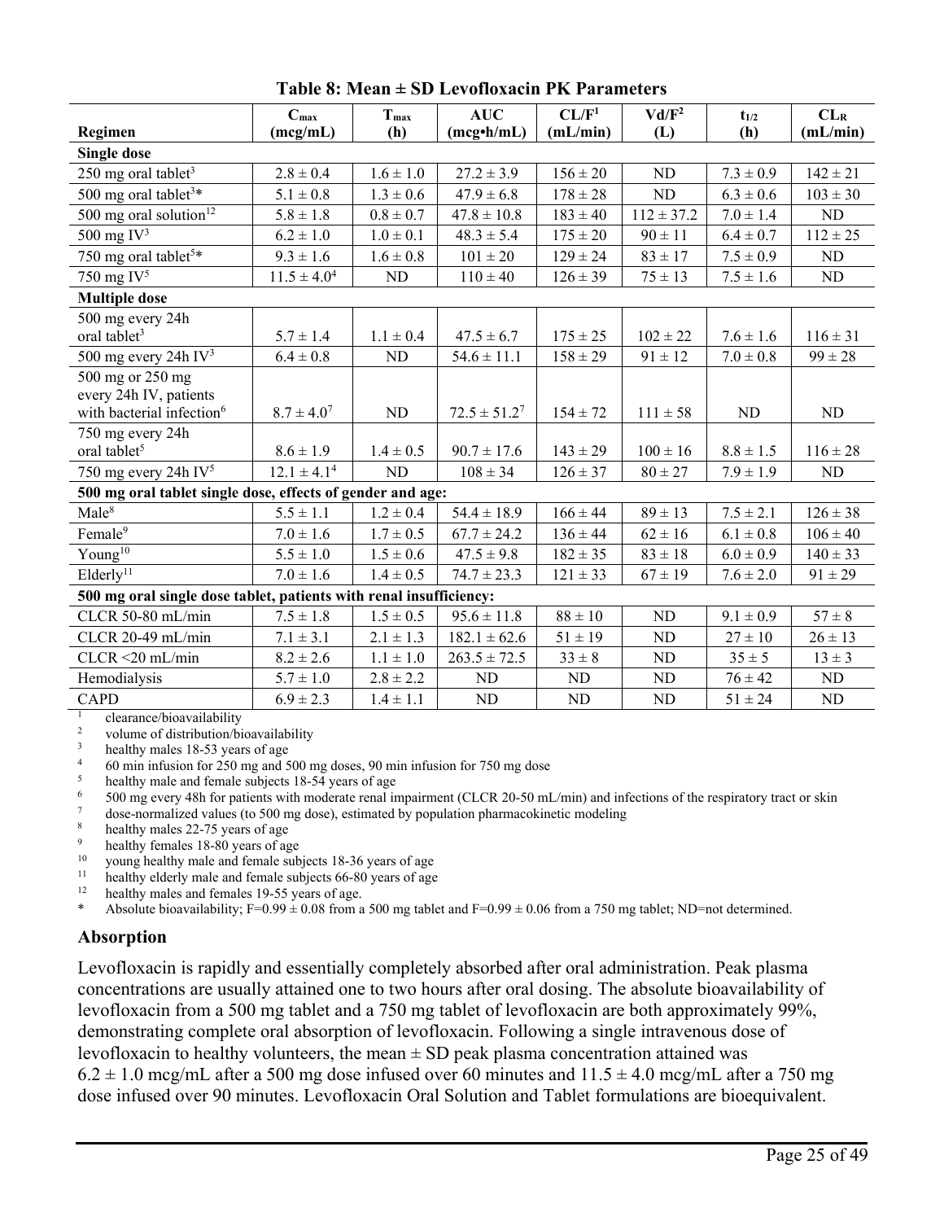|                                                                                                                                                | $C_{\text{max}}$                                     | $T_{max}$     | AUC               | CL/F <sup>1</sup> | $Vd/F^2$       | $t_{1/2}$      | CL <sub>R</sub> |
|------------------------------------------------------------------------------------------------------------------------------------------------|------------------------------------------------------|---------------|-------------------|-------------------|----------------|----------------|-----------------|
| Regimen                                                                                                                                        | (mcg/mL)                                             | (h)           | $(mcg\cdot h/mL)$ | (mL/min)          | (L)            | (h)            | (mL/min)        |
| <b>Single dose</b>                                                                                                                             |                                                      |               |                   |                   |                |                |                 |
| 250 mg oral tablet <sup>3</sup>                                                                                                                | $2.8 \pm 0.4$                                        | $1.6\pm1.0$   | $27.2 \pm 3.9$    | $156 \pm 20$      | N <sub>D</sub> | $7.3 \pm 0.9$  | $142 \pm 21$    |
| 500 mg oral tablet <sup>3*</sup>                                                                                                               | $5.1 \pm 0.8$                                        | $1.3\pm0.6$   | $47.9 \pm 6.8$    | $178 \pm 28$      | $\rm ND$       | $6.3 \pm 0.6$  | $103 \pm 30$    |
| 500 mg oral solution $12$                                                                                                                      | $5.8 \pm 1.8$                                        | $0.8 \pm 0.7$ | $47.8 \pm 10.8$   | $183 \pm 40$      | $112 \pm 37.2$ | $7.0 \pm 1.4$  | ND              |
| 500 mg $IV^3$                                                                                                                                  | $6.2 \pm 1.0$                                        | $1.0 \pm 0.1$ | $48.3 \pm 5.4$    | $175 \pm 20$      | $90 \pm 11$    | $6.4 \pm 0.7$  | $112 \pm 25$    |
| 750 mg oral tablet <sup>5*</sup>                                                                                                               | $9.3 \pm 1.6$                                        | $1.6 \pm 0.8$ | $101\pm20$        | $129 \pm 24$      | $83 \pm 17$    | $7.5 \pm 0.9$  | $\rm ND$        |
| 750 mg $IV^5$                                                                                                                                  | $11.5 \pm 4.0^4$                                     | ND            | $110 \pm 40$      | $126 \pm 39$      | $75 \pm 13$    | $7.5\pm1.6$    | ND              |
| <b>Multiple dose</b>                                                                                                                           |                                                      |               |                   |                   |                |                |                 |
| 500 mg every 24h                                                                                                                               |                                                      |               |                   |                   |                |                |                 |
| oral tablet <sup>3</sup>                                                                                                                       | $5.7 \pm 1.4$                                        | $1.1 \pm 0.4$ | $47.5 \pm 6.7$    | $175 \pm 25$      | $102 \pm 22$   | $7.6 \pm 1.6$  | $116 \pm 31$    |
| 500 mg every 24h $IV3$                                                                                                                         | $6.4 \pm 0.8$                                        | ND            | $54.6 \pm 11.1$   | $158 \pm 29$      | $91 \pm 12$    | $7.0 \pm 0.8$  | $99 \pm 28$     |
| 500 mg or 250 mg                                                                                                                               |                                                      |               |                   |                   |                |                |                 |
| every 24h IV, patients                                                                                                                         |                                                      |               |                   |                   |                |                |                 |
| with bacterial infection <sup>6</sup>                                                                                                          | $8.7 \pm 4.0^7$                                      | ND            | $72.5 \pm 51.2^7$ | $154 \pm 72$      | $111 \pm 58$   | N <sub>D</sub> | ND              |
| 750 mg every 24h                                                                                                                               |                                                      |               |                   |                   |                |                |                 |
| oral tablet <sup>5</sup>                                                                                                                       | $8.6 \pm 1.9$                                        | $1.4 \pm 0.5$ | $90.7 \pm 17.6$   | $143 \pm 29$      | $100 \pm 16$   | $8.8 \pm 1.5$  | $116 \pm 28$    |
| 750 mg every 24h IV <sup>5</sup>                                                                                                               | $12.1 \pm 4.1^4$                                     | ND            | $108 \pm 34$      | $126 \pm 37$      | $80 \pm 27$    | $7.9 \pm 1.9$  | ND              |
| 500 mg oral tablet single dose, effects of gender and age:                                                                                     |                                                      |               |                   |                   |                |                |                 |
| Male <sup>8</sup>                                                                                                                              | $5.5 \pm 1.1$                                        | $1.2 \pm 0.4$ | $54.4 \pm 18.9$   | $166 \pm 44$      | $89\pm13$      | $7.5 \pm 2.1$  | $126 \pm 38$    |
| Female <sup>9</sup>                                                                                                                            | $7.0 \pm 1.6$                                        | $1.7 \pm 0.5$ | $67.7 \pm 24.2$   | $136 \pm 44$      | $62 \pm 16$    | $6.1 \pm 0.8$  | $106 \pm 40$    |
| Young $10$                                                                                                                                     | $5.5 \pm 1.0$                                        | $1.5 \pm 0.6$ | $47.5 \pm 9.8$    | $182 \pm 35$      | $83 \pm 18$    | $6.0 \pm 0.9$  | $140 \pm 33$    |
| Elderly <sup>11</sup>                                                                                                                          | $7.0 \pm 1.6$                                        | $1.4 \pm 0.5$ | $74.7 \pm 23.3$   | $121 \pm 33$      | $67 \pm 19$    | $7.6 \pm 2.0$  | $91 \pm 29$     |
| 500 mg oral single dose tablet, patients with renal insufficiency:                                                                             |                                                      |               |                   |                   |                |                |                 |
| CLCR 50-80 mL/min                                                                                                                              | $7.5 \pm 1.8$                                        | $1.5 \pm 0.5$ | $95.6 \pm 11.8$   | $88 \pm 10$       | ND             | $9.1 \pm 0.9$  | $57 \pm 8$      |
| CLCR 20-49 mL/min                                                                                                                              | $7.1 \pm 3.1$                                        | $2.1 \pm 1.3$ | $182.1 \pm 62.6$  | $51 \pm 19$       | ND             | $27 \pm 10$    | $26 \pm 13$     |
| $CLCR < 20$ mL/min                                                                                                                             | $8.2 \pm 2.6$                                        | $1.1\pm1.0$   | $263.5 \pm 72.5$  | $33 \pm 8$        | ND             | $35 \pm 5$     | $13 \pm 3$      |
| Hemodialysis                                                                                                                                   | $5.7 \pm 1.0$                                        | $2.8 \pm 2.2$ | ND                | ND                | ND             | $76 \pm 42$    | ND              |
| <b>CAPD</b>                                                                                                                                    | $6.9 \pm 2.3$                                        | $1.4 \pm 1.1$ | ND                | ${\rm ND}$        | ND             | $51 \pm 24$    | ND              |
| $\mathbf{1}$<br>clearance/bioavailability                                                                                                      |                                                      |               |                   |                   |                |                |                 |
| $\overline{\mathbf{3}}$                                                                                                                        | $\sqrt{2}$<br>volume of distribution/bioavailability |               |                   |                   |                |                |                 |
| healthy males 18-53 years of age<br>$\overline{4}$<br>60 min infusion for 250 mg and 500 mg doses, 90 min infusion for 750 mg dose             |                                                      |               |                   |                   |                |                |                 |
| 5<br>healthy male and female subjects 18-54 years of age                                                                                       |                                                      |               |                   |                   |                |                |                 |
| $\sqrt{6}$<br>500 mg every 48h for patients with moderate renal impairment (CLCR 20-50 mL/min) and infections of the respiratory tract or skin |                                                      |               |                   |                   |                |                |                 |
| $\boldsymbol{7}$<br>dose-normalized values (to 500 mg dose), estimated by population pharmacokinetic modeling                                  |                                                      |               |                   |                   |                |                |                 |

**Table 8: Mean ± SD Levofloxacin PK Parameters**

 $\frac{8}{9}$  healthy males 22-75 years of age

<sup>9</sup> healthy females 18-80 years of age  $\frac{10}{10}$  years of the sub-

<sup>10</sup> young healthy male and female subjects 18-36 years of age<br><sup>11</sup> healthy elderly male and female subjects 66-80 years of age <sup>11</sup> healthy elderly male and female subjects  $66-80$  years of age healthy males and females  $19-55$  years of age

<sup>12</sup> healthy males and females 19-55 years of age.<br>Absolute highlity:  $E = 0.09 \pm 0.08$  from a

Absolute bioavailability; F=0.99  $\pm$  0.08 from a 500 mg tablet and F=0.99  $\pm$  0.06 from a 750 mg tablet; ND=not determined.

# **Absorption**

Levofloxacin is rapidly and essentially completely absorbed after oral administration. Peak plasma concentrations are usually attained one to two hours after oral dosing. The absolute bioavailability of levofloxacin from a 500 mg tablet and a 750 mg tablet of levofloxacin are both approximately 99%, demonstrating complete oral absorption of levofloxacin. Following a single intravenous dose of levofloxacin to healthy volunteers, the mean  $\pm$  SD peak plasma concentration attained was  $6.2 \pm 1.0$  mcg/mL after a 500 mg dose infused over 60 minutes and  $11.5 \pm 4.0$  mcg/mL after a 750 mg dose infused over 90 minutes. Levofloxacin Oral Solution and Tablet formulations are bioequivalent.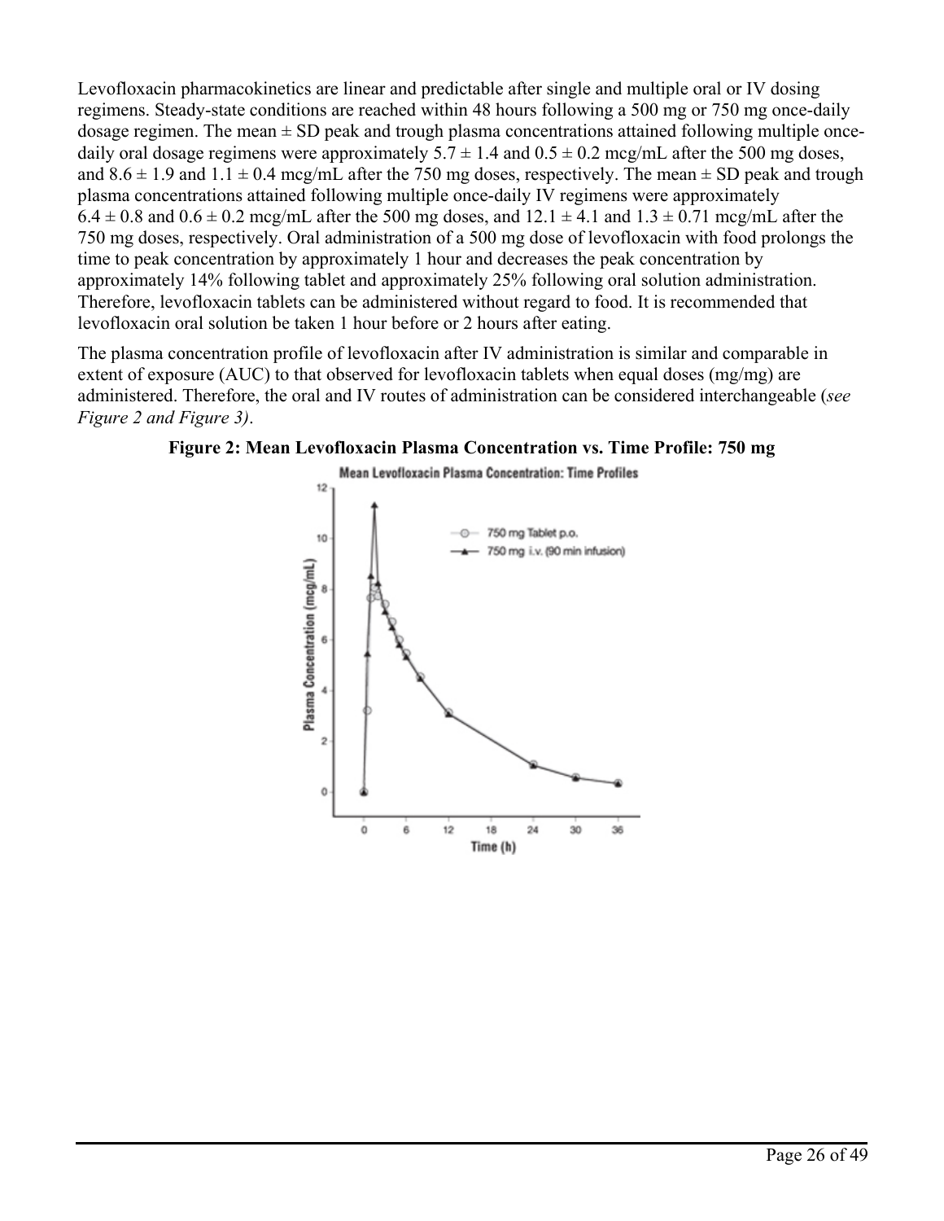Levofloxacin pharmacokinetics are linear and predictable after single and multiple oral or IV dosing regimens. Steady-state conditions are reached within 48 hours following a 500 mg or 750 mg once-daily dosage regimen. The mean  $\pm$  SD peak and trough plasma concentrations attained following multiple oncedaily oral dosage regimens were approximately  $5.7 \pm 1.4$  and  $0.5 \pm 0.2$  mcg/mL after the 500 mg doses, and  $8.6 \pm 1.9$  and  $1.1 \pm 0.4$  mcg/mL after the 750 mg doses, respectively. The mean  $\pm$  SD peak and trough plasma concentrations attained following multiple once-daily IV regimens were approximately  $6.4 \pm 0.8$  and  $0.6 \pm 0.2$  mcg/mL after the 500 mg doses, and  $12.1 \pm 4.1$  and  $1.3 \pm 0.71$  mcg/mL after the 750 mg doses, respectively. Oral administration of a 500 mg dose of levofloxacin with food prolongs the time to peak concentration by approximately 1 hour and decreases the peak concentration by approximately 14% following tablet and approximately 25% following oral solution administration. Therefore, levofloxacin tablets can be administered without regard to food. It is recommended that levofloxacin oral solution be taken 1 hour before or 2 hours after eating.

The plasma concentration profile of levofloxacin after IV administration is similar and comparable in extent of exposure (AUC) to that observed for levofloxacin tablets when equal doses (mg/mg) are administered. Therefore, the oral and IV routes of administration can be considered interchangeable (*see Figure 2 and Figure 3)*.



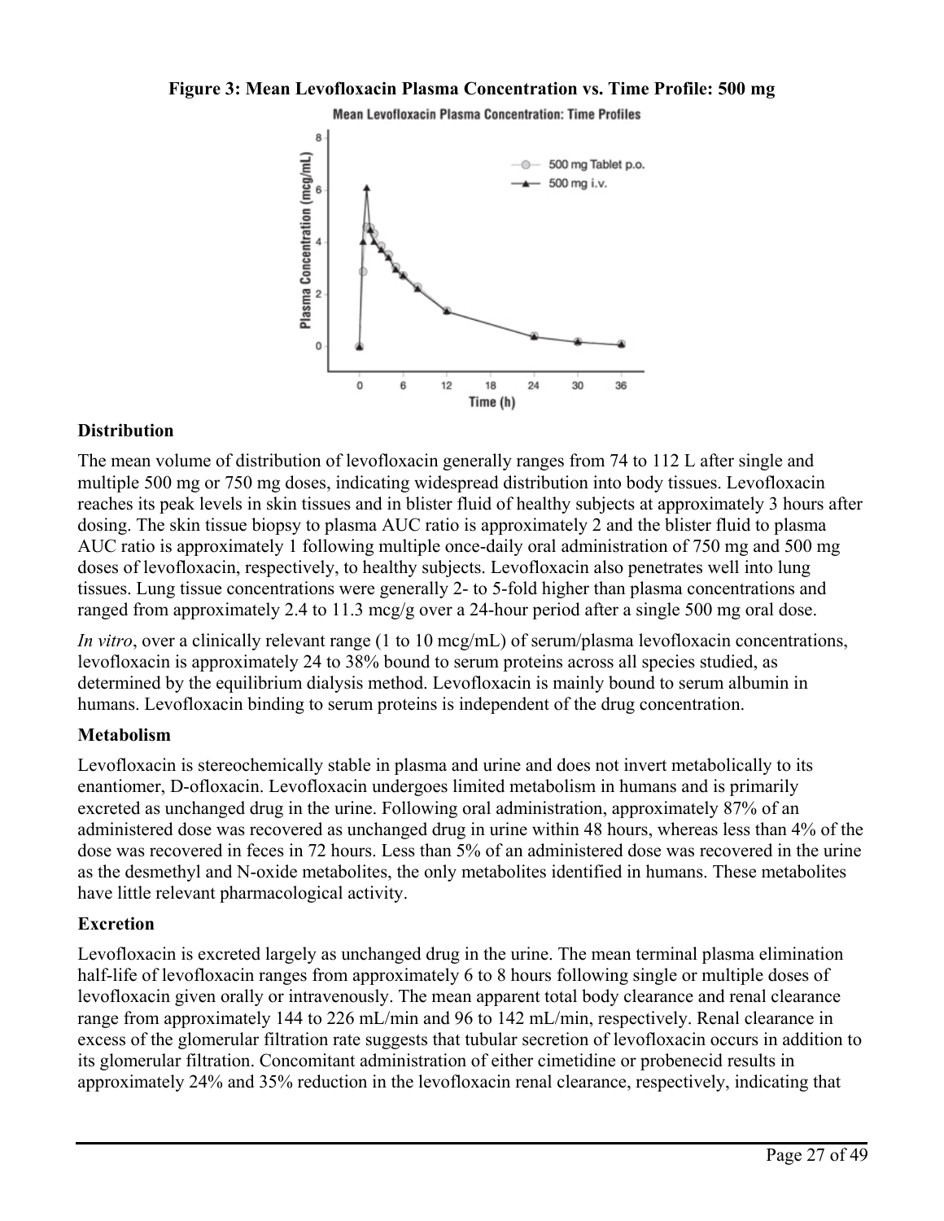## **Figure 3: Mean Levofloxacin Plasma Concentration vs. Time Profile: 500 mg**





## **Distribution**

The mean volume of distribution of levofloxacin generally ranges from 74 to 112 L after single and multiple 500 mg or 750 mg doses, indicating widespread distribution into body tissues. Levofloxacin reaches its peak levels in skin tissues and in blister fluid of healthy subjects at approximately 3 hours after dosing. The skin tissue biopsy to plasma AUC ratio is approximately 2 and the blister fluid to plasma AUC ratio is approximately 1 following multiple once-daily oral administration of 750 mg and 500 mg doses of levofloxacin, respectively, to healthy subjects. Levofloxacin also penetrates well into lung tissues. Lung tissue concentrations were generally 2- to 5-fold higher than plasma concentrations and ranged from approximately 2.4 to 11.3 mcg/g over a 24-hour period after a single 500 mg oral dose.

*In vitro*, over a clinically relevant range (1 to 10 mcg/mL) of serum/plasma levofloxacin concentrations, levofloxacin is approximately 24 to 38% bound to serum proteins across all species studied, as determined by the equilibrium dialysis method. Levofloxacin is mainly bound to serum albumin in humans. Levofloxacin binding to serum proteins is independent of the drug concentration.

## **Metabolism**

Levofloxacin is stereochemically stable in plasma and urine and does not invert metabolically to its enantiomer, D-ofloxacin. Levofloxacin undergoes limited metabolism in humans and is primarily excreted as unchanged drug in the urine. Following oral administration, approximately 87% of an administered dose was recovered as unchanged drug in urine within 48 hours, whereas less than 4% of the dose was recovered in feces in 72 hours. Less than 5% of an administered dose was recovered in the urine as the desmethyl and N-oxide metabolites, the only metabolites identified in humans. These metabolites have little relevant pharmacological activity.

## **Excretion**

Levofloxacin is excreted largely as unchanged drug in the urine. The mean terminal plasma elimination half-life of levofloxacin ranges from approximately 6 to 8 hours following single or multiple doses of levofloxacin given orally or intravenously. The mean apparent total body clearance and renal clearance range from approximately 144 to 226 mL/min and 96 to 142 mL/min, respectively. Renal clearance in excess of the glomerular filtration rate suggests that tubular secretion of levofloxacin occurs in addition to its glomerular filtration. Concomitant administration of either cimetidine or probenecid results in approximately 24% and 35% reduction in the levofloxacin renal clearance, respectively, indicating that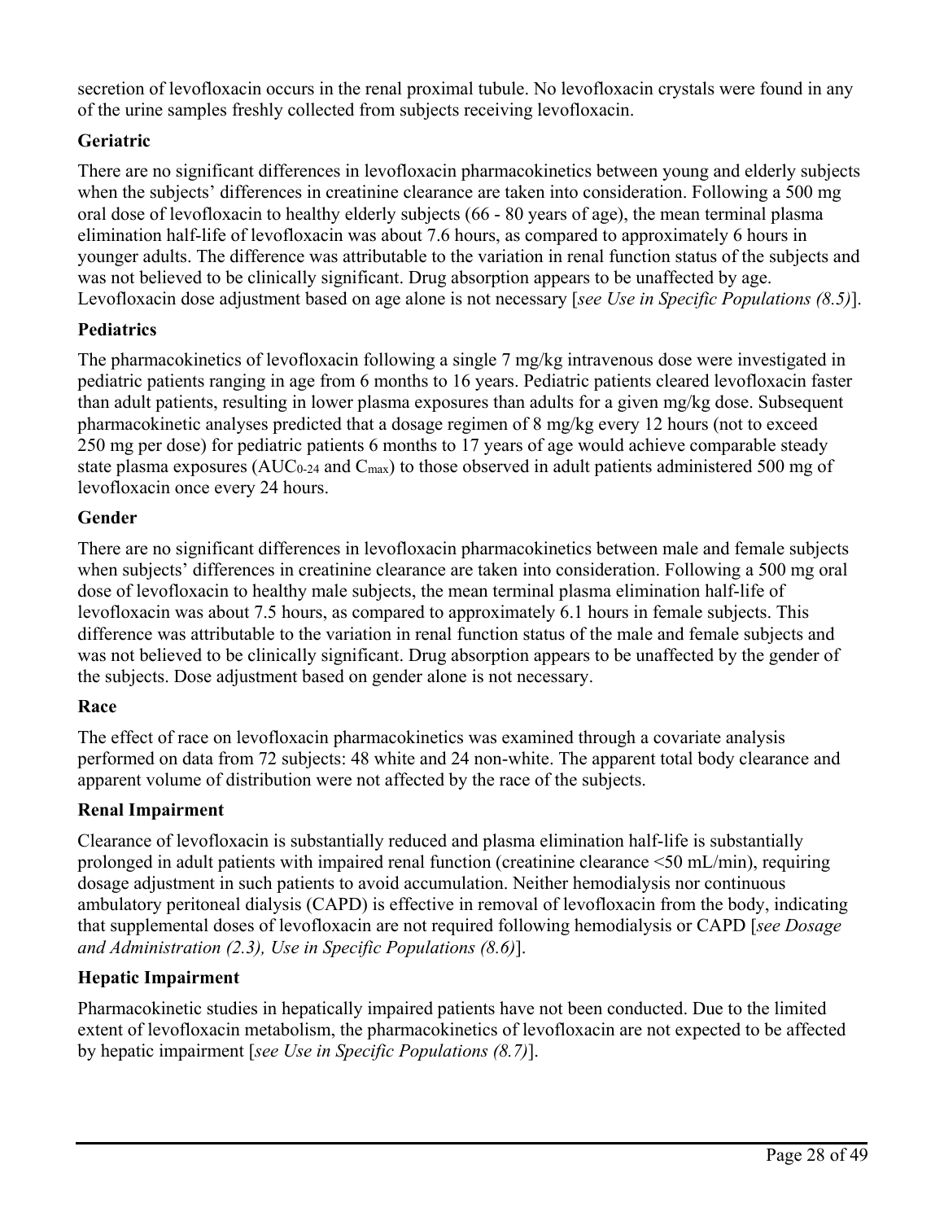secretion of levofloxacin occurs in the renal proximal tubule. No levofloxacin crystals were found in any of the urine samples freshly collected from subjects receiving levofloxacin.

# **Geriatric**

There are no significant differences in levofloxacin pharmacokinetics between young and elderly subjects when the subjects' differences in creatinine clearance are taken into consideration. Following a 500 mg oral dose of levofloxacin to healthy elderly subjects (66 - 80 years of age), the mean terminal plasma elimination half-life of levofloxacin was about 7.6 hours, as compared to approximately 6 hours in younger adults. The difference was attributable to the variation in renal function status of the subjects and was not believed to be clinically significant. Drug absorption appears to be unaffected by age. Levofloxacin dose adjustment based on age alone is not necessary [*see Use in Specific Populations (8.5)*].

## **Pediatrics**

The pharmacokinetics of levofloxacin following a single 7 mg/kg intravenous dose were investigated in pediatric patients ranging in age from 6 months to 16 years. Pediatric patients cleared levofloxacin faster than adult patients, resulting in lower plasma exposures than adults for a given mg/kg dose. Subsequent pharmacokinetic analyses predicted that a dosage regimen of 8 mg/kg every 12 hours (not to exceed 250 mg per dose) for pediatric patients 6 months to 17 years of age would achieve comparable steady state plasma exposures (AUC<sub>0-24</sub> and C<sub>max</sub>) to those observed in adult patients administered 500 mg of levofloxacin once every 24 hours.

## **Gender**

There are no significant differences in levofloxacin pharmacokinetics between male and female subjects when subjects' differences in creatinine clearance are taken into consideration. Following a 500 mg oral dose of levofloxacin to healthy male subjects, the mean terminal plasma elimination half-life of levofloxacin was about 7.5 hours, as compared to approximately 6.1 hours in female subjects. This difference was attributable to the variation in renal function status of the male and female subjects and was not believed to be clinically significant. Drug absorption appears to be unaffected by the gender of the subjects. Dose adjustment based on gender alone is not necessary.

## **Race**

The effect of race on levofloxacin pharmacokinetics was examined through a covariate analysis performed on data from 72 subjects: 48 white and 24 non-white. The apparent total body clearance and apparent volume of distribution were not affected by the race of the subjects.

# **Renal Impairment**

Clearance of levofloxacin is substantially reduced and plasma elimination half-life is substantially prolonged in adult patients with impaired renal function (creatinine clearance <50 mL/min), requiring dosage adjustment in such patients to avoid accumulation. Neither hemodialysis nor continuous ambulatory peritoneal dialysis (CAPD) is effective in removal of levofloxacin from the body, indicating that supplemental doses of levofloxacin are not required following hemodialysis or CAPD [*see Dosage and Administration (2.3), Use in Specific Populations (8.6)*].

# **Hepatic Impairment**

Pharmacokinetic studies in hepatically impaired patients have not been conducted. Due to the limited extent of levofloxacin metabolism, the pharmacokinetics of levofloxacin are not expected to be affected by hepatic impairment [*see Use in Specific Populations (8.7)*].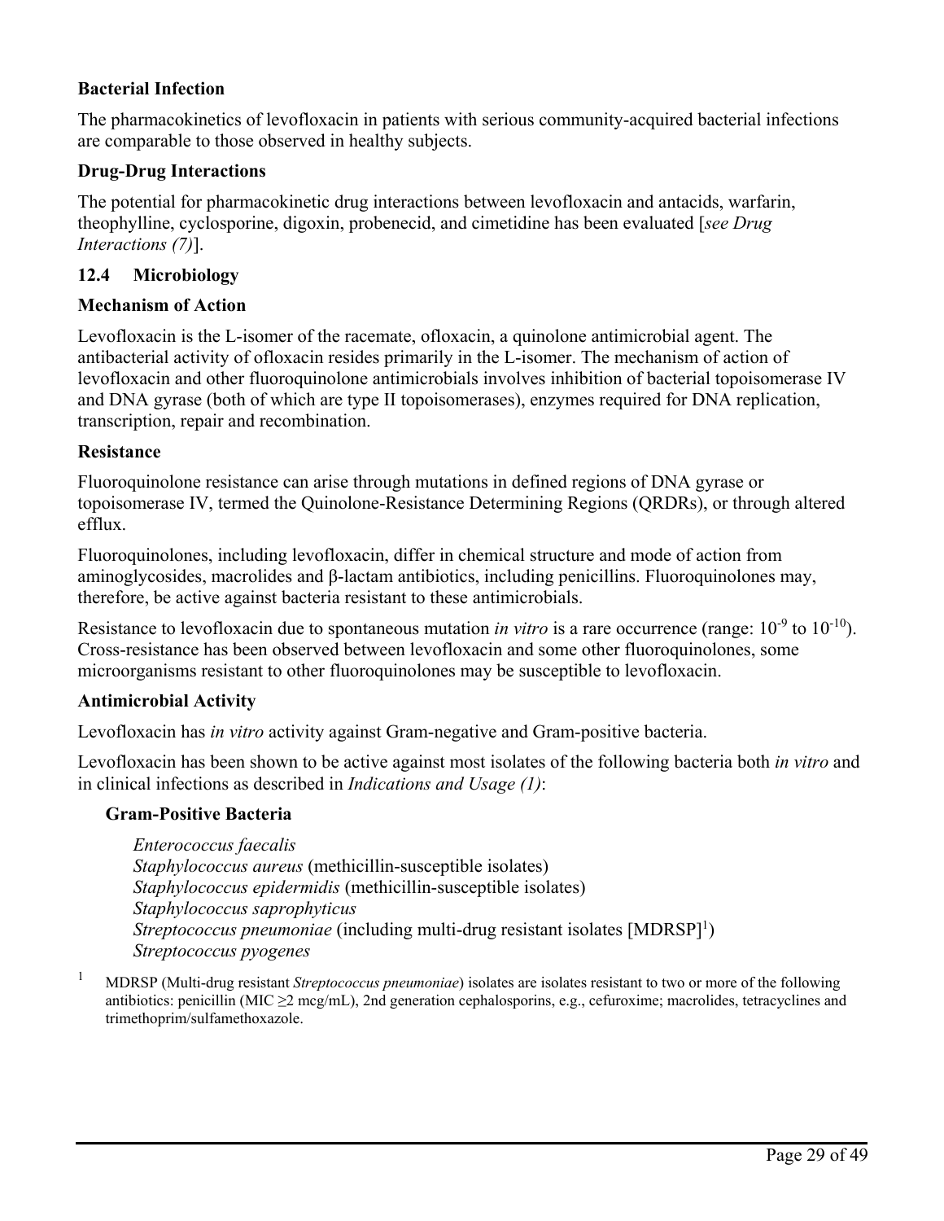## **Bacterial Infection**

The pharmacokinetics of levofloxacin in patients with serious community-acquired bacterial infections are comparable to those observed in healthy subjects.

## **Drug-Drug Interactions**

The potential for pharmacokinetic drug interactions between levofloxacin and antacids, warfarin, theophylline, cyclosporine, digoxin, probenecid, and cimetidine has been evaluated [*see Drug Interactions (7)*].

## **12.4 Microbiology**

## **Mechanism of Action**

Levofloxacin is the L-isomer of the racemate, ofloxacin, a quinolone antimicrobial agent. The antibacterial activity of ofloxacin resides primarily in the L-isomer. The mechanism of action of levofloxacin and other fluoroquinolone antimicrobials involves inhibition of bacterial topoisomerase IV and DNA gyrase (both of which are type II topoisomerases), enzymes required for DNA replication, transcription, repair and recombination.

### **Resistance**

Fluoroquinolone resistance can arise through mutations in defined regions of DNA gyrase or topoisomerase IV, termed the Quinolone-Resistance Determining Regions (QRDRs), or through altered efflux.

Fluoroquinolones, including levofloxacin, differ in chemical structure and mode of action from aminoglycosides, macrolides and β-lactam antibiotics, including penicillins. Fluoroquinolones may, therefore, be active against bacteria resistant to these antimicrobials.

Resistance to levofloxacin due to spontaneous mutation *in vitro* is a rare occurrence (range:  $10^{-9}$  to  $10^{-10}$ ). Cross-resistance has been observed between levofloxacin and some other fluoroquinolones, some microorganisms resistant to other fluoroquinolones may be susceptible to levofloxacin.

### **Antimicrobial Activity**

Levofloxacin has *in vitro* activity against Gram-negative and Gram-positive bacteria.

Levofloxacin has been shown to be active against most isolates of the following bacteria both *in vitro* and in clinical infections as described in *Indications and Usage (1)*:

## **Gram-Positive Bacteria**

*Enterococcus faecalis Staphylococcus aureus* (methicillin-susceptible isolates) *Staphylococcus epidermidis* (methicillin-susceptible isolates) *Staphylococcus saprophyticus Streptococcus pneumoniae* (including multi-drug resistant isolates [MDRSP]<sup>1</sup>) *Streptococcus pyogenes*

<sup>1</sup> MDRSP (Multi-drug resistant *Streptococcus pneumoniae*) isolates are isolates resistant to two or more of the following antibiotics: penicillin (MIC  $\geq$ 2 mcg/mL), 2nd generation cephalosporins, e.g., cefuroxime; macrolides, tetracyclines and trimethoprim/sulfamethoxazole.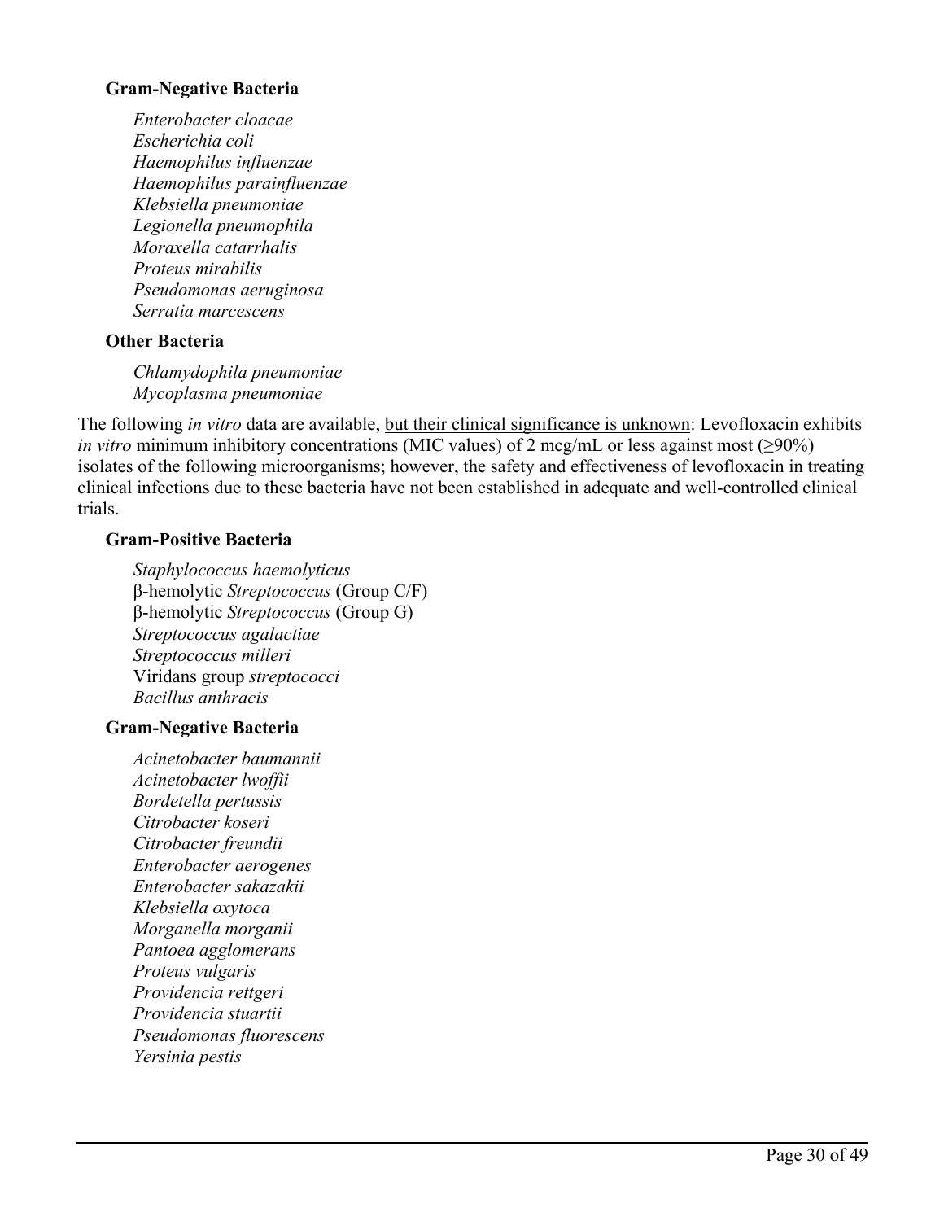### **Gram-Negative Bacteria**

*Enterobacter cloacae Escherichia coli Haemophilus influenzae Haemophilus parainfluenzae Klebsiella pneumoniae Legionella pneumophila Moraxella catarrhalis Proteus mirabilis Pseudomonas aeruginosa Serratia marcescens*

## **Other Bacteria**

*Chlamydophila pneumoniae Mycoplasma pneumoniae*

The following *in vitro* data are available, but their clinical significance is unknown: Levofloxacin exhibits *in vitro* minimum inhibitory concentrations (MIC values) of 2 mcg/mL or less against most ( $\geq$ 90%) isolates of the following microorganisms; however, the safety and effectiveness of levofloxacin in treating clinical infections due to these bacteria have not been established in adequate and well-controlled clinical trials.

## **Gram-Positive Bacteria**

*Staphylococcus haemolyticus* β-hemolytic *Streptococcus* (Group C/F) β-hemolytic *Streptococcus* (Group G) *Streptococcus agalactiae Streptococcus milleri* Viridans group *streptococci Bacillus anthracis*

## **Gram-Negative Bacteria**

*Acinetobacter baumannii Acinetobacter lwoffii Bordetella pertussis Citrobacter koseri Citrobacter freundii Enterobacter aerogenes Enterobacter sakazakii Klebsiella oxytoca Morganella morganii Pantoea agglomerans Proteus vulgaris Providencia rettgeri Providencia stuartii Pseudomonas fluorescens Yersinia pestis*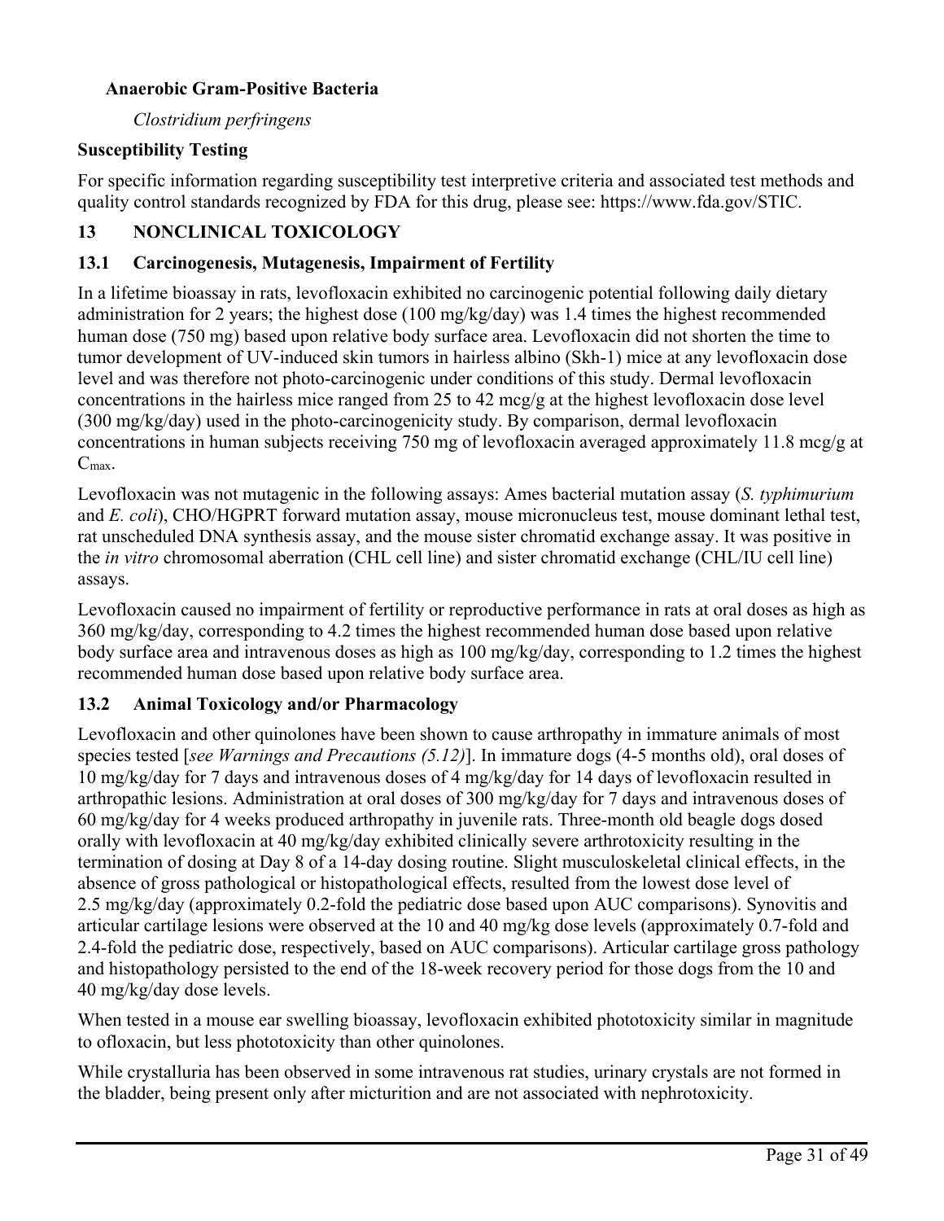## **Anaerobic Gram-Positive Bacteria**

*Clostridium perfringens*

## **Susceptibility Testing**

For specific information regarding susceptibility test interpretive criteria and associated test methods and quality control standards recognized by FDA for this drug, please see: [https://www.fda.gov/STIC.](https://www.fda.gov/STIC)

# **13 NONCLINICAL TOXICOLOGY**

## **13.1 Carcinogenesis, Mutagenesis, Impairment of Fertility**

In a lifetime bioassay in rats, levofloxacin exhibited no carcinogenic potential following daily dietary administration for 2 years; the highest dose (100 mg/kg/day) was 1.4 times the highest recommended human dose (750 mg) based upon relative body surface area. Levofloxacin did not shorten the time to tumor development of UV-induced skin tumors in hairless albino (Skh-1) mice at any levofloxacin dose level and was therefore not photo-carcinogenic under conditions of this study. Dermal levofloxacin concentrations in the hairless mice ranged from 25 to 42 mcg/g at the highest levofloxacin dose level (300 mg/kg/day) used in the photo-carcinogenicity study. By comparison, dermal levofloxacin concentrations in human subjects receiving 750 mg of levofloxacin averaged approximately 11.8 mcg/g at Cmax.

Levofloxacin was not mutagenic in the following assays: Ames bacterial mutation assay (*S. typhimurium* and *E. coli*), CHO/HGPRT forward mutation assay, mouse micronucleus test, mouse dominant lethal test, rat unscheduled DNA synthesis assay, and the mouse sister chromatid exchange assay. It was positive in the *in vitro* chromosomal aberration (CHL cell line) and sister chromatid exchange (CHL/IU cell line) assays.

Levofloxacin caused no impairment of fertility or reproductive performance in rats at oral doses as high as 360 mg/kg/day, corresponding to 4.2 times the highest recommended human dose based upon relative body surface area and intravenous doses as high as 100 mg/kg/day, corresponding to 1.2 times the highest recommended human dose based upon relative body surface area.

# **13.2 Animal Toxicology and/or Pharmacology**

Levofloxacin and other quinolones have been shown to cause arthropathy in immature animals of most species tested [*see Warnings and Precautions (5.12)*]. In immature dogs (4-5 months old), oral doses of 10 mg/kg/day for 7 days and intravenous doses of 4 mg/kg/day for 14 days of levofloxacin resulted in arthropathic lesions. Administration at oral doses of 300 mg/kg/day for 7 days and intravenous doses of 60 mg/kg/day for 4 weeks produced arthropathy in juvenile rats. Three-month old beagle dogs dosed orally with levofloxacin at 40 mg/kg/day exhibited clinically severe arthrotoxicity resulting in the termination of dosing at Day 8 of a 14-day dosing routine. Slight musculoskeletal clinical effects, in the absence of gross pathological or histopathological effects, resulted from the lowest dose level of 2.5 mg/kg/day (approximately 0.2-fold the pediatric dose based upon AUC comparisons). Synovitis and articular cartilage lesions were observed at the 10 and 40 mg/kg dose levels (approximately 0.7-fold and 2.4-fold the pediatric dose, respectively, based on AUC comparisons). Articular cartilage gross pathology and histopathology persisted to the end of the 18-week recovery period for those dogs from the 10 and 40 mg/kg/day dose levels.

When tested in a mouse ear swelling bioassay, levofloxacin exhibited phototoxicity similar in magnitude to ofloxacin, but less phototoxicity than other quinolones.

While crystalluria has been observed in some intravenous rat studies, urinary crystals are not formed in the bladder, being present only after micturition and are not associated with nephrotoxicity.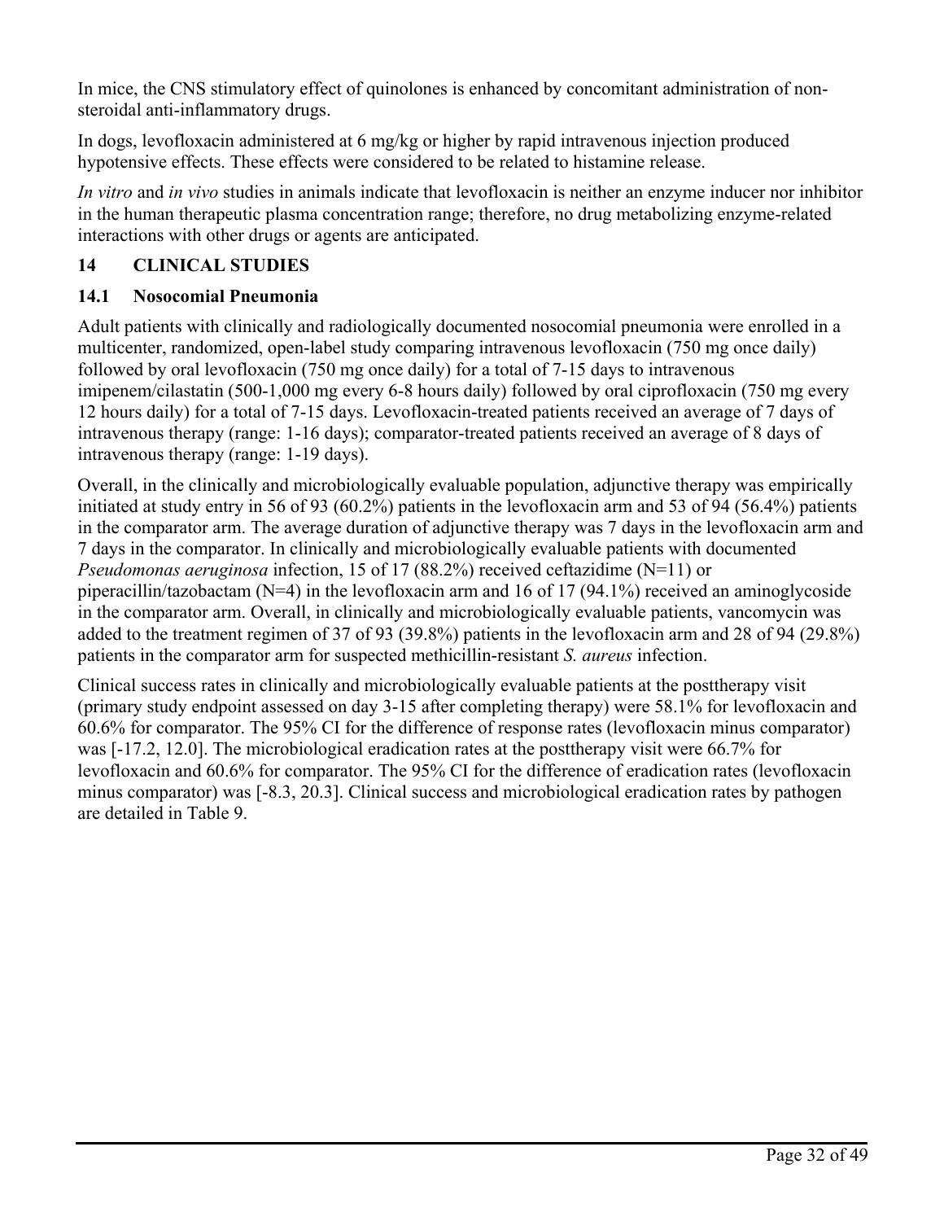In mice, the CNS stimulatory effect of quinolones is enhanced by concomitant administration of nonsteroidal anti-inflammatory drugs.

In dogs, levofloxacin administered at 6 mg/kg or higher by rapid intravenous injection produced hypotensive effects. These effects were considered to be related to histamine release.

*In vitro* and *in vivo* studies in animals indicate that levofloxacin is neither an enzyme inducer nor inhibitor in the human therapeutic plasma concentration range; therefore, no drug metabolizing enzyme-related interactions with other drugs or agents are anticipated.

# **14 CLINICAL STUDIES**

# **14.1 Nosocomial Pneumonia**

Adult patients with clinically and radiologically documented nosocomial pneumonia were enrolled in a multicenter, randomized, open-label study comparing intravenous levofloxacin (750 mg once daily) followed by oral levofloxacin (750 mg once daily) for a total of 7-15 days to intravenous imipenem/cilastatin (500-1,000 mg every 6-8 hours daily) followed by oral ciprofloxacin (750 mg every 12 hours daily) for a total of 7-15 days. Levofloxacin-treated patients received an average of 7 days of intravenous therapy (range: 1-16 days); comparator-treated patients received an average of 8 days of intravenous therapy (range: 1-19 days).

Overall, in the clinically and microbiologically evaluable population, adjunctive therapy was empirically initiated at study entry in 56 of 93 (60.2%) patients in the levofloxacin arm and 53 of 94 (56.4%) patients in the comparator arm. The average duration of adjunctive therapy was 7 days in the levofloxacin arm and 7 days in the comparator. In clinically and microbiologically evaluable patients with documented *Pseudomonas aeruginosa* infection, 15 of 17 (88.2%) received ceftazidime (N=11) or piperacillin/tazobactam ( $N=4$ ) in the levofloxacin arm and 16 of 17 (94.1%) received an aminogly coside in the comparator arm. Overall, in clinically and microbiologically evaluable patients, vancomycin was added to the treatment regimen of 37 of 93 (39.8%) patients in the levofloxacin arm and 28 of 94 (29.8%) patients in the comparator arm for suspected methicillin-resistant *S. aureus* infection.

Clinical success rates in clinically and microbiologically evaluable patients at the posttherapy visit (primary study endpoint assessed on day 3-15 after completing therapy) were 58.1% for levofloxacin and 60.6% for comparator. The 95% CI for the difference of response rates (levofloxacin minus comparator) was [-17.2, 12.0]. The microbiological eradication rates at the posttherapy visit were 66.7% for levofloxacin and 60.6% for comparator. The 95% CI for the difference of eradication rates (levofloxacin minus comparator) was [-8.3, 20.3]. Clinical success and microbiological eradication rates by pathogen are detailed in Table 9.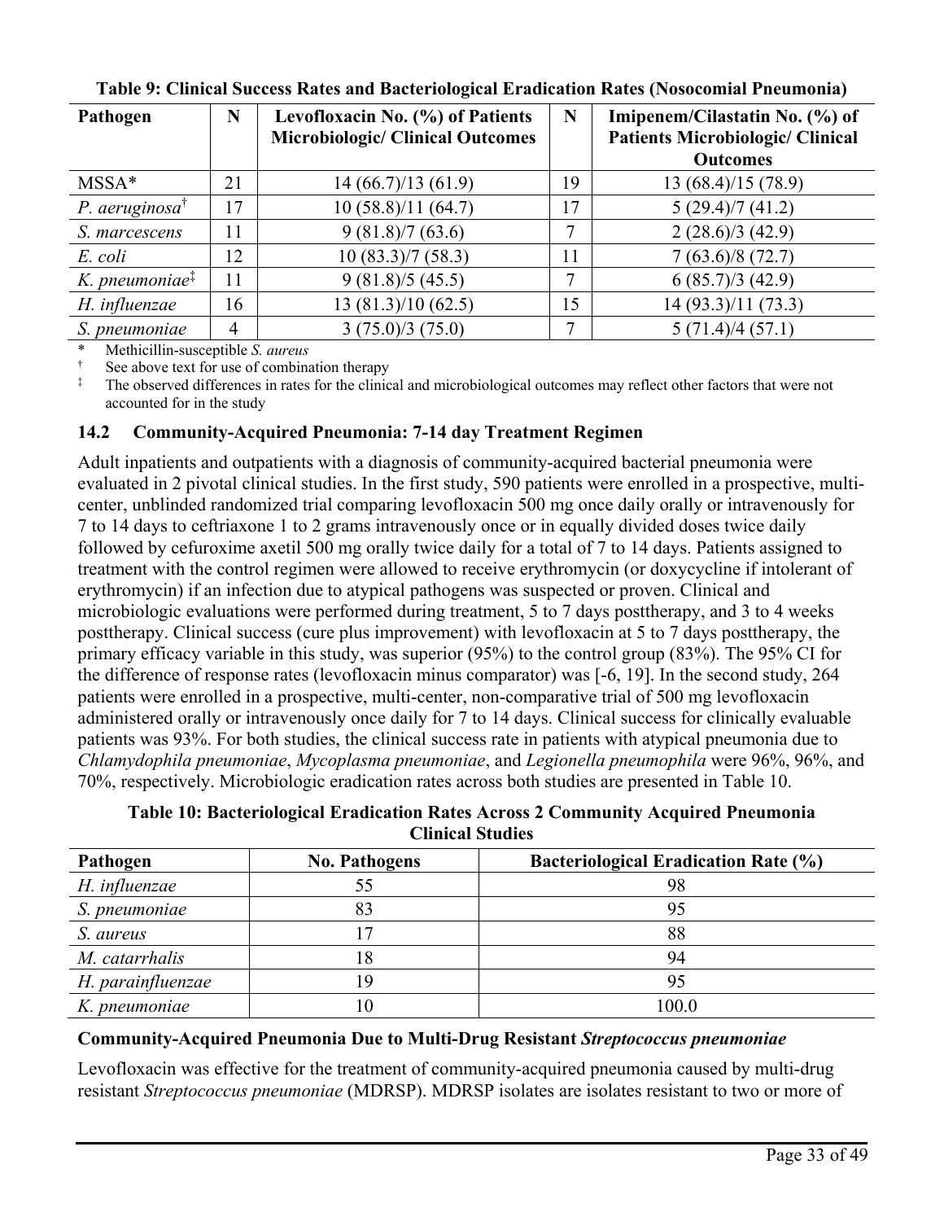| Pathogen                                         | N  | Levofloxacin No. (%) of Patients        | N  | Imipenem/Cilastatin No. (%) of          |
|--------------------------------------------------|----|-----------------------------------------|----|-----------------------------------------|
|                                                  |    | <b>Microbiologic/ Clinical Outcomes</b> |    | <b>Patients Microbiologic/ Clinical</b> |
|                                                  |    |                                         |    | <b>Outcomes</b>                         |
| $MSSA*$                                          | 21 | 14(66.7)/13(61.9)                       | 19 | 13 (68.4)/15 (78.9)                     |
| P. aeruginosa $^{\dagger}$                       | 17 | 10(58.8)/11(64.7)                       | 17 | 5(29.4)/7(41.2)                         |
| S. marcescens                                    | 11 | 9(81.8)/7(63.6)                         | ⇁  | 2(28.6)/3(42.9)                         |
| E. coli                                          | 12 | 10(83.3)/7(58.3)                        | 11 | 7(63.6)/8(72.7)                         |
| $K.$ pneumoniae <sup><math>\ddagger</math></sup> | 11 | 9(81.8)/5(45.5)                         | 7  | 6(85.7)/3(42.9)                         |
| H. influenzae                                    | 16 | 13(81.3)/10(62.5)                       | 15 | 14 (93.3)/11 (73.3)                     |
| S. pneumoniae                                    | 4  | 3(75.0)/3(75.0)                         | ⇁  | 5(71.4)/4(57.1)                         |

**Table 9: Clinical Success Rates and Bacteriological Eradication Rates (Nosocomial Pneumonia)**

\* Methicillin-susceptible *S. aureus*

See above text for use of combination therapy

The observed differences in rates for the clinical and microbiological outcomes may reflect other factors that were not accounted for in the study

## **14.2 Community-Acquired Pneumonia: 7-14 day Treatment Regimen**

Adult inpatients and outpatients with a diagnosis of community-acquired bacterial pneumonia were evaluated in 2 pivotal clinical studies. In the first study, 590 patients were enrolled in a prospective, multicenter, unblinded randomized trial comparing levofloxacin 500 mg once daily orally or intravenously for 7 to 14 days to ceftriaxone 1 to 2 grams intravenously once or in equally divided doses twice daily followed by cefuroxime axetil 500 mg orally twice daily for a total of 7 to 14 days. Patients assigned to treatment with the control regimen were allowed to receive erythromycin (or doxycycline if intolerant of erythromycin) if an infection due to atypical pathogens was suspected or proven. Clinical and microbiologic evaluations were performed during treatment, 5 to 7 days posttherapy, and 3 to 4 weeks posttherapy. Clinical success (cure plus improvement) with levofloxacin at 5 to 7 days posttherapy, the primary efficacy variable in this study, was superior (95%) to the control group (83%). The 95% CI for the difference of response rates (levofloxacin minus comparator) was [-6, 19]. In the second study, 264 patients were enrolled in a prospective, multi-center, non-comparative trial of 500 mg levofloxacin administered orally or intravenously once daily for 7 to 14 days. Clinical success for clinically evaluable patients was 93%. For both studies, the clinical success rate in patients with atypical pneumonia due to *Chlamydophila pneumoniae*, *Mycoplasma pneumoniae*, and *Legionella pneumophila* were 96%, 96%, and 70%, respectively. Microbiologic eradication rates across both studies are presented in Table 10.

**Table 10: Bacteriological Eradication Rates Across 2 Community Acquired Pneumonia Clinical Studies**

| Pathogen          | <b>No. Pathogens</b> | <b>Bacteriological Eradication Rate (%)</b> |
|-------------------|----------------------|---------------------------------------------|
| H. influenzae     |                      | 98                                          |
| S. pneumoniae     | 83                   | 95                                          |
| S. aureus         |                      | 88                                          |
| M. catarrhalis    | 18                   | 94                                          |
| H. parainfluenzae |                      | 95                                          |
| K. pneumoniae     |                      | 100.0                                       |

## **Community-Acquired Pneumonia Due to Multi-Drug Resistant** *Streptococcus pneumoniae*

Levofloxacin was effective for the treatment of community-acquired pneumonia caused by multi-drug resistant *Streptococcus pneumoniae* (MDRSP). MDRSP isolates are isolates resistant to two or more of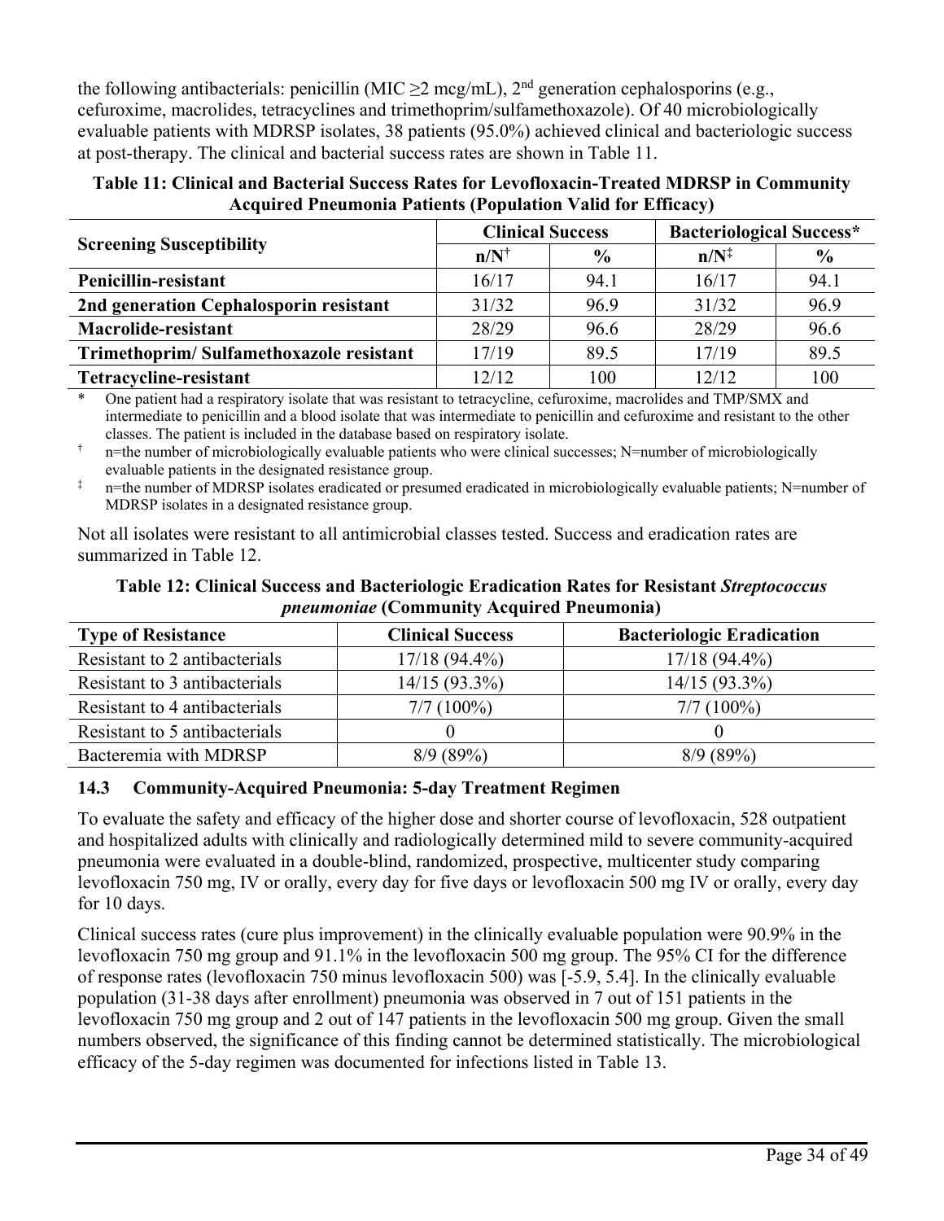the following antibacterials: penicillin (MIC  $\geq$ 2 mcg/mL), 2<sup>nd</sup> generation cephalosporins (e.g., cefuroxime, macrolides, tetracyclines and trimethoprim/sulfamethoxazole). Of 40 microbiologically evaluable patients with MDRSP isolates, 38 patients (95.0%) achieved clinical and bacteriologic success at post-therapy. The clinical and bacterial success rates are shown in Table 11.

**Table 11: Clinical and Bacterial Success Rates for Levofloxacin-Treated MDRSP in Community Acquired Pneumonia Patients (Population Valid for Efficacy)**

|                                         | <b>Clinical Success</b> |               | <b>Bacteriological Success*</b> |               |  |
|-----------------------------------------|-------------------------|---------------|---------------------------------|---------------|--|
| <b>Screening Susceptibility</b>         | $n/N^{\dagger}$         | $\frac{0}{0}$ | $n/N^{\ddagger}$                | $\frac{6}{6}$ |  |
| Penicillin-resistant                    | 16/17                   | 94.1          | 16/17                           | 94.1          |  |
| 2nd generation Cephalosporin resistant  | 31/32                   | 96.9          | 31/32                           | 96.9          |  |
| Macrolide-resistant                     | 28/29                   | 96.6          | 28/29                           | 96.6          |  |
| Trimethoprim/Sulfamethoxazole resistant | 17/19                   | 89.5          | 17/19                           | 89.5          |  |
| Tetracycline-resistant                  | 12/12                   | 100           | 12/12                           | 100           |  |

\* One patient had a respiratory isolate that was resistant to tetracycline, cefuroxime, macrolides and TMP/SMX and intermediate to penicillin and a blood isolate that was intermediate to penicillin and cefuroxime and resistant to the other classes. The patient is included in the database based on respiratory isolate.

 $\uparrow$  n=the number of microbiologically evaluable patients who were clinical successes; N=number of microbiologically evaluable patients in the designated resistance group.

 $\ddot{\text{m}}$  n=the number of MDRSP isolates eradicated or presumed eradicated in microbiologically evaluable patients; N=number of MDRSP isolates in a designated resistance group.

Not all isolates were resistant to all antimicrobial classes tested. Success and eradication rates are summarized in Table 12.

**Table 12: Clinical Success and Bacteriologic Eradication Rates for Resistant** *Streptococcus pneumoniae* **(Community Acquired Pneumonia)**

| <b>Type of Resistance</b>     | <b>Clinical Success</b> | <b>Bacteriologic Eradication</b> |
|-------------------------------|-------------------------|----------------------------------|
| Resistant to 2 antibacterials | $17/18(94.4\%)$         | $17/18(94.4\%)$                  |
| Resistant to 3 antibacterials | $14/15(93.3\%)$         | $14/15(93.3\%)$                  |
| Resistant to 4 antibacterials | $7/7(100\%)$            | $7/7(100\%)$                     |
| Resistant to 5 antibacterials |                         |                                  |
| Bacteremia with MDRSP         | 8/9(89%)                | 8/9(89%)                         |

## **14.3 Community-Acquired Pneumonia: 5-day Treatment Regimen**

To evaluate the safety and efficacy of the higher dose and shorter course of levofloxacin, 528 outpatient and hospitalized adults with clinically and radiologically determined mild to severe community-acquired pneumonia were evaluated in a double-blind, randomized, prospective, multicenter study comparing levofloxacin 750 mg, IV or orally, every day for five days or levofloxacin 500 mg IV or orally, every day for 10 days.

Clinical success rates (cure plus improvement) in the clinically evaluable population were 90.9% in the levofloxacin 750 mg group and 91.1% in the levofloxacin 500 mg group. The 95% CI for the difference of response rates (levofloxacin 750 minus levofloxacin 500) was [-5.9, 5.4]. In the clinically evaluable population (31-38 days after enrollment) pneumonia was observed in 7 out of 151 patients in the levofloxacin 750 mg group and 2 out of 147 patients in the levofloxacin 500 mg group. Given the small numbers observed, the significance of this finding cannot be determined statistically. The microbiological efficacy of the 5-day regimen was documented for infections listed in Table 13.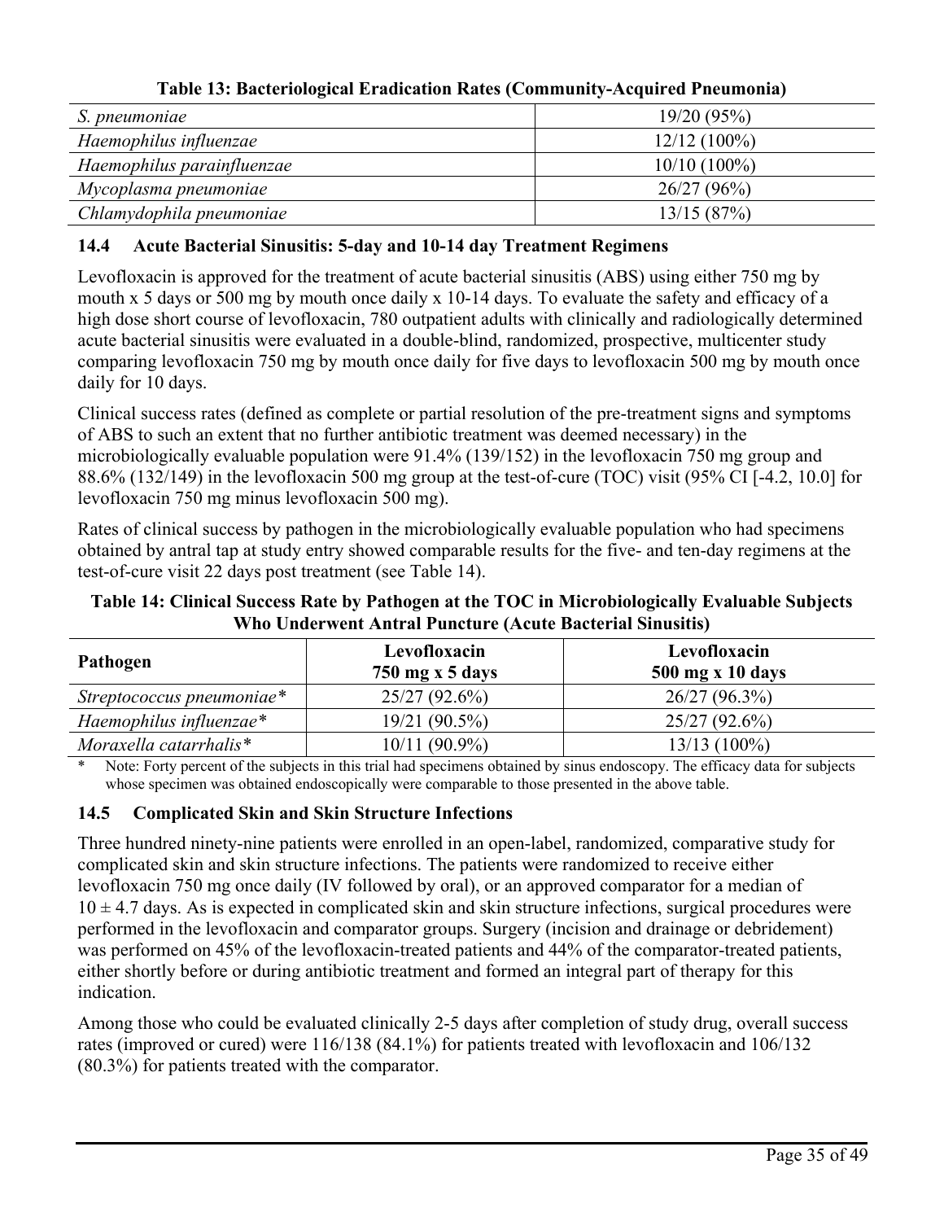| S. pneumoniae              | 19/20(95%)     |  |  |  |
|----------------------------|----------------|--|--|--|
| Haemophilus influenzae     | $12/12(100\%)$ |  |  |  |
| Haemophilus parainfluenzae | $10/10(100\%)$ |  |  |  |
| Mycoplasma pneumoniae      | 26/27(96%)     |  |  |  |
| Chlamydophila pneumoniae   | 13/15(87%)     |  |  |  |

**Table 13: Bacteriological Eradication Rates (Community-Acquired Pneumonia)**

# **14.4 Acute Bacterial Sinusitis: 5-day and 10-14 day Treatment Regimens**

Levofloxacin is approved for the treatment of acute bacterial sinusitis (ABS) using either 750 mg by mouth x 5 days or 500 mg by mouth once daily x 10-14 days. To evaluate the safety and efficacy of a high dose short course of levofloxacin, 780 outpatient adults with clinically and radiologically determined acute bacterial sinusitis were evaluated in a double-blind, randomized, prospective, multicenter study comparing levofloxacin 750 mg by mouth once daily for five days to levofloxacin 500 mg by mouth once daily for 10 days.

Clinical success rates (defined as complete or partial resolution of the pre-treatment signs and symptoms of ABS to such an extent that no further antibiotic treatment was deemed necessary) in the microbiologically evaluable population were 91.4% (139/152) in the levofloxacin 750 mg group and 88.6% (132/149) in the levofloxacin 500 mg group at the test-of-cure (TOC) visit (95% CI [-4.2, 10.0] for levofloxacin 750 mg minus levofloxacin 500 mg).

Rates of clinical success by pathogen in the microbiologically evaluable population who had specimens obtained by antral tap at study entry showed comparable results for the five- and ten-day regimens at the test-of-cure visit 22 days post treatment (see Table 14).

**Table 14: Clinical Success Rate by Pathogen at the TOC in Microbiologically Evaluable Subjects Who Underwent Antral Puncture (Acute Bacterial Sinusitis)**

| Pathogen                  | Levofloxacin<br>750 mg x 5 days | Levofloxacin<br>500 mg x 10 days |
|---------------------------|---------------------------------|----------------------------------|
| Streptococcus pneumoniae* | 25/27(92.6%)                    | $26/27(96.3\%)$                  |
| Haemophilus influenzae*   | $19/21(90.5\%)$                 | $25/27(92.6\%)$                  |
| Moraxella catarrhalis*    | $10/11(90.9\%)$                 | $13/13(100\%)$                   |

Note: Forty percent of the subjects in this trial had specimens obtained by sinus endoscopy. The efficacy data for subjects whose specimen was obtained endoscopically were comparable to those presented in the above table.

# **14.5 Complicated Skin and Skin Structure Infections**

Three hundred ninety-nine patients were enrolled in an open-label, randomized, comparative study for complicated skin and skin structure infections. The patients were randomized to receive either levofloxacin 750 mg once daily (IV followed by oral), or an approved comparator for a median of  $10 \pm 4.7$  days. As is expected in complicated skin and skin structure infections, surgical procedures were performed in the levofloxacin and comparator groups. Surgery (incision and drainage or debridement) was performed on 45% of the levofloxacin-treated patients and 44% of the comparator-treated patients, either shortly before or during antibiotic treatment and formed an integral part of therapy for this indication.

Among those who could be evaluated clinically 2-5 days after completion of study drug, overall success rates (improved or cured) were 116/138 (84.1%) for patients treated with levofloxacin and 106/132 (80.3%) for patients treated with the comparator.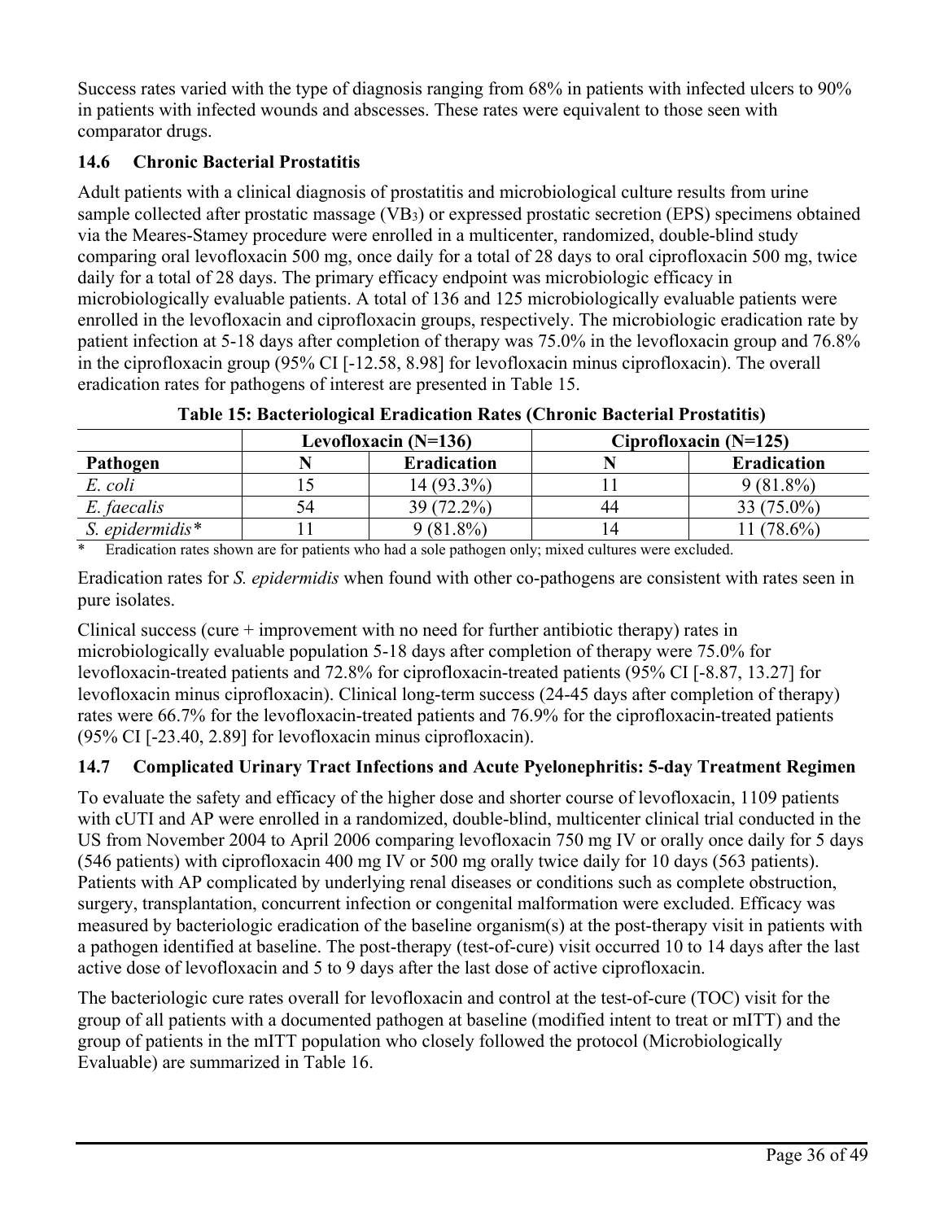Success rates varied with the type of diagnosis ranging from 68% in patients with infected ulcers to 90% in patients with infected wounds and abscesses. These rates were equivalent to those seen with comparator drugs.

# **14.6 Chronic Bacterial Prostatitis**

Adult patients with a clinical diagnosis of prostatitis and microbiological culture results from urine sample collected after prostatic massage (VB<sub>3</sub>) or expressed prostatic secretion (EPS) specimens obtained via the Meares-Stamey procedure were enrolled in a multicenter, randomized, double-blind study comparing oral levofloxacin 500 mg, once daily for a total of 28 days to oral ciprofloxacin 500 mg, twice daily for a total of 28 days. The primary efficacy endpoint was microbiologic efficacy in microbiologically evaluable patients. A total of 136 and 125 microbiologically evaluable patients were enrolled in the levofloxacin and ciprofloxacin groups, respectively. The microbiologic eradication rate by patient infection at 5-18 days after completion of therapy was 75.0% in the levofloxacin group and 76.8% in the ciprofloxacin group (95% CI [-12.58, 8.98] for levofloxacin minus ciprofloxacin). The overall eradication rates for pathogens of interest are presented in Table 15.

|                 | Levofloxacin $(N=136)$ |                    | Ciprofloxacin $(N=125)$ |                    |
|-----------------|------------------------|--------------------|-------------------------|--------------------|
| Pathogen        |                        | <b>Eradication</b> |                         | <b>Eradication</b> |
| E. coli         |                        | $14(93.3\%)$       |                         | $9(81.8\%)$        |
| E. faecalis     | 74                     | 39 (72.2%)         | 44                      | $33(75.0\%)$       |
| S. epidermidis* |                        | $9(81.8\%)$        |                         | $1(78.6\%)$        |

**Table 15: Bacteriological Eradication Rates (Chronic Bacterial Prostatitis)**

\* Eradication rates shown are for patients who had a sole pathogen only; mixed cultures were excluded.

Eradication rates for *S. epidermidis* when found with other co-pathogens are consistent with rates seen in pure isolates.

Clinical success (cure + improvement with no need for further antibiotic therapy) rates in microbiologically evaluable population 5-18 days after completion of therapy were 75.0% for levofloxacin-treated patients and 72.8% for ciprofloxacin-treated patients (95% CI [-8.87, 13.27] for levofloxacin minus ciprofloxacin). Clinical long-term success (24-45 days after completion of therapy) rates were 66.7% for the levofloxacin-treated patients and 76.9% for the ciprofloxacin-treated patients (95% CI [-23.40, 2.89] for levofloxacin minus ciprofloxacin).

# **14.7 Complicated Urinary Tract Infections and Acute Pyelonephritis: 5-day Treatment Regimen**

To evaluate the safety and efficacy of the higher dose and shorter course of levofloxacin, 1109 patients with cUTI and AP were enrolled in a randomized, double-blind, multicenter clinical trial conducted in the US from November 2004 to April 2006 comparing levofloxacin 750 mg IV or orally once daily for 5 days (546 patients) with ciprofloxacin 400 mg IV or 500 mg orally twice daily for 10 days (563 patients). Patients with AP complicated by underlying renal diseases or conditions such as complete obstruction, surgery, transplantation, concurrent infection or congenital malformation were excluded. Efficacy was measured by bacteriologic eradication of the baseline organism(s) at the post-therapy visit in patients with a pathogen identified at baseline. The post-therapy (test-of-cure) visit occurred 10 to 14 days after the last active dose of levofloxacin and 5 to 9 days after the last dose of active ciprofloxacin.

The bacteriologic cure rates overall for levofloxacin and control at the test-of-cure (TOC) visit for the group of all patients with a documented pathogen at baseline (modified intent to treat or mITT) and the group of patients in the mITT population who closely followed the protocol (Microbiologically Evaluable) are summarized in Table 16.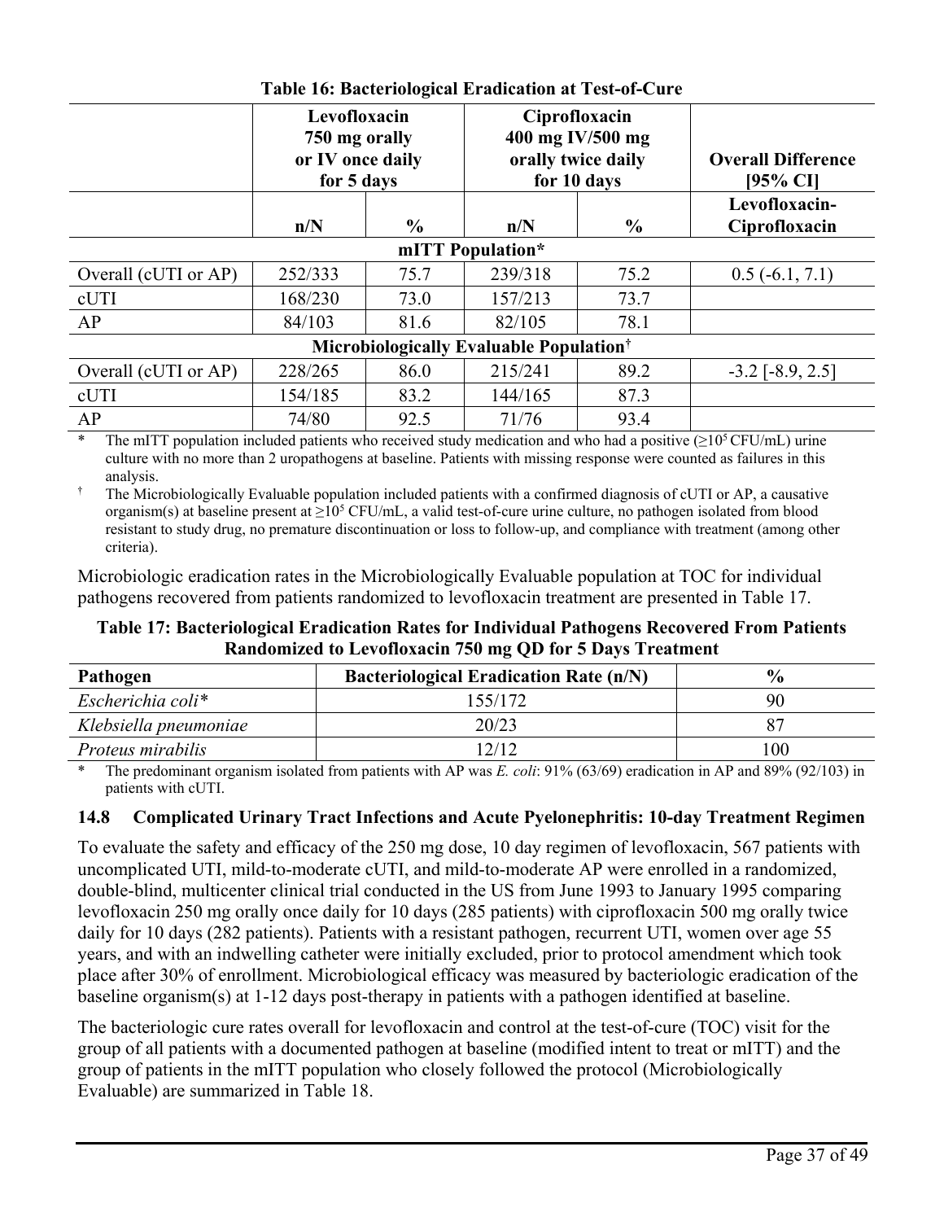|                                                     | Levofloxacin<br>750 mg orally<br>or IV once daily<br>for 5 days |               | Ciprofloxacin<br>400 mg IV/500 mg<br>orally twice daily<br>for 10 days |               | <b>Overall Difference</b><br>[95% CI] |  |
|-----------------------------------------------------|-----------------------------------------------------------------|---------------|------------------------------------------------------------------------|---------------|---------------------------------------|--|
|                                                     | n/N                                                             | $\frac{6}{9}$ | n/N                                                                    | $\frac{6}{6}$ | Levofloxacin-<br>Ciprofloxacin        |  |
| mITT Population*                                    |                                                                 |               |                                                                        |               |                                       |  |
| Overall (cUTI or AP)                                | 252/333                                                         | 75.7          | 239/318                                                                | 75.2          | $0.5(-6.1, 7.1)$                      |  |
| cUTI                                                | 168/230                                                         | 73.0          | 157/213                                                                | 73.7          |                                       |  |
| AP                                                  | 84/103                                                          | 81.6          | 82/105                                                                 | 78.1          |                                       |  |
| Microbiologically Evaluable Population <sup>†</sup> |                                                                 |               |                                                                        |               |                                       |  |
| Overall (cUTI or AP)                                | 228/265                                                         | 86.0          | 215/241                                                                | 89.2          | $-3.2$ [ $-8.9, 2.5$ ]                |  |
| cUTI                                                | 154/185                                                         | 83.2          | 144/165                                                                | 87.3          |                                       |  |
| AP                                                  | 74/80                                                           | 92.5          | 71/76                                                                  | 93.4          |                                       |  |

**Table 16: Bacteriological Eradication at Test-of-Cure**

\* The mITT population included patients who received study medication and who had a positive ( $\geq 10^5$ CFU/mL) urine culture with no more than 2 uropathogens at baseline. Patients with missing response were counted as failures in this analysis.

† The Microbiologically Evaluable population included patients with a confirmed diagnosis of cUTI or AP, a causative organism(s) at baseline present at  $\geq 10^5$  CFU/mL, a valid test-of-cure urine culture, no pathogen isolated from blood resistant to study drug, no premature discontinuation or loss to follow-up, and compliance with treatment (among other criteria).

Microbiologic eradication rates in the Microbiologically Evaluable population at TOC for individual pathogens recovered from patients randomized to levofloxacin treatment are presented in Table 17.

**Table 17: Bacteriological Eradication Rates for Individual Pathogens Recovered From Patients Randomized to Levofloxacin 750 mg QD for 5 Days Treatment**

| Pathogen              | <b>Bacteriological Eradication Rate (n/N)</b> | $\frac{6}{9}$ |
|-----------------------|-----------------------------------------------|---------------|
| Escherichia coli*     | 155/172                                       | 90            |
| Klebsiella pneumoniae | 20/23                                         |               |
| Proteus mirabilis     | 12/12                                         | 100           |

\* The predominant organism isolated from patients with AP was *E. coli*: 91% (63/69) eradication in AP and 89% (92/103) in patients with cUTI.

# **14.8 Complicated Urinary Tract Infections and Acute Pyelonephritis: 10-day Treatment Regimen**

To evaluate the safety and efficacy of the 250 mg dose, 10 day regimen of levofloxacin, 567 patients with uncomplicated UTI, mild-to-moderate cUTI, and mild-to-moderate AP were enrolled in a randomized, double-blind, multicenter clinical trial conducted in the US from June 1993 to January 1995 comparing levofloxacin 250 mg orally once daily for 10 days (285 patients) with ciprofloxacin 500 mg orally twice daily for 10 days (282 patients). Patients with a resistant pathogen, recurrent UTI, women over age 55 years, and with an indwelling catheter were initially excluded, prior to protocol amendment which took place after 30% of enrollment. Microbiological efficacy was measured by bacteriologic eradication of the baseline organism(s) at 1-12 days post-therapy in patients with a pathogen identified at baseline.

The bacteriologic cure rates overall for levofloxacin and control at the test-of-cure (TOC) visit for the group of all patients with a documented pathogen at baseline (modified intent to treat or mITT) and the group of patients in the mITT population who closely followed the protocol (Microbiologically Evaluable) are summarized in Table 18.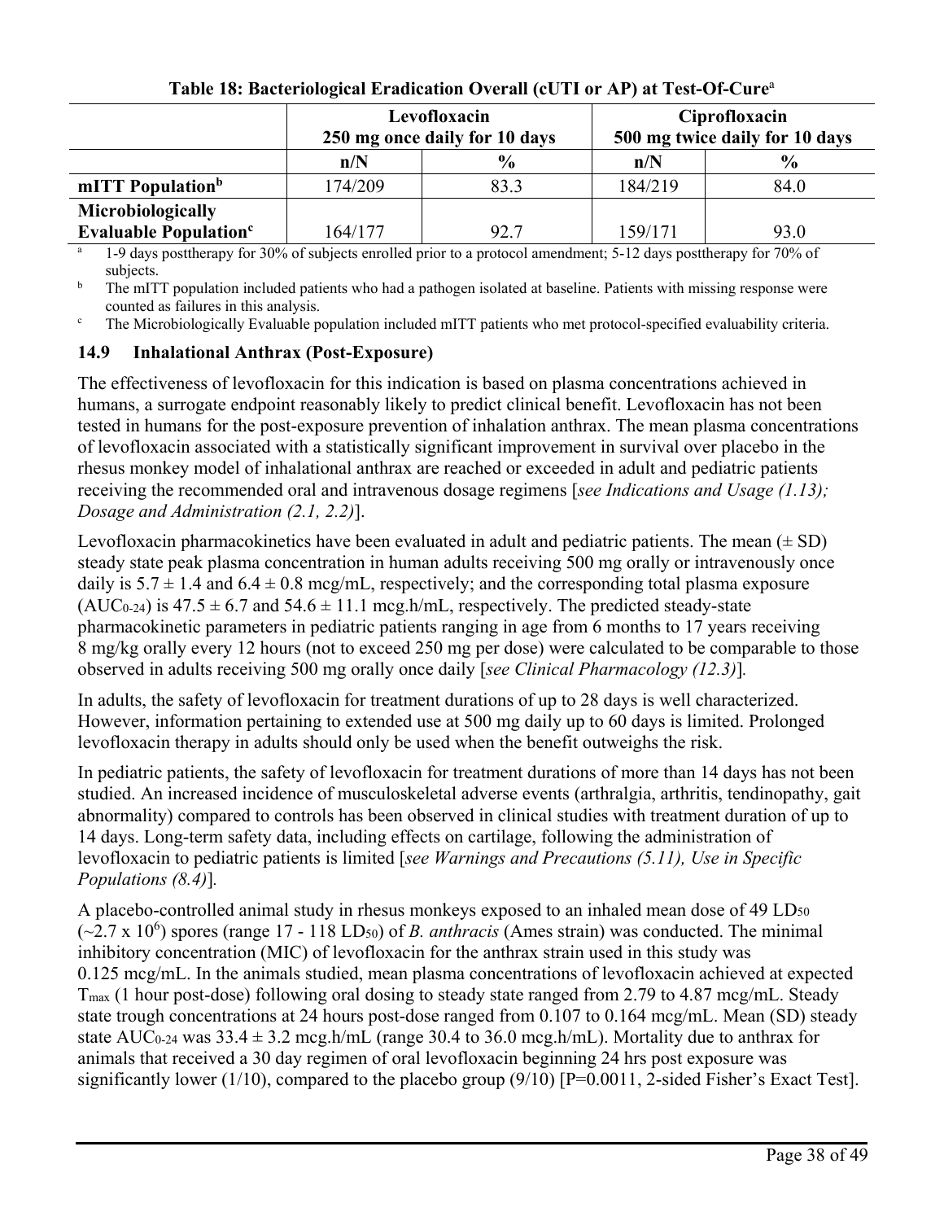|                                         |         | Levofloxacin<br>250 mg once daily for 10 days | Ciprofloxacin<br>500 mg twice daily for 10 days |               |
|-----------------------------------------|---------|-----------------------------------------------|-------------------------------------------------|---------------|
|                                         | n/N     | $\frac{6}{9}$                                 | n/N                                             | $\frac{0}{0}$ |
| mITT Population <sup>b</sup>            | 174/209 | 83.3                                          | 184/219                                         | 84.0          |
| Microbiologically                       |         |                                               |                                                 |               |
| <b>Evaluable Population<sup>c</sup></b> | 164/177 | 92.7                                          | 159/171                                         | 93.0          |

# **Table 18: Bacteriological Eradication Overall (cUTI or AP) at Test-Of-Cure**<sup>a</sup>

<sup>a</sup> 1-9 days posttherapy for 30% of subjects enrolled prior to a protocol amendment; 5-12 days posttherapy for 70% of subjects.

<sup>b</sup> The mITT population included patients who had a pathogen isolated at baseline. Patients with missing response were counted as failures in this analysis.

<sup>c</sup> The Microbiologically Evaluable population included mITT patients who met protocol-specified evaluability criteria.

## **14.9 Inhalational Anthrax (Post-Exposure)**

The effectiveness of levofloxacin for this indication is based on plasma concentrations achieved in humans, a surrogate endpoint reasonably likely to predict clinical benefit. Levofloxacin has not been tested in humans for the post-exposure prevention of inhalation anthrax. The mean plasma concentrations of levofloxacin associated with a statistically significant improvement in survival over placebo in the rhesus monkey model of inhalational anthrax are reached or exceeded in adult and pediatric patients receiving the recommended oral and intravenous dosage regimens [*see Indications and Usage (1.13); Dosage and Administration (2.1, 2.2)*].

Levofloxacin pharmacokinetics have been evaluated in adult and pediatric patients. The mean  $(\pm SD)$ steady state peak plasma concentration in human adults receiving 500 mg orally or intravenously once daily is  $5.7 \pm 1.4$  and  $6.4 \pm 0.8$  mcg/mL, respectively; and the corresponding total plasma exposure  $(AUC_{0-24})$  is  $47.5 \pm 6.7$  and  $54.6 \pm 11.1$  mcg.h/mL, respectively. The predicted steady-state pharmacokinetic parameters in pediatric patients ranging in age from 6 months to 17 years receiving 8 mg/kg orally every 12 hours (not to exceed 250 mg per dose) were calculated to be comparable to those observed in adults receiving 500 mg orally once daily [*see Clinical Pharmacology (12.3)*]*.*

In adults, the safety of levofloxacin for treatment durations of up to 28 days is well characterized. However, information pertaining to extended use at 500 mg daily up to 60 days is limited. Prolonged levofloxacin therapy in adults should only be used when the benefit outweighs the risk.

In pediatric patients, the safety of levofloxacin for treatment durations of more than 14 days has not been studied. An increased incidence of musculoskeletal adverse events (arthralgia, arthritis, tendinopathy, gait abnormality) compared to controls has been observed in clinical studies with treatment duration of up to 14 days. Long-term safety data, including effects on cartilage, following the administration of levofloxacin to pediatric patients is limited [*see Warnings and Precautions (5.11), Use in Specific Populations (8.4)*]*.*

A placebo-controlled animal study in rhesus monkeys exposed to an inhaled mean dose of 49 LD<sub>50</sub>  $(\sim 2.7 \times 10^6)$  spores (range 17 - 118 LD<sub>50</sub>) of *B. anthracis* (Ames strain) was conducted. The minimal inhibitory concentration (MIC) of levofloxacin for the anthrax strain used in this study was 0.125 mcg/mL. In the animals studied, mean plasma concentrations of levofloxacin achieved at expected Tmax (1 hour post-dose) following oral dosing to steady state ranged from 2.79 to 4.87 mcg/mL. Steady state trough concentrations at 24 hours post-dose ranged from 0.107 to 0.164 mcg/mL. Mean (SD) steady state AUC<sub>0-24</sub> was  $33.4 \pm 3.2$  mcg.h/mL (range 30.4 to 36.0 mcg.h/mL). Mortality due to anthrax for animals that received a 30 day regimen of oral levofloxacin beginning 24 hrs post exposure was significantly lower (1/10), compared to the placebo group  $(9/10)$  [P=0.0011, 2-sided Fisher's Exact Test].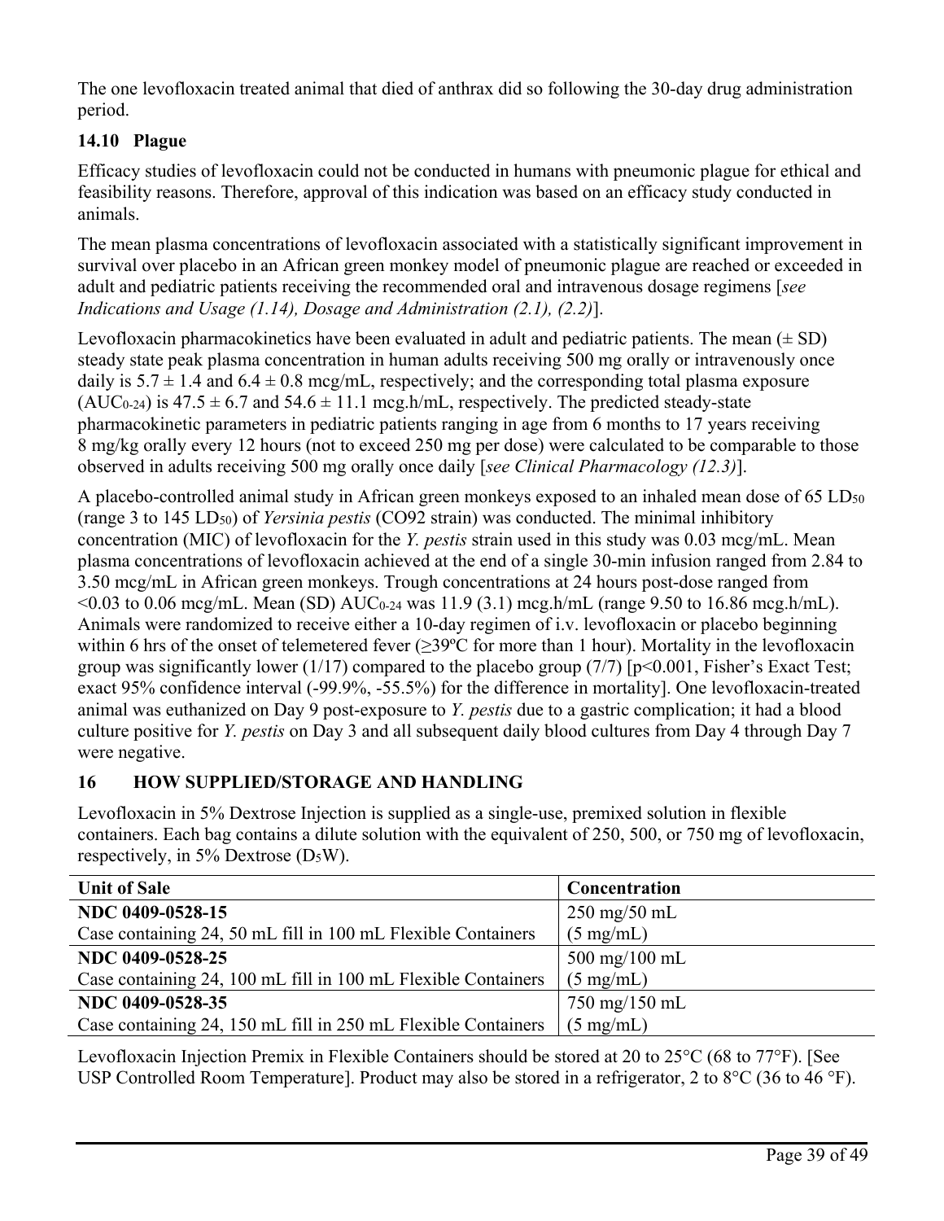The one levofloxacin treated animal that died of anthrax did so following the 30-day drug administration period.

# **14.10 Plague**

Efficacy studies of levofloxacin could not be conducted in humans with pneumonic plague for ethical and feasibility reasons. Therefore, approval of this indication was based on an efficacy study conducted in animals.

The mean plasma concentrations of levofloxacin associated with a statistically significant improvement in survival over placebo in an African green monkey model of pneumonic plague are reached or exceeded in adult and pediatric patients receiving the recommended oral and intravenous dosage regimens [*see Indications and Usage (1.14), Dosage and Administration (2.1), (2.2)*].

Levofloxacin pharmacokinetics have been evaluated in adult and pediatric patients. The mean  $(\pm SD)$ steady state peak plasma concentration in human adults receiving 500 mg orally or intravenously once daily is  $5.7 \pm 1.4$  and  $6.4 \pm 0.8$  mcg/mL, respectively; and the corresponding total plasma exposure (AUC<sub>0-24</sub>) is  $47.5 \pm 6.7$  and  $54.6 \pm 11.1$  mcg.h/mL, respectively. The predicted steady-state pharmacokinetic parameters in pediatric patients ranging in age from 6 months to 17 years receiving 8 mg/kg orally every 12 hours (not to exceed 250 mg per dose) were calculated to be comparable to those observed in adults receiving 500 mg orally once daily [*see Clinical Pharmacology (12.3)*].

A placebo-controlled animal study in African green monkeys exposed to an inhaled mean dose of 65 LD<sub>50</sub> (range 3 to 145 LD50) of *Yersinia pestis* (CO92 strain) was conducted. The minimal inhibitory concentration (MIC) of levofloxacin for the *Y. pestis* strain used in this study was 0.03 mcg/mL. Mean plasma concentrations of levofloxacin achieved at the end of a single 30-min infusion ranged from 2.84 to 3.50 mcg/mL in African green monkeys. Trough concentrations at 24 hours post-dose ranged from  $\leq 0.03$  to 0.06 mcg/mL. Mean (SD) AUC<sub>0-24</sub> was 11.9 (3.1) mcg.h/mL (range 9.50 to 16.86 mcg.h/mL). Animals were randomized to receive either a 10-day regimen of i.v. levofloxacin or placebo beginning within 6 hrs of the onset of telemetered fever (≥39ºC for more than 1 hour). Mortality in the levofloxacin group was significantly lower (1/17) compared to the placebo group (7/7)  $[p<0.001, Fisher's Exact Test;$ exact 95% confidence interval (-99.9%, -55.5%) for the difference in mortality]. One levofloxacin-treated animal was euthanized on Day 9 post-exposure to *Y. pestis* due to a gastric complication; it had a blood culture positive for *Y. pestis* on Day 3 and all subsequent daily blood cultures from Day 4 through Day 7 were negative.

# **16 HOW SUPPLIED/STORAGE AND HANDLING**

Levofloxacin in 5% Dextrose Injection is supplied as a single-use, premixed solution in flexible containers. Each bag contains a dilute solution with the equivalent of 250, 500, or 750 mg of levofloxacin, respectively, in 5% Dextrose  $(D_5W)$ .

| <b>Unit of Sale</b>                                           | Concentration                   |
|---------------------------------------------------------------|---------------------------------|
| NDC 0409-0528-15                                              | $250 \text{ mg}/50 \text{ mL}$  |
| Case containing 24, 50 mL fill in 100 mL Flexible Containers  | $(5 \text{ mg/mL})$             |
| NDC 0409-0528-25                                              | $500 \text{ mg}/100 \text{ mL}$ |
| Case containing 24, 100 mL fill in 100 mL Flexible Containers | $(5 \text{ mg/mL})$             |
| NDC 0409-0528-35                                              | $750 \text{ mg}/150 \text{ mL}$ |
| Case containing 24, 150 mL fill in 250 mL Flexible Containers | $(5 \text{ mg/mL})$             |

Levofloxacin Injection Premix in Flexible Containers should be stored at 20 to 25°C (68 to 77°F). [See USP Controlled Room Temperature]. Product may also be stored in a refrigerator, 2 to 8°C (36 to 46 °F).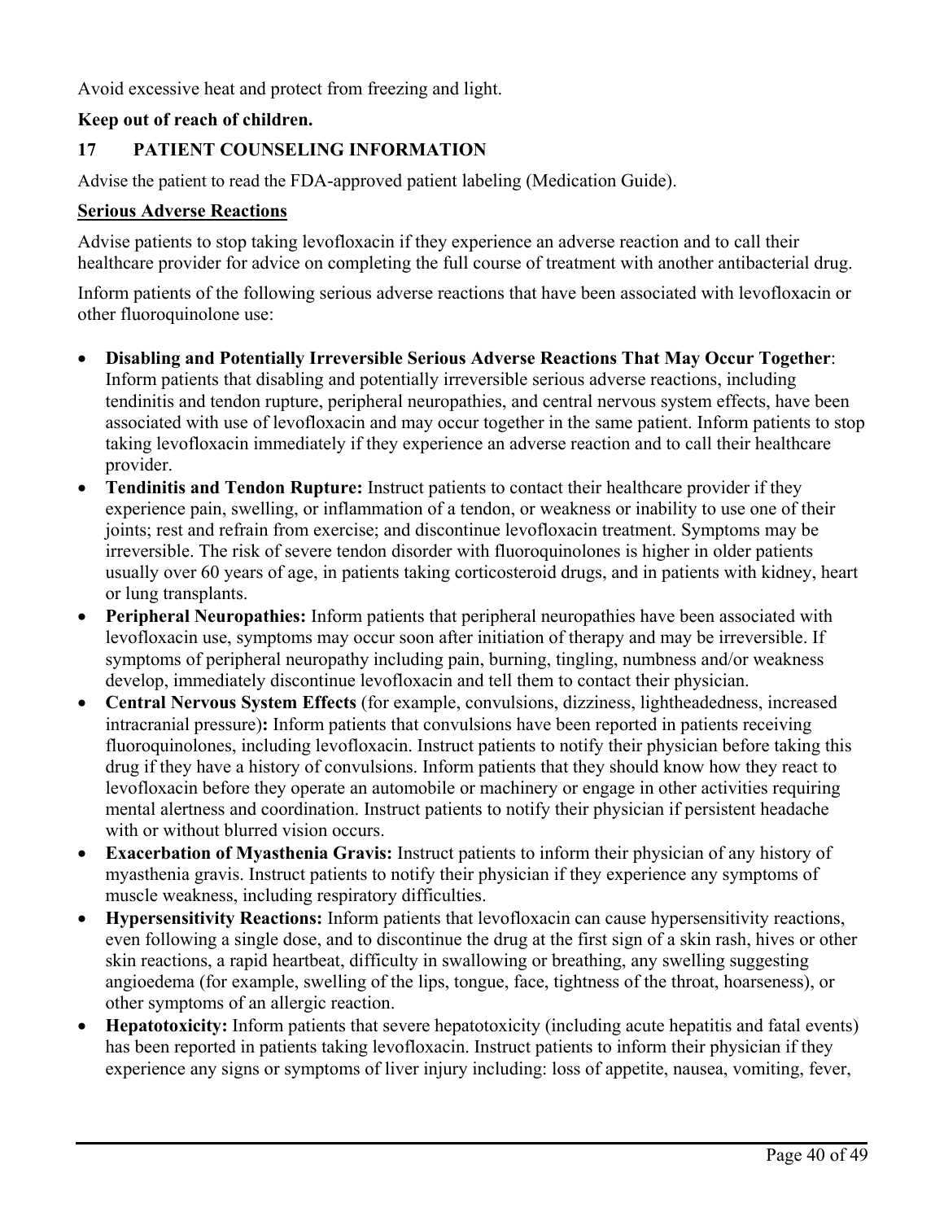Avoid excessive heat and protect from freezing and light.

## **Keep out of reach of children.**

# **17 PATIENT COUNSELING INFORMATION**

Advise the patient to read the FDA-approved patient labeling (Medication Guide).

## **Serious Adverse Reactions**

Advise patients to stop taking levofloxacin if they experience an adverse reaction and to call their healthcare provider for advice on completing the full course of treatment with another antibacterial drug.

Inform patients of the following serious adverse reactions that have been associated with levofloxacin or other fluoroquinolone use:

- **Disabling and Potentially Irreversible Serious Adverse Reactions That May Occur Together**: Inform patients that disabling and potentially irreversible serious adverse reactions, including tendinitis and tendon rupture, peripheral neuropathies, and central nervous system effects, have been associated with use of levofloxacin and may occur together in the same patient. Inform patients to stop taking levofloxacin immediately if they experience an adverse reaction and to call their healthcare provider.
- **Tendinitis and Tendon Rupture:** Instruct patients to contact their healthcare provider if they experience pain, swelling, or inflammation of a tendon, or weakness or inability to use one of their joints; rest and refrain from exercise; and discontinue levofloxacin treatment. Symptoms may be irreversible. The risk of severe tendon disorder with fluoroquinolones is higher in older patients usually over 60 years of age, in patients taking corticosteroid drugs, and in patients with kidney, heart or lung transplants.
- **Peripheral Neuropathies:** Inform patients that peripheral neuropathies have been associated with levofloxacin use, symptoms may occur soon after initiation of therapy and may be irreversible. If symptoms of peripheral neuropathy including pain, burning, tingling, numbness and/or weakness develop, immediately discontinue levofloxacin and tell them to contact their physician.
- **Central Nervous System Effects** (for example, convulsions, dizziness, lightheadedness, increased intracranial pressure)**:** Inform patients that convulsions have been reported in patients receiving fluoroquinolones, including levofloxacin. Instruct patients to notify their physician before taking this drug if they have a history of convulsions. Inform patients that they should know how they react to levofloxacin before they operate an automobile or machinery or engage in other activities requiring mental alertness and coordination. Instruct patients to notify their physician if persistent headache with or without blurred vision occurs.
- **Exacerbation of Myasthenia Gravis:** Instruct patients to inform their physician of any history of myasthenia gravis. Instruct patients to notify their physician if they experience any symptoms of muscle weakness, including respiratory difficulties.
- **Hypersensitivity Reactions:** Inform patients that levofloxacin can cause hypersensitivity reactions, even following a single dose, and to discontinue the drug at the first sign of a skin rash, hives or other skin reactions, a rapid heartbeat, difficulty in swallowing or breathing, any swelling suggesting angioedema (for example, swelling of the lips, tongue, face, tightness of the throat, hoarseness), or other symptoms of an allergic reaction.
- **Hepatotoxicity:** Inform patients that severe hepatotoxicity (including acute hepatitis and fatal events) has been reported in patients taking levofloxacin. Instruct patients to inform their physician if they experience any signs or symptoms of liver injury including: loss of appetite, nausea, vomiting, fever,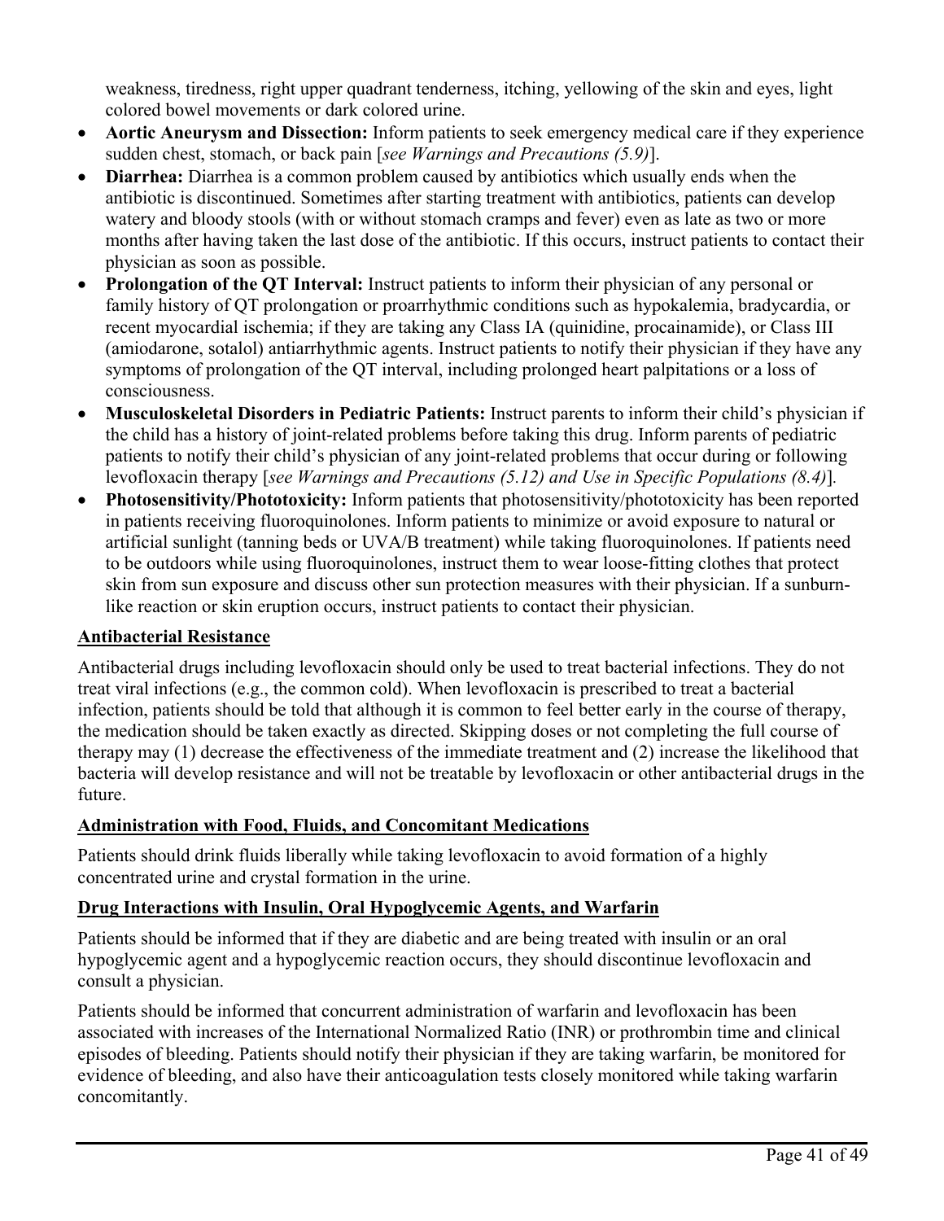weakness, tiredness, right upper quadrant tenderness, itching, yellowing of the skin and eyes, light colored bowel movements or dark colored urine.

- **Aortic Aneurysm and Dissection:** Inform patients to seek emergency medical care if they experience sudden chest, stomach, or back pain [*see Warnings and Precautions (5.9)*].
- **Diarrhea:** Diarrhea is a common problem caused by antibiotics which usually ends when the antibiotic is discontinued. Sometimes after starting treatment with antibiotics, patients can develop watery and bloody stools (with or without stomach cramps and fever) even as late as two or more months after having taken the last dose of the antibiotic. If this occurs, instruct patients to contact their physician as soon as possible.
- **Prolongation of the QT Interval:** Instruct patients to inform their physician of any personal or family history of QT prolongation or proarrhythmic conditions such as hypokalemia, bradycardia, or recent myocardial ischemia; if they are taking any Class IA (quinidine, procainamide), or Class III (amiodarone, sotalol) antiarrhythmic agents. Instruct patients to notify their physician if they have any symptoms of prolongation of the QT interval, including prolonged heart palpitations or a loss of consciousness.
- **Musculoskeletal Disorders in Pediatric Patients:** Instruct parents to inform their child's physician if the child has a history of joint-related problems before taking this drug. Inform parents of pediatric patients to notify their child's physician of any joint-related problems that occur during or following levofloxacin therapy [*see Warnings and Precautions (5.12) and Use in Specific Populations (8.4)*]*.*
- **Photosensitivity/Phototoxicity:** Inform patients that photosensitivity/phototoxicity has been reported in patients receiving fluoroquinolones. Inform patients to minimize or avoid exposure to natural or artificial sunlight (tanning beds or UVA/B treatment) while taking fluoroquinolones. If patients need to be outdoors while using fluoroquinolones, instruct them to wear loose-fitting clothes that protect skin from sun exposure and discuss other sun protection measures with their physician. If a sunburnlike reaction or skin eruption occurs, instruct patients to contact their physician.

## **Antibacterial Resistance**

Antibacterial drugs including levofloxacin should only be used to treat bacterial infections. They do not treat viral infections (e.g., the common cold). When levofloxacin is prescribed to treat a bacterial infection, patients should be told that although it is common to feel better early in the course of therapy, the medication should be taken exactly as directed. Skipping doses or not completing the full course of therapy may (1) decrease the effectiveness of the immediate treatment and (2) increase the likelihood that bacteria will develop resistance and will not be treatable by levofloxacin or other antibacterial drugs in the future.

# **Administration with Food, Fluids, and Concomitant Medications**

Patients should drink fluids liberally while taking levofloxacin to avoid formation of a highly concentrated urine and crystal formation in the urine.

# **Drug Interactions with Insulin, Oral Hypoglycemic Agents, and Warfarin**

Patients should be informed that if they are diabetic and are being treated with insulin or an oral hypoglycemic agent and a hypoglycemic reaction occurs, they should discontinue levofloxacin and consult a physician.

Patients should be informed that concurrent administration of warfarin and levofloxacin has been associated with increases of the International Normalized Ratio (INR) or prothrombin time and clinical episodes of bleeding. Patients should notify their physician if they are taking warfarin, be monitored for evidence of bleeding, and also have their anticoagulation tests closely monitored while taking warfarin concomitantly.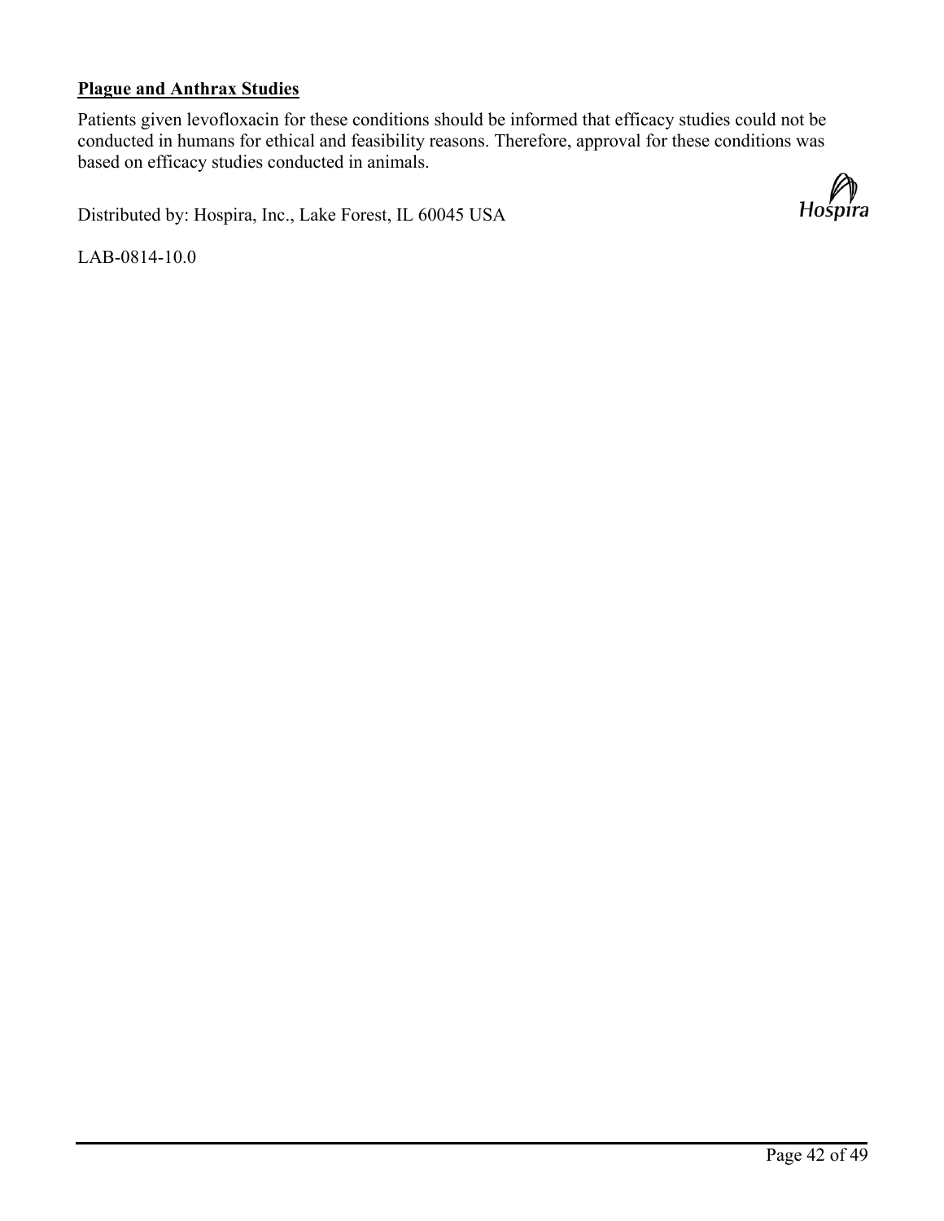# **Plague and Anthrax Studies**

Patients given levofloxacin for these conditions should be informed that efficacy studies could not be conducted in humans for ethical and feasibility reasons. Therefore, approval for these conditions was based on efficacy studies conducted in animals.

Distributed by: Hospira, Inc., Lake Forest, IL 60045 USA

LAB-0814-10.0

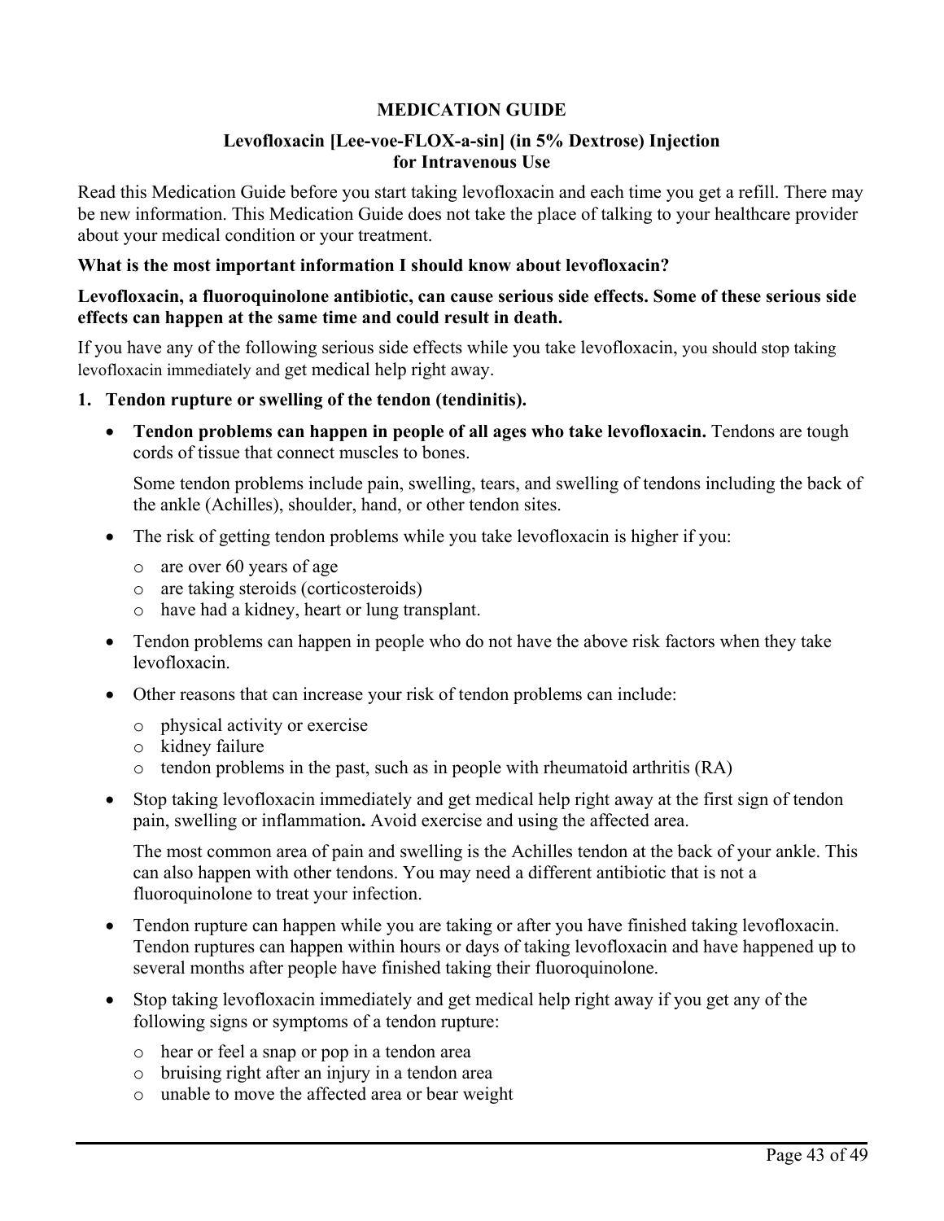# **MEDICATION GUIDE**

## **Levofloxacin [Lee-voe-FLOX-a-sin] (in 5% Dextrose) Injection for Intravenous Use**

Read this Medication Guide before you start taking levofloxacin and each time you get a refill. There may be new information. This Medication Guide does not take the place of talking to your healthcare provider about your medical condition or your treatment.

## **What is the most important information I should know about levofloxacin?**

## **Levofloxacin, a fluoroquinolone antibiotic, can cause serious side effects. Some of these serious side effects can happen at the same time and could result in death.**

If you have any of the following serious side effects while you take levofloxacin, you should stop taking levofloxacin immediately and get medical help right away.

## **1. Tendon rupture or swelling of the tendon (tendinitis).**

• **Tendon problems can happen in people of all ages who take levofloxacin.** Tendons are tough cords of tissue that connect muscles to bones.

Some tendon problems include pain, swelling, tears, and swelling of tendons including the back of the ankle (Achilles), shoulder, hand, or other tendon sites.

- The risk of getting tendon problems while you take levofloxacin is higher if you:
	- o are over 60 years of age
	- o are taking steroids (corticosteroids)
	- o have had a kidney, heart or lung transplant.
- Tendon problems can happen in people who do not have the above risk factors when they take levofloxacin.
- Other reasons that can increase your risk of tendon problems can include:
	- o physical activity or exercise
	- o kidney failure
	- $\circ$  tendon problems in the past, such as in people with rheumatoid arthritis (RA)
- Stop taking levofloxacin immediately and get medical help right away at the first sign of tendon pain, swelling or inflammation**.** Avoid exercise and using the affected area.

The most common area of pain and swelling is the Achilles tendon at the back of your ankle. This can also happen with other tendons. You may need a different antibiotic that is not a fluoroquinolone to treat your infection.

- Tendon rupture can happen while you are taking or after you have finished taking levofloxacin. Tendon ruptures can happen within hours or days of taking levofloxacin and have happened up to several months after people have finished taking their fluoroquinolone.
- Stop taking levofloxacin immediately and get medical help right away if you get any of the following signs or symptoms of a tendon rupture:
	- o hear or feel a snap or pop in a tendon area
	- o bruising right after an injury in a tendon area
	- o unable to move the affected area or bear weight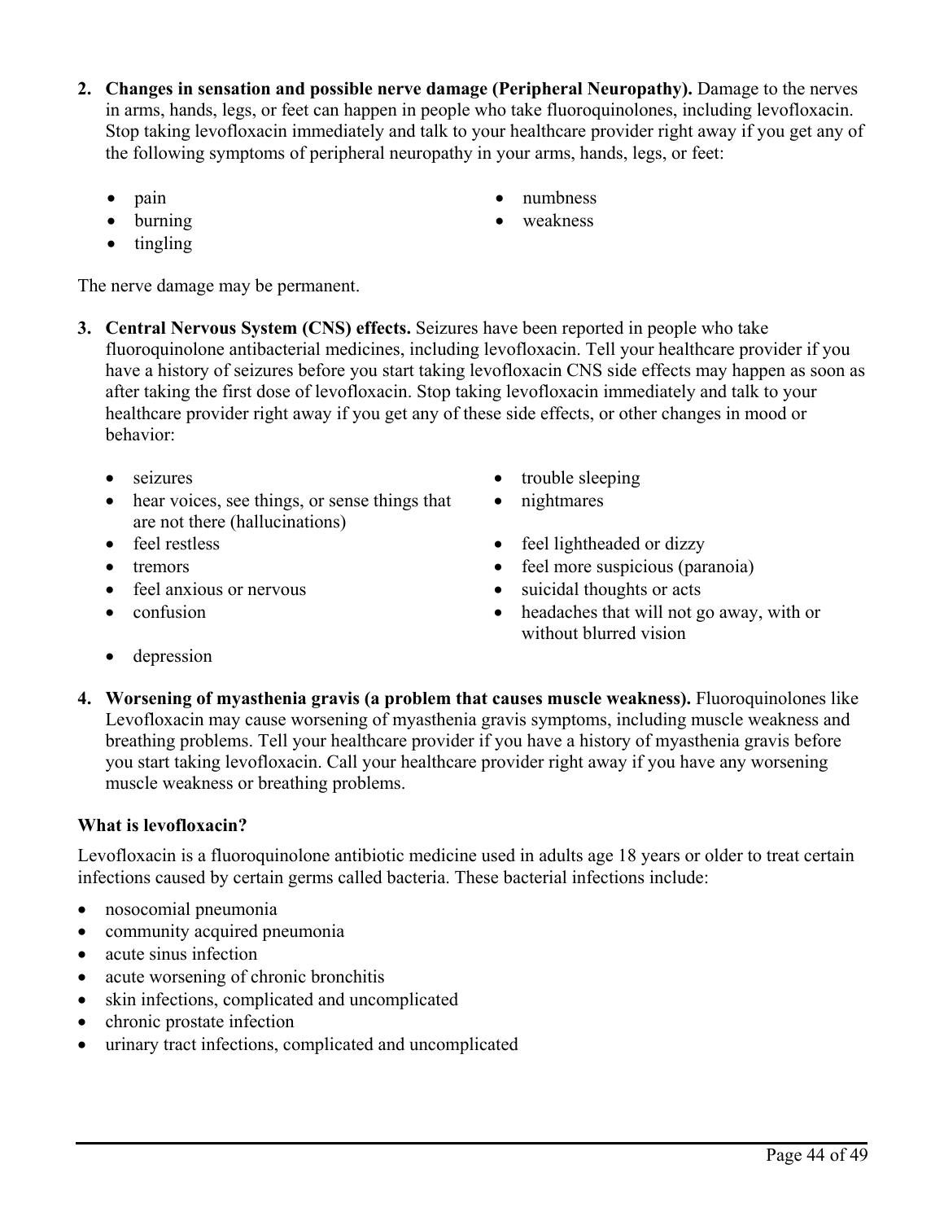- **2. Changes in sensation and possible nerve damage (Peripheral Neuropathy).** Damage to the nerves in arms, hands, legs, or feet can happen in people who take fluoroquinolones, including levofloxacin. Stop taking levofloxacin immediately and talk to your healthcare provider right away if you get any of the following symptoms of peripheral neuropathy in your arms, hands, legs, or feet:
	-
	-
	- tingling

The nerve damage may be permanent.

- **3. Central Nervous System (CNS) effects.** Seizures have been reported in people who take fluoroquinolone antibacterial medicines, including levofloxacin. Tell your healthcare provider if you have a history of seizures before you start taking levofloxacin CNS side effects may happen as soon as after taking the first dose of levofloxacin. Stop taking levofloxacin immediately and talk to your healthcare provider right away if you get any of these side effects, or other changes in mood or behavior:
	-
	- hear voices, see things, or sense things that are not there (hallucinations)
	-
	-
	-
	-
	- seizures trouble sleeping
		- nightmares
	- feel restless feel lightheaded or dizzy
	- tremors feel more suspicious (paranoia)
	- feel anxious or nervous suicidal thoughts or acts
	- confusion headaches that will not go away, with or without blurred vision
	- depression
- **4. Worsening of myasthenia gravis (a problem that causes muscle weakness).** Fluoroquinolones like Levofloxacin may cause worsening of myasthenia gravis symptoms, including muscle weakness and breathing problems. Tell your healthcare provider if you have a history of myasthenia gravis before you start taking levofloxacin. Call your healthcare provider right away if you have any worsening muscle weakness or breathing problems.

# **What is levofloxacin?**

Levofloxacin is a fluoroquinolone antibiotic medicine used in adults age 18 years or older to treat certain infections caused by certain germs called bacteria. These bacterial infections include:

- nosocomial pneumonia
- community acquired pneumonia
- acute sinus infection
- acute worsening of chronic bronchitis
- skin infections, complicated and uncomplicated
- chronic prostate infection
- urinary tract infections, complicated and uncomplicated
- pain numbness
- burning weakness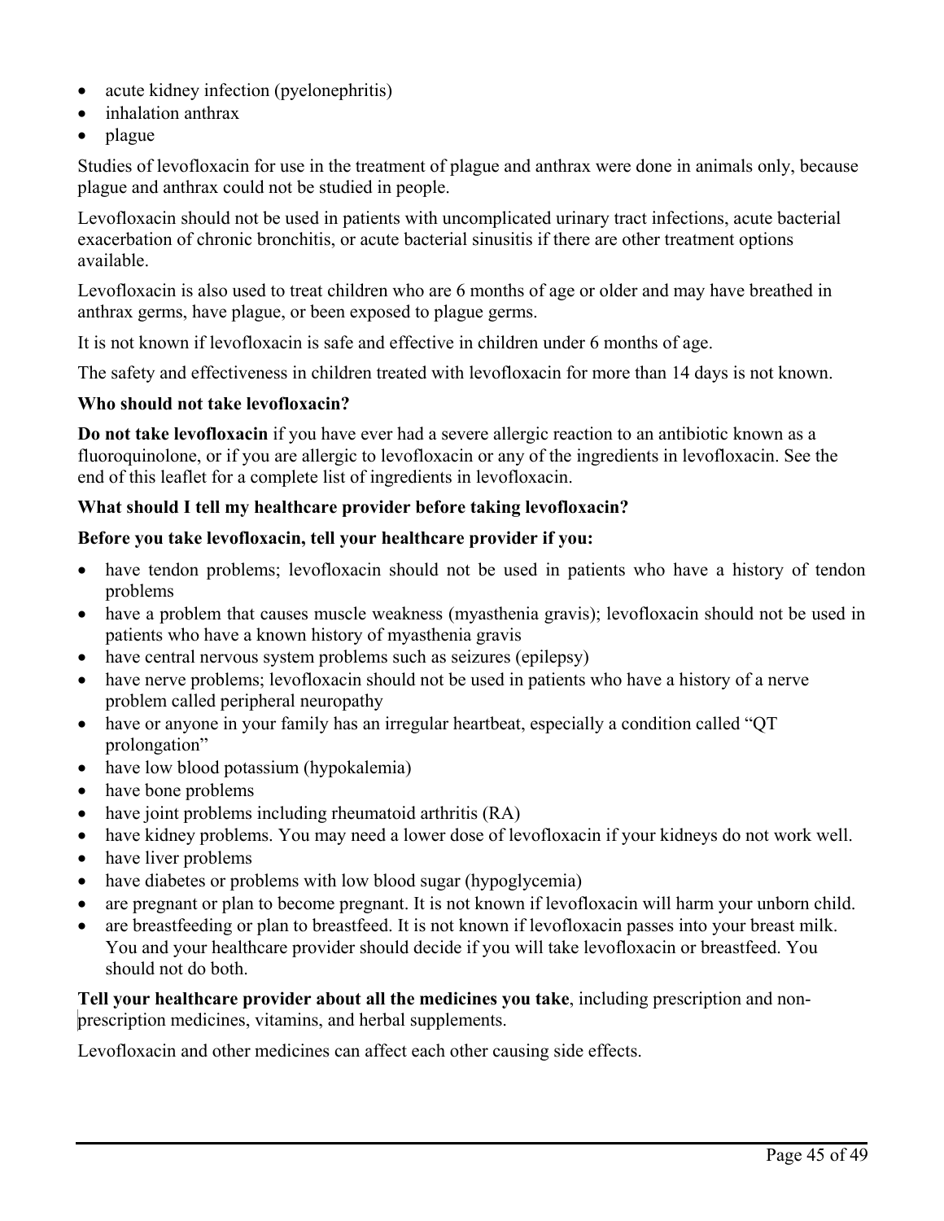- acute kidney infection (pyelonephritis)
- inhalation anthrax
- plague

Studies of levofloxacin for use in the treatment of plague and anthrax were done in animals only, because plague and anthrax could not be studied in people.

Levofloxacin should not be used in patients with uncomplicated urinary tract infections, acute bacterial exacerbation of chronic bronchitis, or acute bacterial sinusitis if there are other treatment options available.

Levofloxacin is also used to treat children who are 6 months of age or older and may have breathed in anthrax germs, have plague, or been exposed to plague germs.

It is not known if levofloxacin is safe and effective in children under 6 months of age.

The safety and effectiveness in children treated with levofloxacin for more than 14 days is not known.

## **Who should not take levofloxacin?**

**Do not take levofloxacin** if you have ever had a severe allergic reaction to an antibiotic known as a fluoroquinolone, or if you are allergic to levofloxacin or any of the ingredients in levofloxacin. See the end of this leaflet for a complete list of ingredients in levofloxacin.

## **What should I tell my healthcare provider before taking levofloxacin?**

## **Before you take levofloxacin, tell your healthcare provider if you:**

- have tendon problems; levofloxacin should not be used in patients who have a history of tendon problems
- have a problem that causes muscle weakness (myasthenia gravis); levofloxacin should not be used in patients who have a known history of myasthenia gravis
- have central nervous system problems such as seizures (epilepsy)
- have nerve problems; levofloxacin should not be used in patients who have a history of a nerve problem called peripheral neuropathy
- have or anyone in your family has an irregular heartbeat, especially a condition called "OT prolongation"
- have low blood potassium (hypokalemia)
- have bone problems
- have joint problems including rheumatoid arthritis (RA)
- have kidney problems. You may need a lower dose of levofloxacin if your kidneys do not work well.
- have liver problems
- have diabetes or problems with low blood sugar (hypoglycemia)
- are pregnant or plan to become pregnant. It is not known if levofloxacin will harm your unborn child.
- are breastfeeding or plan to breastfeed. It is not known if levofloxacin passes into your breast milk. You and your healthcare provider should decide if you will take levofloxacin or breastfeed. You should not do both.

**Tell your healthcare provider about all the medicines you take**, including prescription and nonprescription medicines, vitamins, and herbal supplements.

Levofloxacin and other medicines can affect each other causing side effects.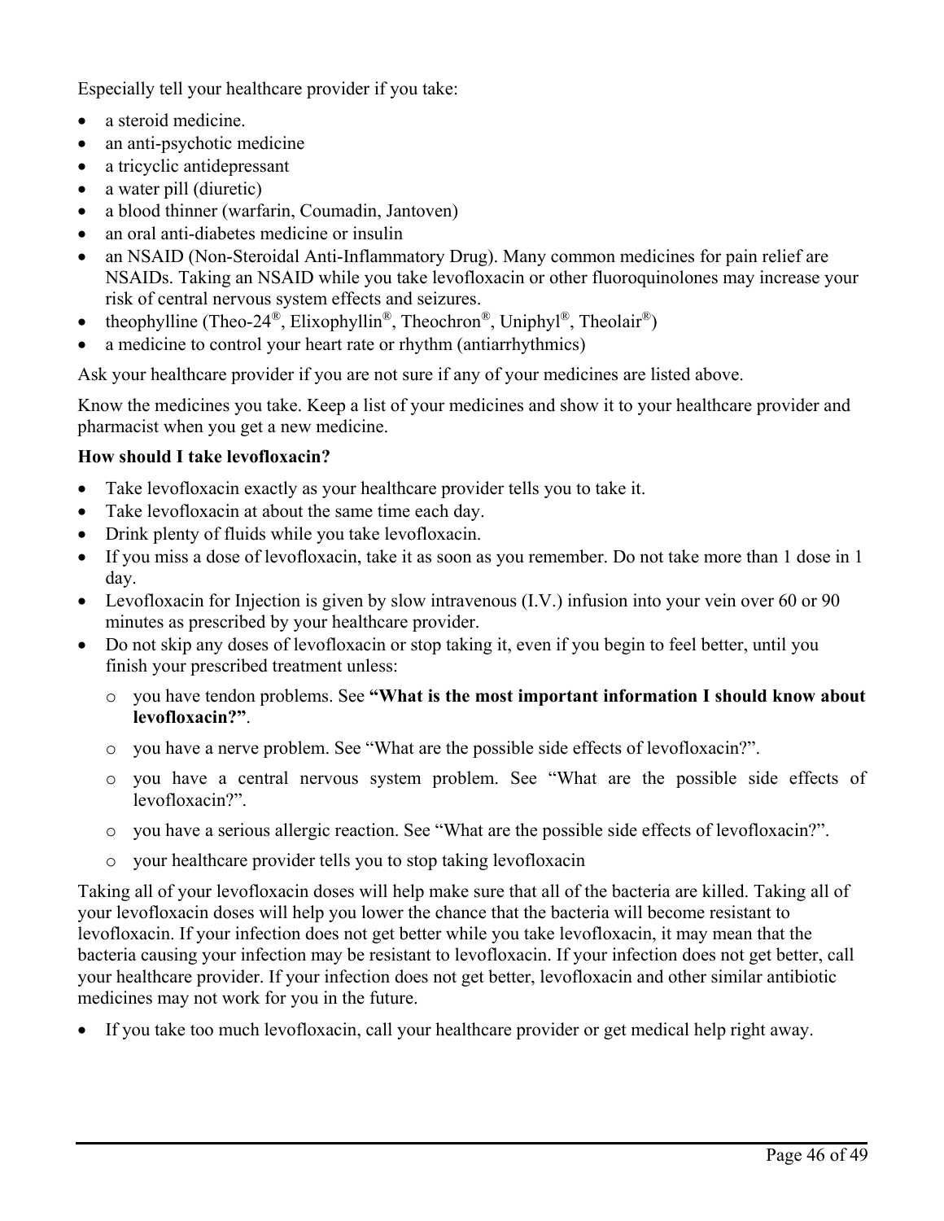Especially tell your healthcare provider if you take:

- a steroid medicine.
- an anti-psychotic medicine
- a tricyclic antidepressant
- a water pill (diuretic)
- a blood thinner (warfarin, Coumadin, Jantoven)
- an oral anti-diabetes medicine or insulin
- an NSAID (Non-Steroidal Anti-Inflammatory Drug). Many common medicines for pain relief are NSAIDs. Taking an NSAID while you take levofloxacin or other fluoroquinolones may increase your risk of central nervous system effects and seizures.
- theophylline (Theo-24<sup>®</sup>, Elixophyllin<sup>®</sup>, Theochron<sup>®</sup>, Uniphyl<sup>®</sup>, Theolair<sup>®</sup>)
- a medicine to control your heart rate or rhythm (antiarrhythmics)

Ask your healthcare provider if you are not sure if any of your medicines are listed above.

Know the medicines you take. Keep a list of your medicines and show it to your healthcare provider and pharmacist when you get a new medicine.

## **How should I take levofloxacin?**

- Take levofloxacin exactly as your healthcare provider tells you to take it.
- Take levofloxacin at about the same time each day.
- Drink plenty of fluids while you take levofloxacin.
- If you miss a dose of levofloxacin, take it as soon as you remember. Do not take more than 1 dose in 1 day.
- Levofloxacin for Injection is given by slow intravenous (I.V.) infusion into your vein over 60 or 90 minutes as prescribed by your healthcare provider.
- Do not skip any doses of levofloxacin or stop taking it, even if you begin to feel better, until you finish your prescribed treatment unless:
	- o you have tendon problems. See **"What is the most important information I should know about levofloxacin?"**.
	- o you have a nerve problem. See "What are the possible side effects of levofloxacin?".
	- o you have a central nervous system problem. See "What are the possible side effects of levofloxacin?".
	- o you have a serious allergic reaction. See "What are the possible side effects of levofloxacin?".
	- your healthcare provider tells you to stop taking levofloxacin

Taking all of your levofloxacin doses will help make sure that all of the bacteria are killed. Taking all of your levofloxacin doses will help you lower the chance that the bacteria will become resistant to levofloxacin. If your infection does not get better while you take levofloxacin, it may mean that the bacteria causing your infection may be resistant to levofloxacin. If your infection does not get better, call your healthcare provider. If your infection does not get better, levofloxacin and other similar antibiotic medicines may not work for you in the future.

• If you take too much levofloxacin, call your healthcare provider or get medical help right away.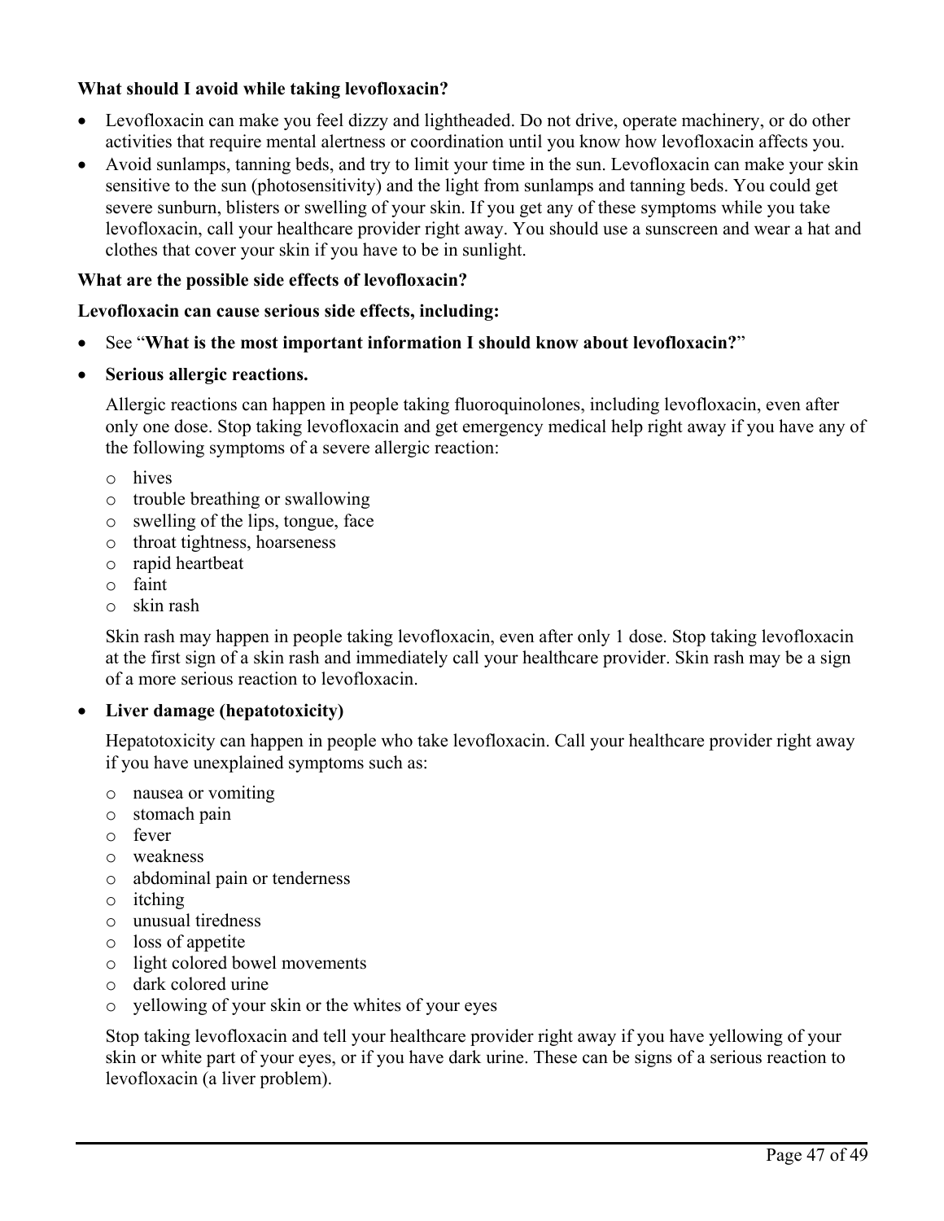## **What should I avoid while taking levofloxacin?**

- Levofloxacin can make you feel dizzy and lightheaded. Do not drive, operate machinery, or do other activities that require mental alertness or coordination until you know how levofloxacin affects you.
- Avoid sunlamps, tanning beds, and try to limit your time in the sun. Levofloxacin can make your skin sensitive to the sun (photosensitivity) and the light from sunlamps and tanning beds. You could get severe sunburn, blisters or swelling of your skin. If you get any of these symptoms while you take levofloxacin, call your healthcare provider right away. You should use a sunscreen and wear a hat and clothes that cover your skin if you have to be in sunlight.

## **What are the possible side effects of levofloxacin?**

## **Levofloxacin can cause serious side effects, including:**

- See "**What is the most important information I should know about levofloxacin?**"
- **Serious allergic reactions.**

Allergic reactions can happen in people taking fluoroquinolones, including levofloxacin, even after only one dose. Stop taking levofloxacin and get emergency medical help right away if you have any of the following symptoms of a severe allergic reaction:

- o hives
- o trouble breathing or swallowing
- o swelling of the lips, tongue, face
- o throat tightness, hoarseness
- o rapid heartbeat
- o faint
- o skin rash

Skin rash may happen in people taking levofloxacin, even after only 1 dose. Stop taking levofloxacin at the first sign of a skin rash and immediately call your healthcare provider. Skin rash may be a sign of a more serious reaction to levofloxacin.

## • **Liver damage (hepatotoxicity)**

Hepatotoxicity can happen in people who take levofloxacin. Call your healthcare provider right away if you have unexplained symptoms such as:

- o nausea or vomiting
- o stomach pain
- o fever
- o weakness
- o abdominal pain or tenderness
- o itching
- o unusual tiredness
- o loss of appetite
- o light colored bowel movements
- o dark colored urine
- o yellowing of your skin or the whites of your eyes

Stop taking levofloxacin and tell your healthcare provider right away if you have yellowing of your skin or white part of your eyes, or if you have dark urine. These can be signs of a serious reaction to levofloxacin (a liver problem).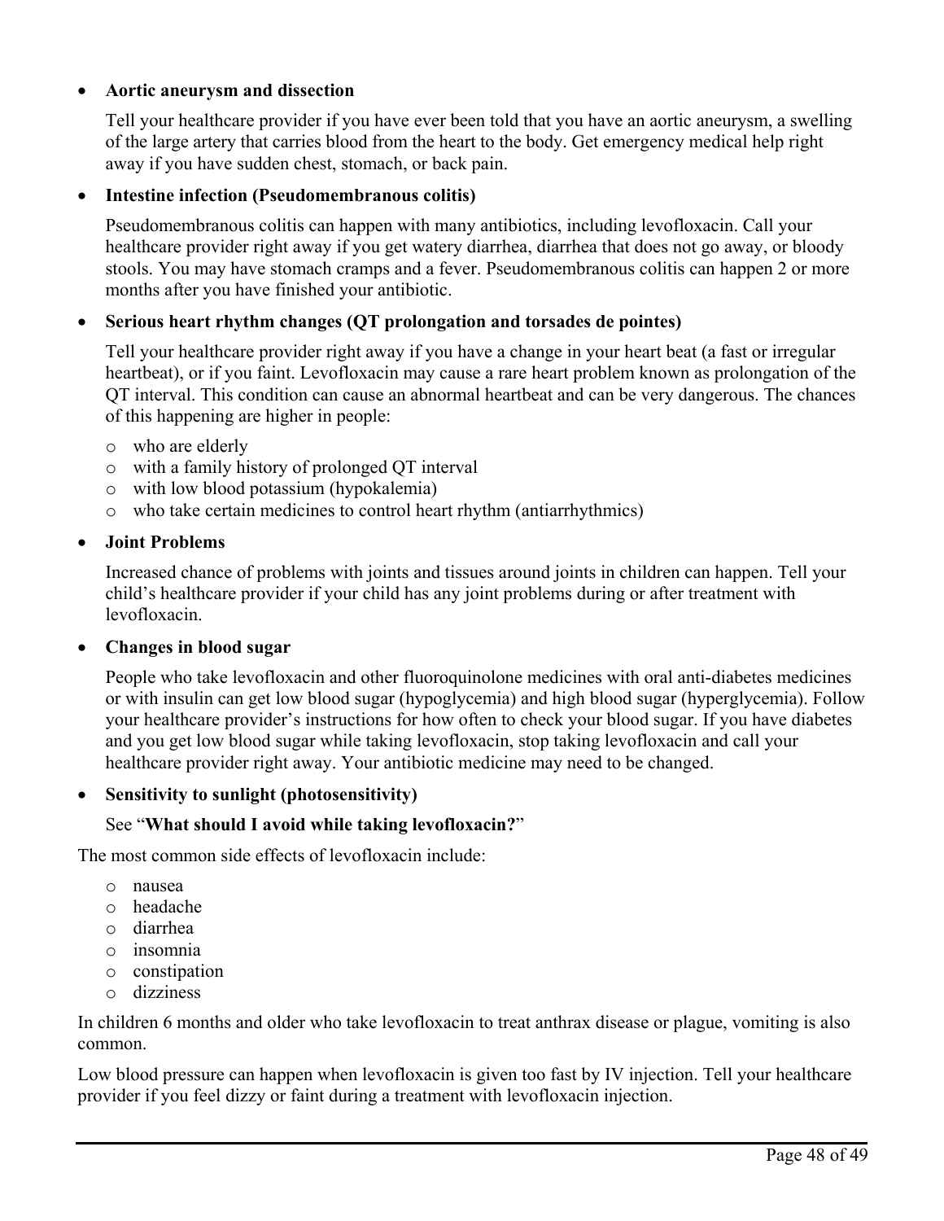## • **Aortic aneurysm and dissection**

Tell your healthcare provider if you have ever been told that you have an aortic aneurysm, a swelling of the large artery that carries blood from the heart to the body. Get emergency medical help right away if you have sudden chest, stomach, or back pain.

### • **Intestine infection (Pseudomembranous colitis)**

Pseudomembranous colitis can happen with many antibiotics, including levofloxacin. Call your healthcare provider right away if you get watery diarrhea, diarrhea that does not go away, or bloody stools. You may have stomach cramps and a fever. Pseudomembranous colitis can happen 2 or more months after you have finished your antibiotic.

## • **Serious heart rhythm changes (QT prolongation and torsades de pointes)**

Tell your healthcare provider right away if you have a change in your heart beat (a fast or irregular heartbeat), or if you faint. Levofloxacin may cause a rare heart problem known as prolongation of the QT interval. This condition can cause an abnormal heartbeat and can be very dangerous. The chances of this happening are higher in people:

- o who are elderly
- o with a family history of prolonged QT interval
- o with low blood potassium (hypokalemia)
- o who take certain medicines to control heart rhythm (antiarrhythmics)

### • **Joint Problems**

Increased chance of problems with joints and tissues around joints in children can happen. Tell your child's healthcare provider if your child has any joint problems during or after treatment with levofloxacin.

• **Changes in blood sugar**

People who take levofloxacin and other fluoroquinolone medicines with oral anti-diabetes medicines or with insulin can get low blood sugar (hypoglycemia) and high blood sugar (hyperglycemia). Follow your healthcare provider's instructions for how often to check your blood sugar. If you have diabetes and you get low blood sugar while taking levofloxacin, stop taking levofloxacin and call your healthcare provider right away. Your antibiotic medicine may need to be changed.

### • **Sensitivity to sunlight (photosensitivity)**

### See "**What should I avoid while taking levofloxacin?**"

The most common side effects of levofloxacin include:

- o nausea
- o headache
- o diarrhea
- o insomnia
- o constipation
- o dizziness

In children 6 months and older who take levofloxacin to treat anthrax disease or plague, vomiting is also common.

Low blood pressure can happen when levofloxacin is given too fast by IV injection. Tell your healthcare provider if you feel dizzy or faint during a treatment with levofloxacin injection.